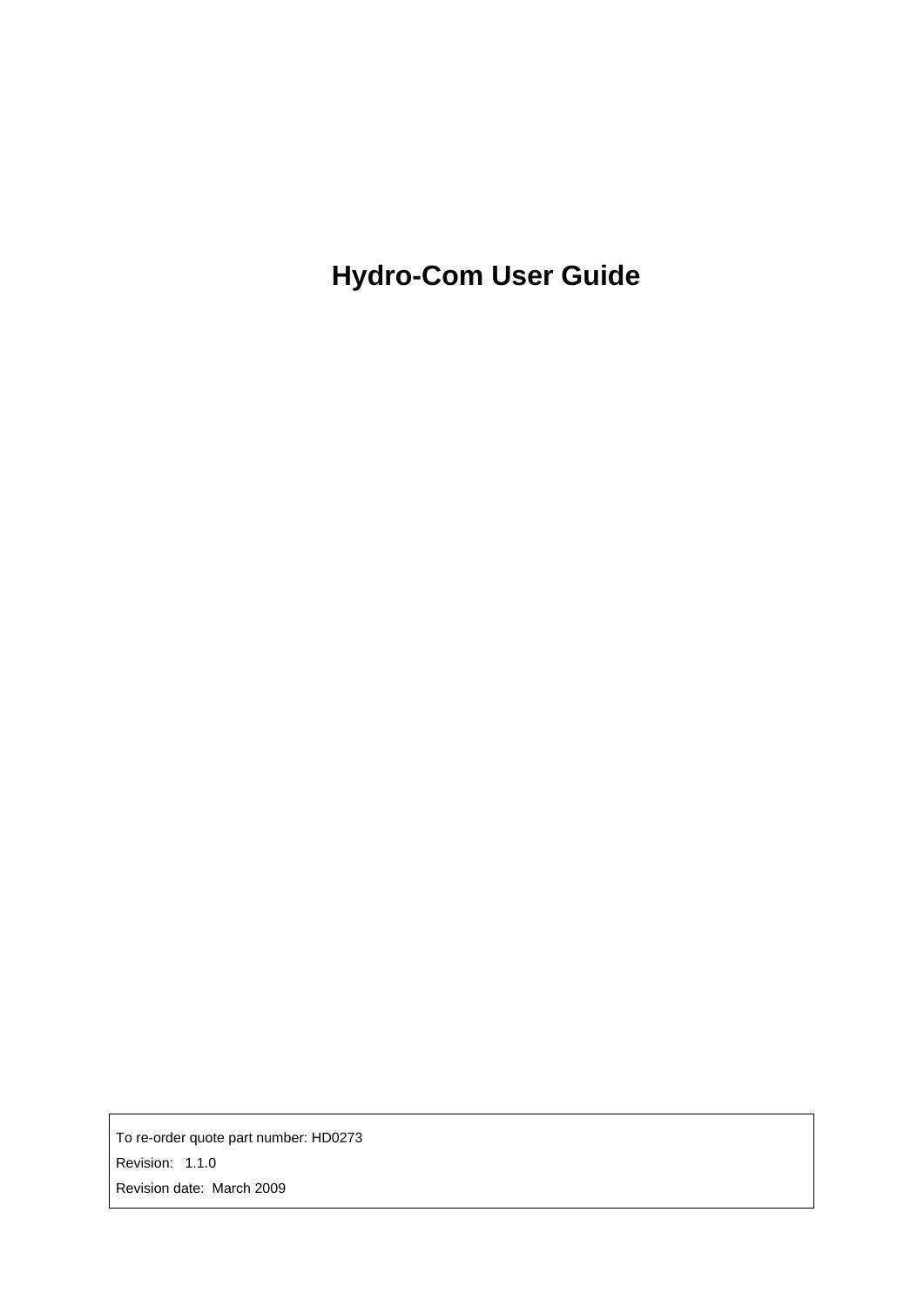**Hydro-Com User Guide** 

To re-order quote part number: HD0273 Revision: 1.1.0 Revision date: March 2009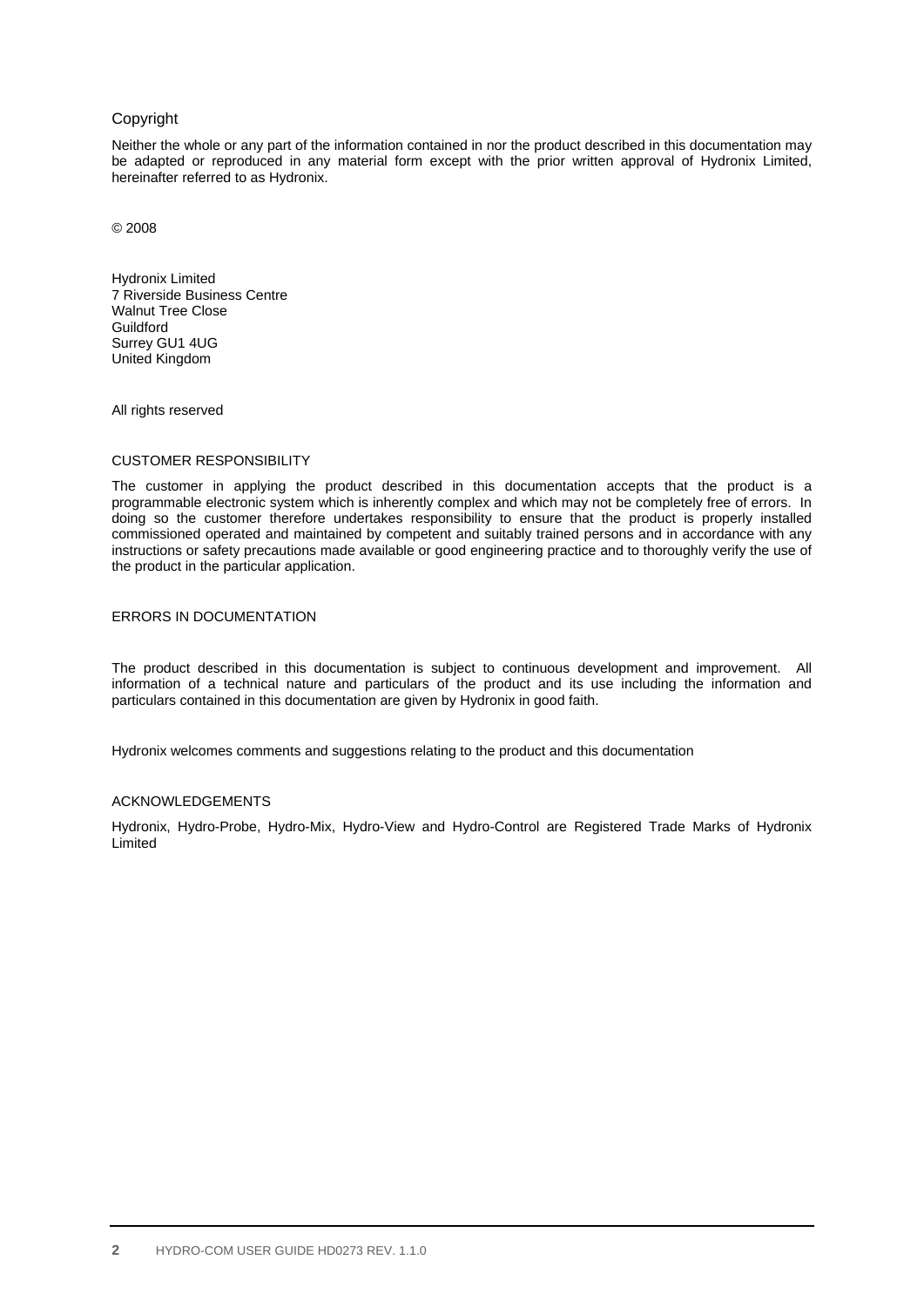#### Copyright

Neither the whole or any part of the information contained in nor the product described in this documentation may be adapted or reproduced in any material form except with the prior written approval of Hydronix Limited, hereinafter referred to as Hydronix.

© 2008

Hydronix Limited 7 Riverside Business Centre Walnut Tree Close Guildford Surrey GU1 4UG United Kingdom

All rights reserved

#### CUSTOMER RESPONSIBILITY

The customer in applying the product described in this documentation accepts that the product is a programmable electronic system which is inherently complex and which may not be completely free of errors. In doing so the customer therefore undertakes responsibility to ensure that the product is properly installed commissioned operated and maintained by competent and suitably trained persons and in accordance with any instructions or safety precautions made available or good engineering practice and to thoroughly verify the use of the product in the particular application.

#### ERRORS IN DOCUMENTATION

The product described in this documentation is subject to continuous development and improvement. All information of a technical nature and particulars of the product and its use including the information and particulars contained in this documentation are given by Hydronix in good faith.

Hydronix welcomes comments and suggestions relating to the product and this documentation

#### ACKNOWLEDGEMENTS

Hydronix, Hydro-Probe, Hydro-Mix, Hydro-View and Hydro-Control are Registered Trade Marks of Hydronix Limited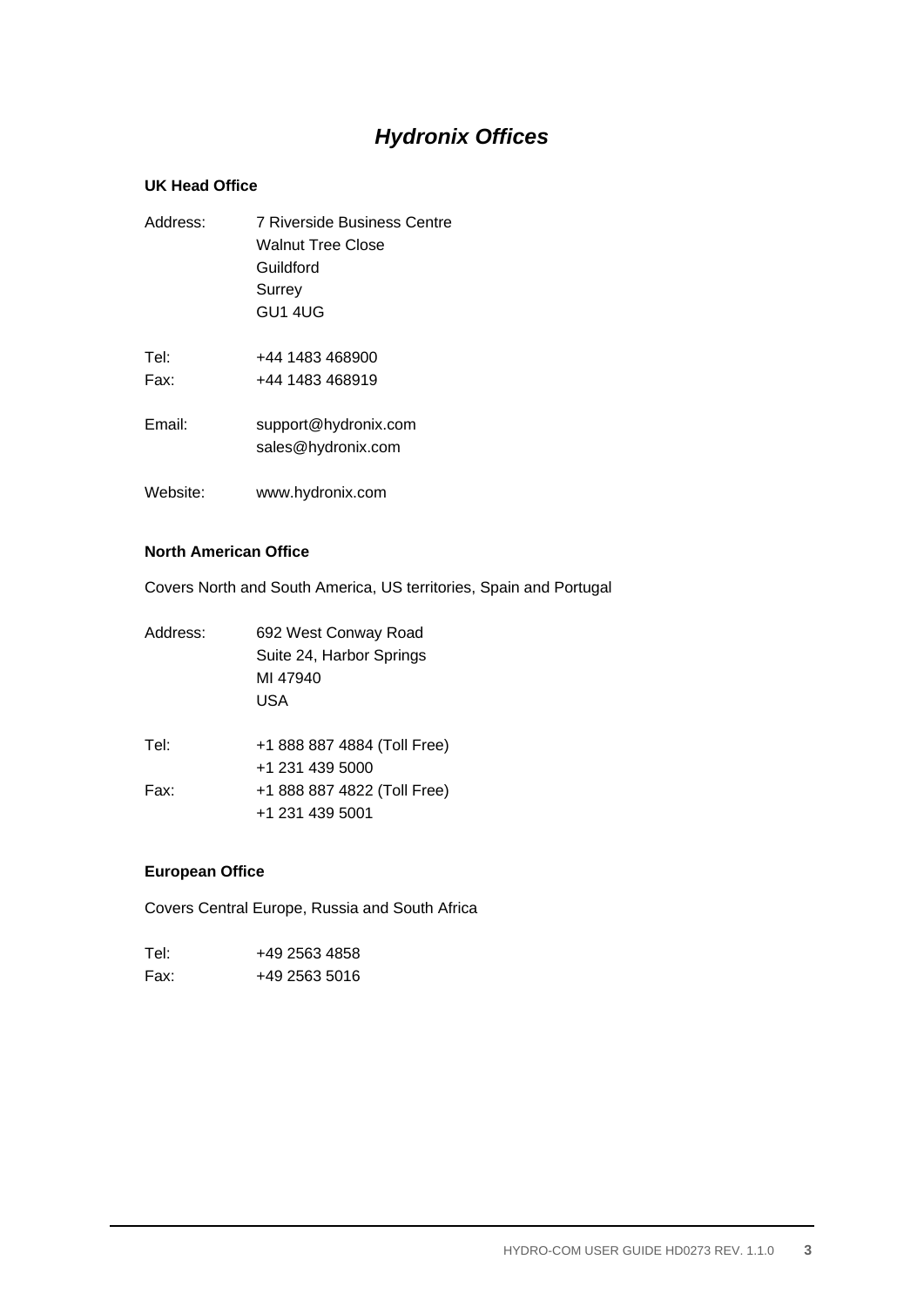# *Hydronix Offices*

#### **UK Head Office**

| Address: | 7 Riverside Business Centre |  |
|----------|-----------------------------|--|
|          | Walnut Tree Close           |  |
|          | Guildford                   |  |
|          | Surrey                      |  |
|          | GU1 4UG                     |  |
|          |                             |  |
| Tel:     | +44 1483 468900             |  |
| Fax:     | +44 1483 468919             |  |
| Email:   | support@hydronix.com        |  |
|          |                             |  |

- sales@hydronix.com
- Website: www.hydronix.com

#### **North American Office**

Covers North and South America, US territories, Spain and Portugal

| 692 West Conway Road<br>Suite 24, Harbor Springs<br>MI 47940<br>USA |  |
|---------------------------------------------------------------------|--|
| +1 888 887 4884 (Toll Free)                                         |  |
| +1 231 439 5000<br>+1 888 887 4822 (Toll Free)<br>+1 231 439 5001   |  |
|                                                                     |  |

#### **European Office**

Covers Central Europe, Russia and South Africa

| Tel∶ | +49 2563 4858 |
|------|---------------|
| Fax: | +49 2563 5016 |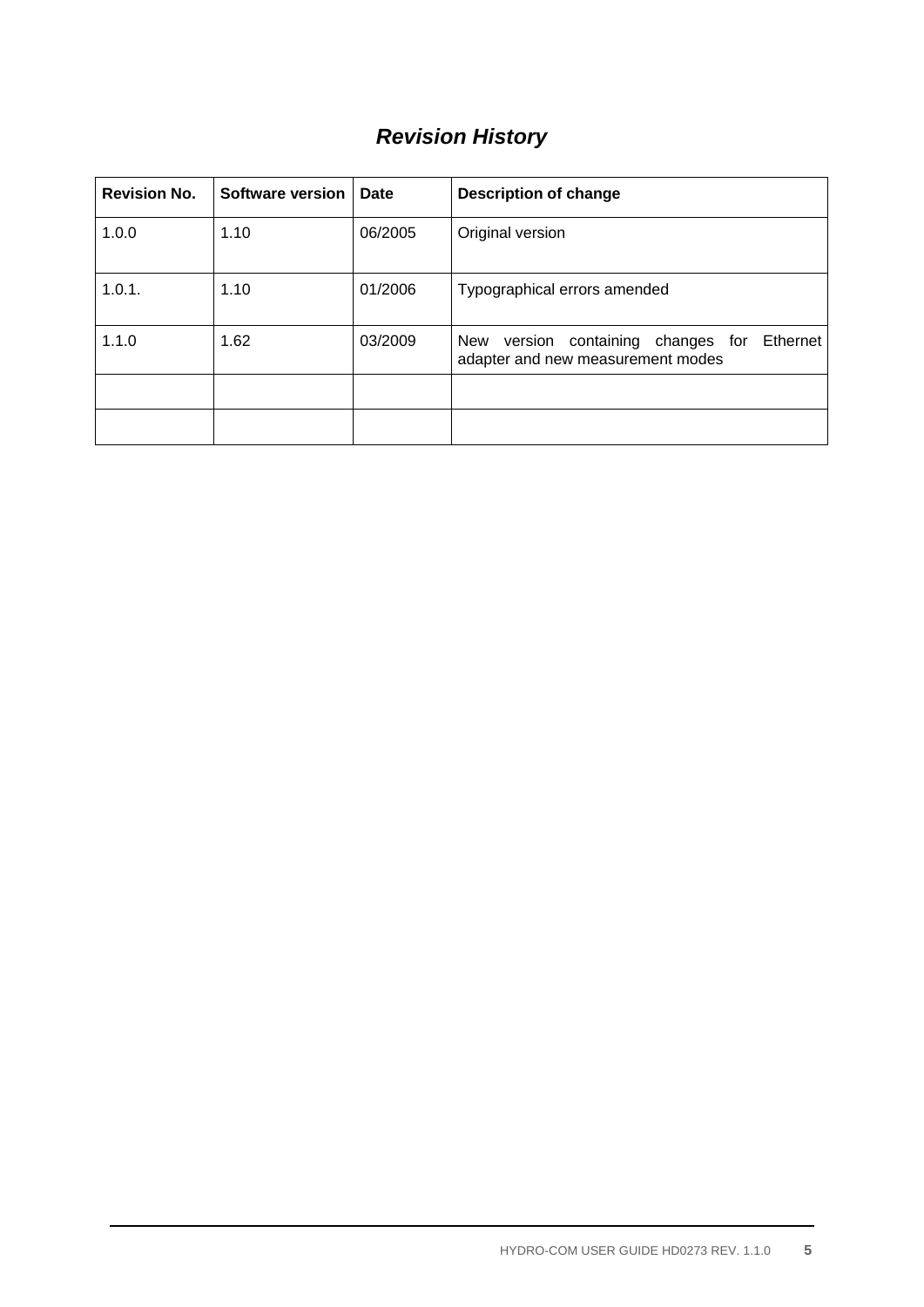# *Revision History*

| <b>Revision No.</b> | <b>Software version</b> | <b>Date</b> | <b>Description of change</b>                                                     |  |
|---------------------|-------------------------|-------------|----------------------------------------------------------------------------------|--|
| 1.0.0               | 1.10                    | 06/2005     | Original version                                                                 |  |
| 1.0.1.              | 1.10                    | 01/2006     | Typographical errors amended                                                     |  |
| 1.1.0               | 1.62                    | 03/2009     | New version containing changes for Ethernet<br>adapter and new measurement modes |  |
|                     |                         |             |                                                                                  |  |
|                     |                         |             |                                                                                  |  |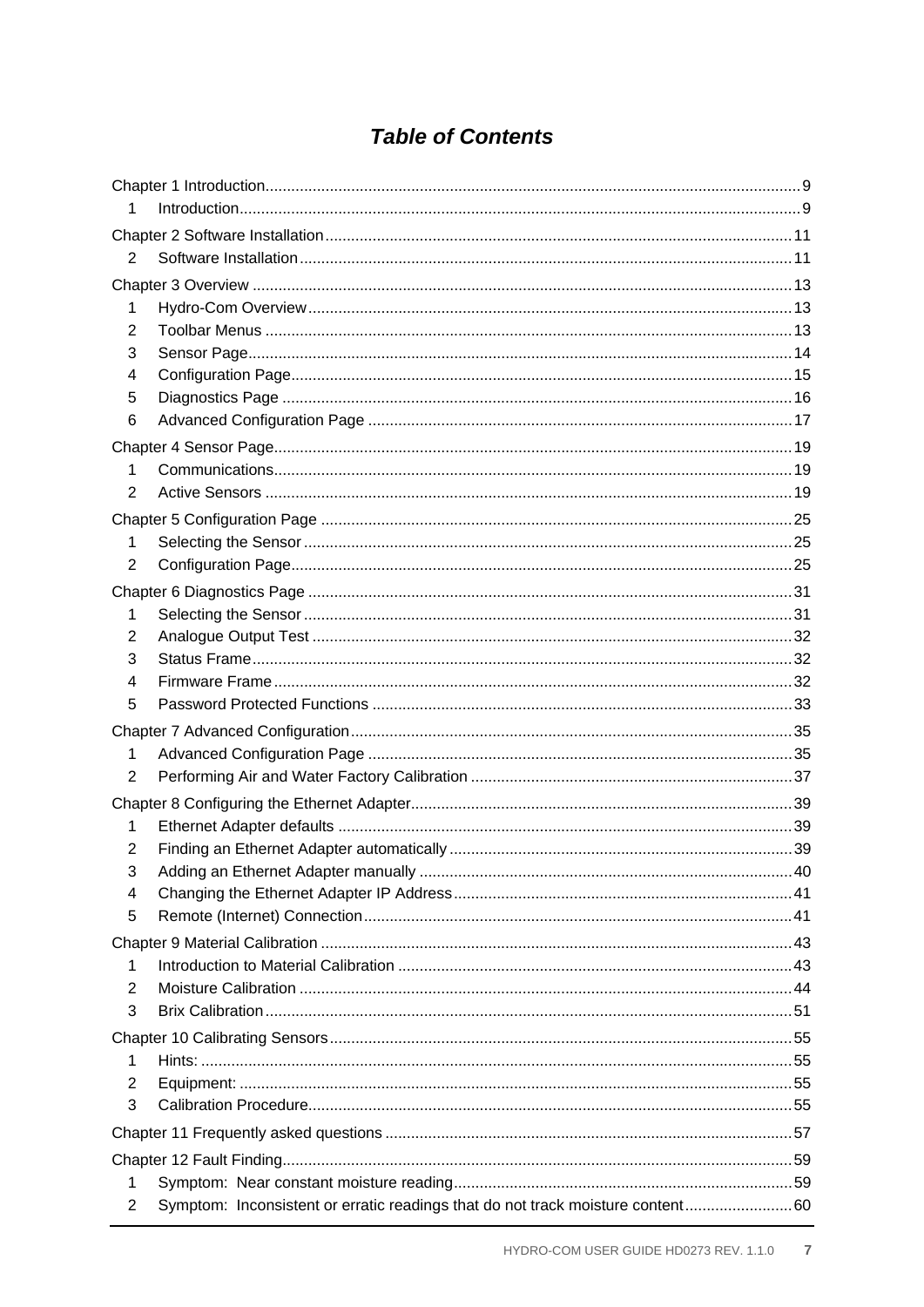# **Table of Contents**

| 1              |                                                                                 |  |  |
|----------------|---------------------------------------------------------------------------------|--|--|
|                |                                                                                 |  |  |
| 2              |                                                                                 |  |  |
|                |                                                                                 |  |  |
| 1              |                                                                                 |  |  |
| 2              |                                                                                 |  |  |
| 3              |                                                                                 |  |  |
| 4              |                                                                                 |  |  |
| 5              |                                                                                 |  |  |
| 6              |                                                                                 |  |  |
|                |                                                                                 |  |  |
| 1              |                                                                                 |  |  |
| 2              |                                                                                 |  |  |
|                |                                                                                 |  |  |
| 1              |                                                                                 |  |  |
| $\overline{2}$ |                                                                                 |  |  |
|                |                                                                                 |  |  |
| 1              |                                                                                 |  |  |
| 2              |                                                                                 |  |  |
| 3              |                                                                                 |  |  |
| 4              |                                                                                 |  |  |
| 5              |                                                                                 |  |  |
|                |                                                                                 |  |  |
| 1              |                                                                                 |  |  |
| $\overline{2}$ |                                                                                 |  |  |
|                |                                                                                 |  |  |
| 1              |                                                                                 |  |  |
| 2              |                                                                                 |  |  |
| 3              |                                                                                 |  |  |
| 4              |                                                                                 |  |  |
| 5              |                                                                                 |  |  |
|                |                                                                                 |  |  |
| 1              |                                                                                 |  |  |
| 2              |                                                                                 |  |  |
| 3              |                                                                                 |  |  |
|                |                                                                                 |  |  |
| 1              |                                                                                 |  |  |
| 2              |                                                                                 |  |  |
| 3              |                                                                                 |  |  |
|                |                                                                                 |  |  |
|                |                                                                                 |  |  |
| 1              |                                                                                 |  |  |
| 2              | Symptom: Inconsistent or erratic readings that do not track moisture content 60 |  |  |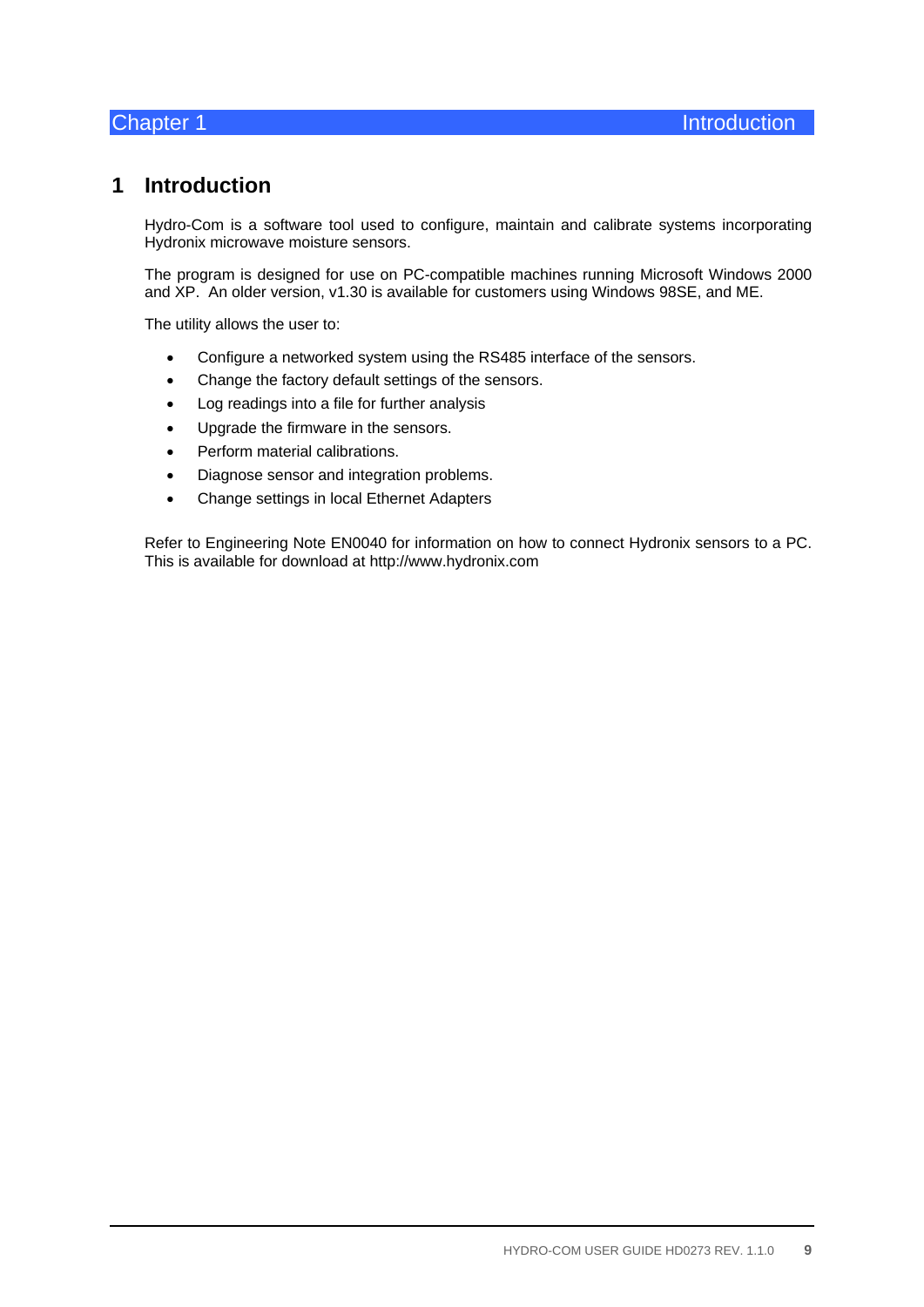# **1 Introduction**

Hydro-Com is a software tool used to configure, maintain and calibrate systems incorporating Hydronix microwave moisture sensors.

The program is designed for use on PC-compatible machines running Microsoft Windows 2000 and XP. An older version, v1.30 is available for customers using Windows 98SE, and ME.

The utility allows the user to:

- Configure a networked system using the RS485 interface of the sensors.
- Change the factory default settings of the sensors.
- Log readings into a file for further analysis
- Upgrade the firmware in the sensors.
- Perform material calibrations.
- Diagnose sensor and integration problems.
- Change settings in local Ethernet Adapters

Refer to Engineering Note EN0040 for information on how to connect Hydronix sensors to a PC. This is available for download at http://www.hydronix.com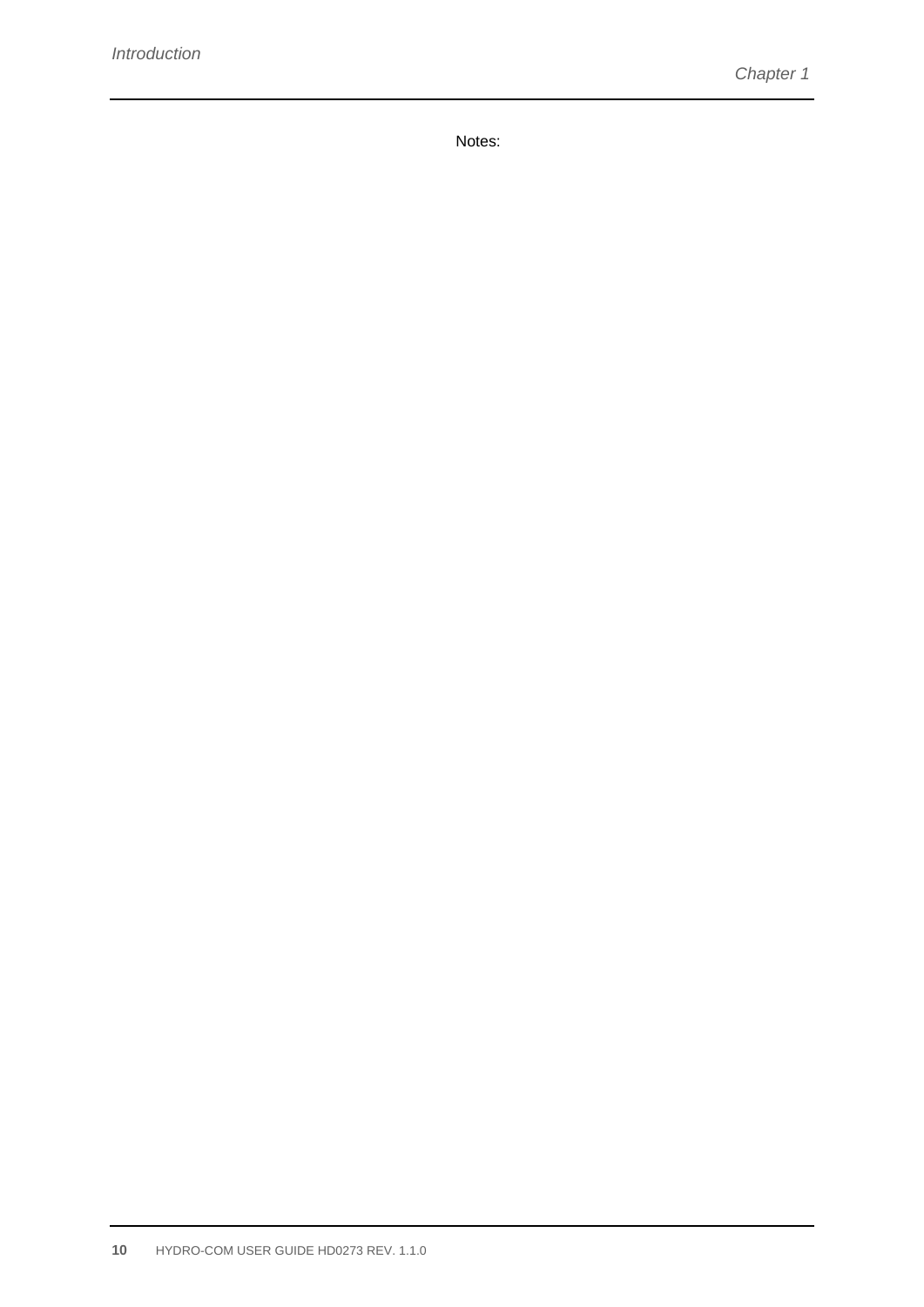Notes: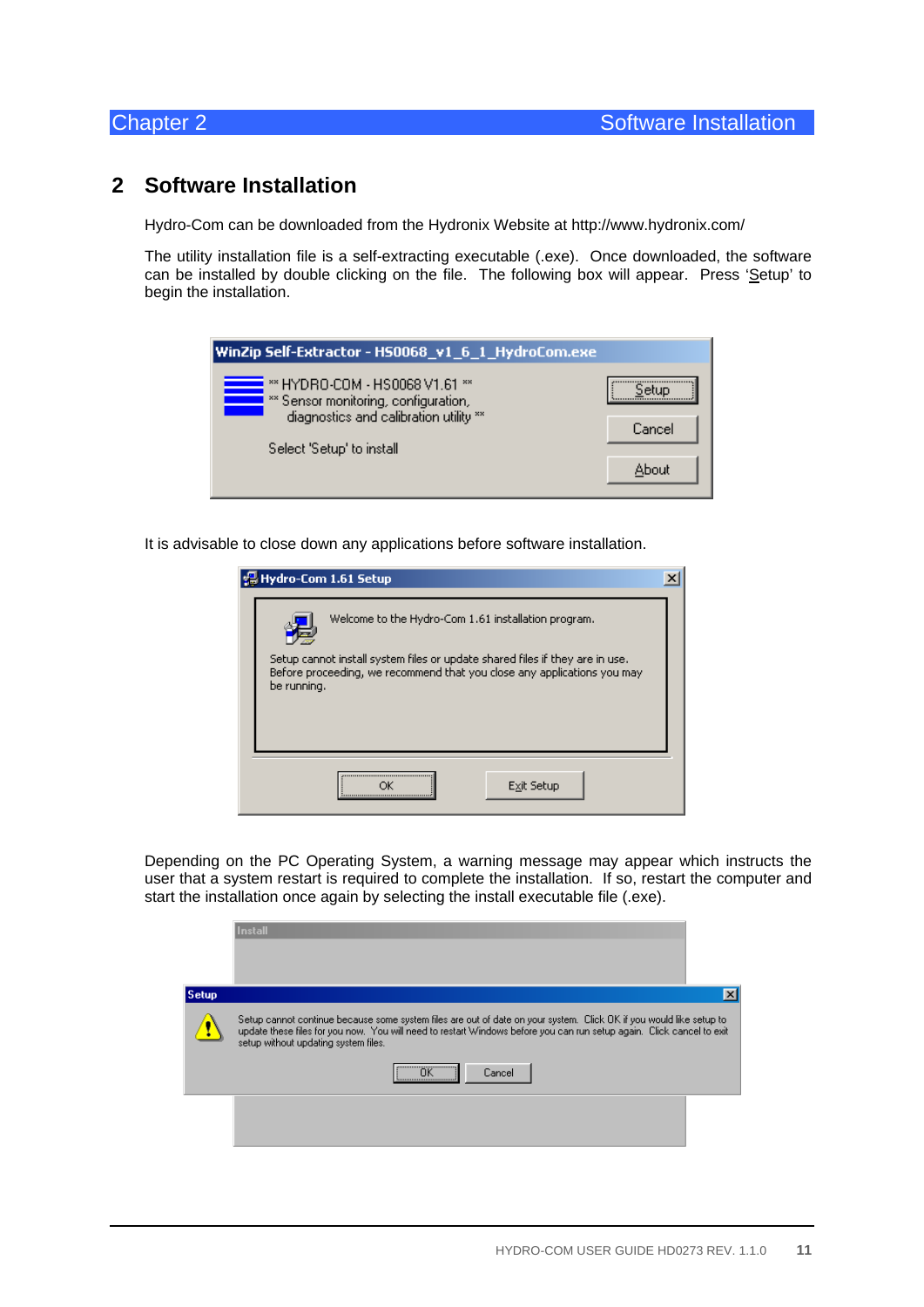# **2 Software Installation**

Hydro-Com can be downloaded from the Hydronix Website at http://www.hydronix.com/

The utility installation file is a self-extracting executable (.exe). Once downloaded, the software can be installed by double clicking on the file. The following box will appear. Press 'Setup' to begin the installation.

| WinZip Self-Extractor - HS0068_v1_6_1_HydroCom.exe                     |        |  |  |
|------------------------------------------------------------------------|--------|--|--|
| ** HYDRO-COM - HS0068 V1.61 **<br>** Sensor monitoring, configuration, | Setun  |  |  |
| diagnostics and calibration utility **                                 | Cancel |  |  |
| Select 'Setup' to install                                              |        |  |  |
|                                                                        | About  |  |  |

It is advisable to close down any applications before software installation.

|             | Hydro-Com 1.61 Setup                                                                                                                |  |
|-------------|-------------------------------------------------------------------------------------------------------------------------------------|--|
|             | Welcome to the Hydro-Com 1.61 installation program.<br>Setup cannot install system files or update shared files if they are in use. |  |
| be running. | Before proceeding, we recommend that you close any applications you may                                                             |  |
|             | <br>Exit Setup                                                                                                                      |  |

Depending on the PC Operating System, a warning message may appear which instructs the user that a system restart is required to complete the installation. If so, restart the computer and start the installation once again by selecting the install executable file (.exe).

|              | <b>Install</b>                                                                                                                                                                                                                                                                                                                                             |  |
|--------------|------------------------------------------------------------------------------------------------------------------------------------------------------------------------------------------------------------------------------------------------------------------------------------------------------------------------------------------------------------|--|
| <b>Setup</b> |                                                                                                                                                                                                                                                                                                                                                            |  |
|              | Setup cannot continue because some system files are out of date on your system. Click OK if you would like setup to<br>update these files for you now. You will need to restart Windows before you can run setup again. Click cancel to exit<br>setup without updating system files.<br>$\overline{\phantom{a}}$ ok $\overline{\phantom{a}}$<br>Cancel<br> |  |
|              |                                                                                                                                                                                                                                                                                                                                                            |  |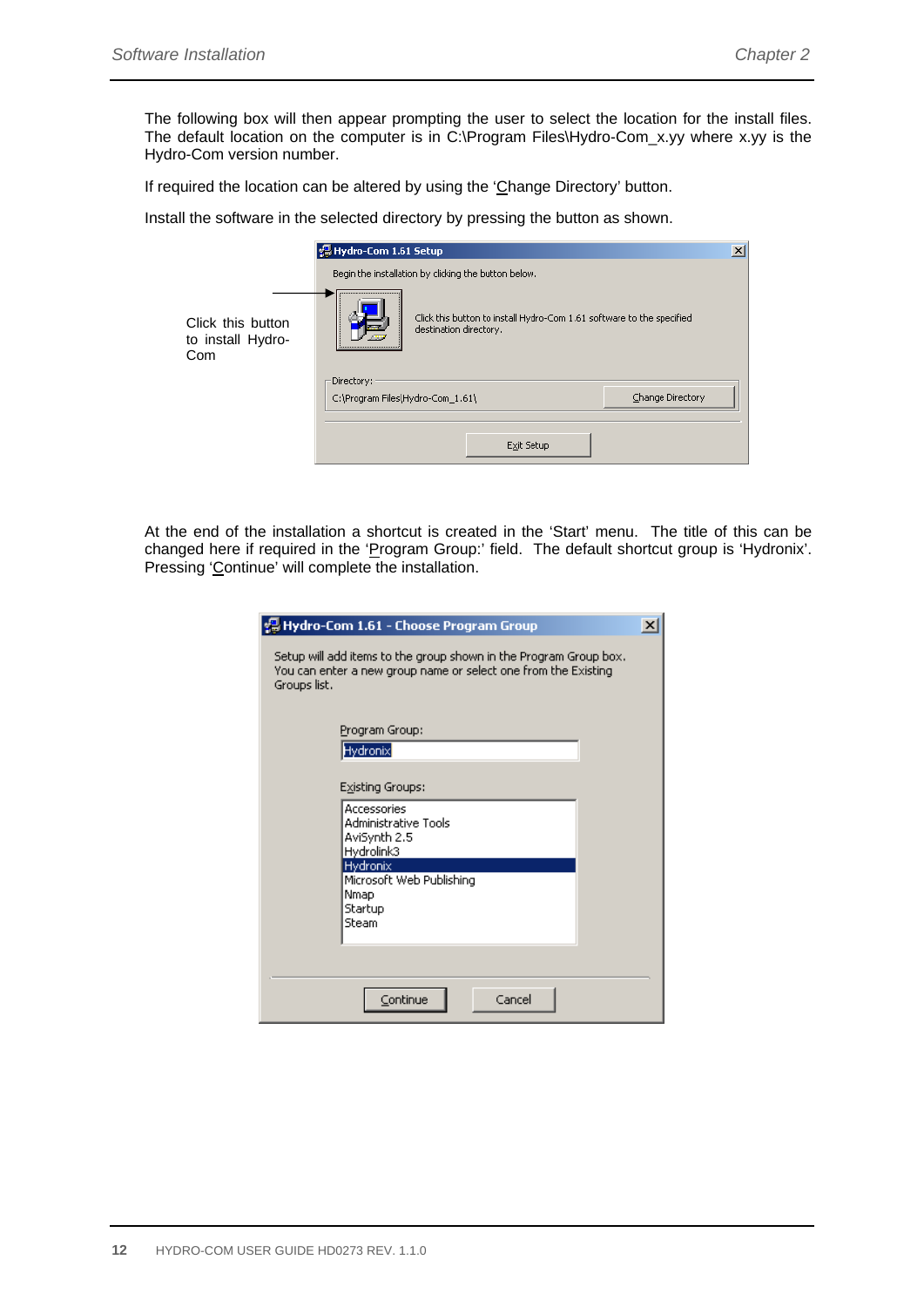The following box will then appear prompting the user to select the location for the install files. The default location on the computer is in C:\Program Files\Hydro-Com\_x.yy where x.yy is the Hydro-Com version number.

If required the location can be altered by using the 'Change Directory' button.

Install the software in the selected directory by pressing the button as shown.

|                                               | 공 Hydro-Com 1.61 Setup                                                                                                            | $\vert x \vert$ |
|-----------------------------------------------|-----------------------------------------------------------------------------------------------------------------------------------|-----------------|
|                                               | Begin the installation by clicking the button below.                                                                              |                 |
| Click this button<br>to install Hydro-<br>Com | Click this button to install Hydro-Com 1.61 software to the specified<br>destination directory.<br>------------------------------ |                 |
|                                               | Directory:<br>Change Directory<br>C:\Program Files\Hydro-Com_1.61\                                                                |                 |
|                                               |                                                                                                                                   |                 |
|                                               | Exit Setup                                                                                                                        |                 |

At the end of the installation a shortcut is created in the 'Start' menu. The title of this can be changed here if required in the 'Program Group:' field. The default shortcut group is 'Hydronix'. Pressing 'Continue' will complete the installation.

| Hydro-Com 1.61 - Choose Program Group                                                                                                               | $\times$ |  |  |
|-----------------------------------------------------------------------------------------------------------------------------------------------------|----------|--|--|
| Setup will add items to the group shown in the Program Group box.<br>You can enter a new group name or select one from the Existing<br>Groups list. |          |  |  |
| Program Group:<br>Hydronix<br>Existing Groups:                                                                                                      |          |  |  |
| Accessories<br>Administrative Tools<br>AviSynth 2.5<br>Hydrolink3<br><b>Hydronix</b><br>Microsoft Web Publishing<br>Nmap<br>Startup<br>Steam        |          |  |  |
| Cancel<br>Continue                                                                                                                                  |          |  |  |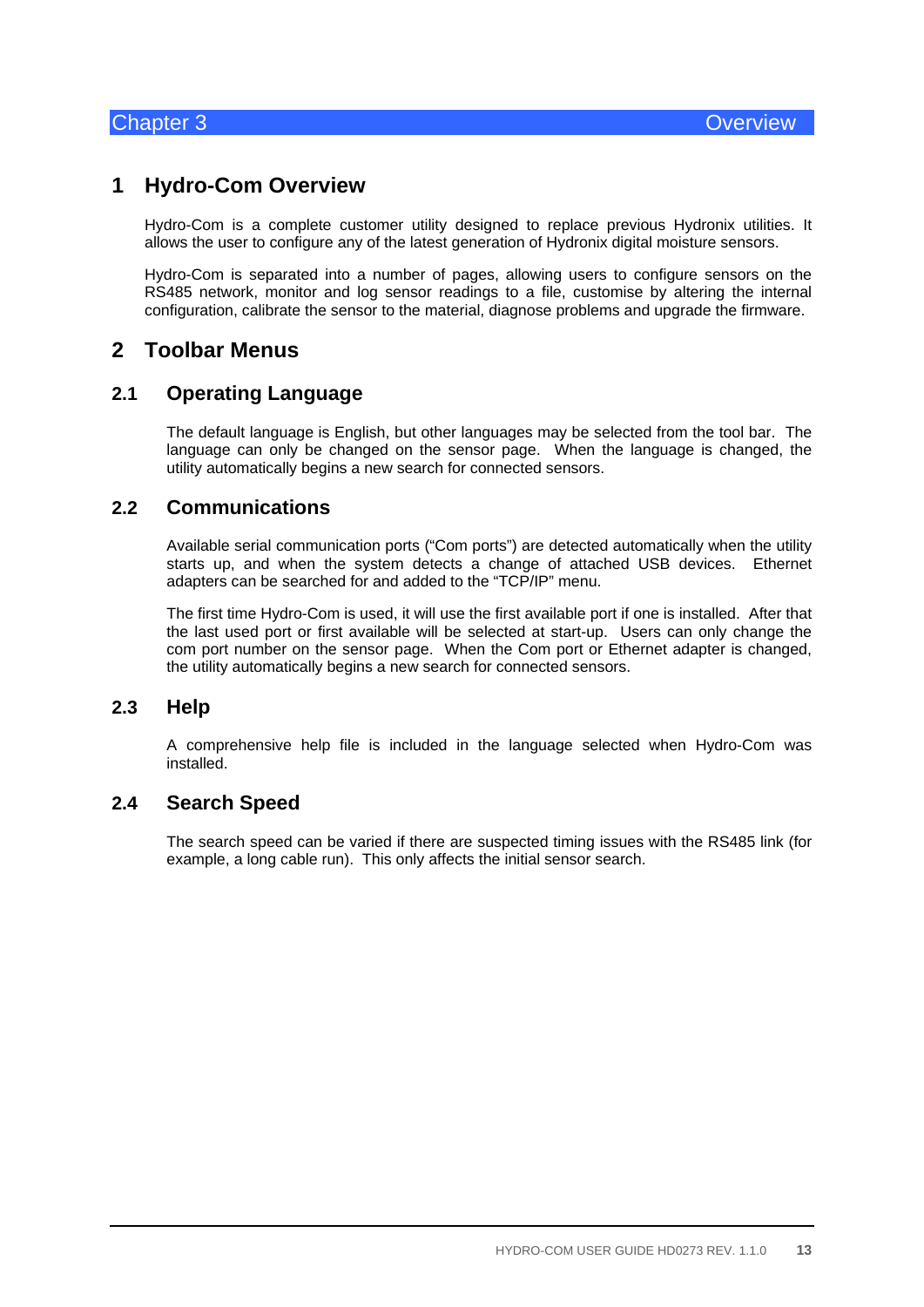# **1 Hydro-Com Overview**

Hydro-Com is a complete customer utility designed to replace previous Hydronix utilities. It allows the user to configure any of the latest generation of Hydronix digital moisture sensors.

Hydro-Com is separated into a number of pages, allowing users to configure sensors on the RS485 network, monitor and log sensor readings to a file, customise by altering the internal configuration, calibrate the sensor to the material, diagnose problems and upgrade the firmware.

# **2 Toolbar Menus**

### **2.1 Operating Language**

The default language is English, but other languages may be selected from the tool bar. The language can only be changed on the sensor page. When the language is changed, the utility automatically begins a new search for connected sensors.

### **2.2 Communications**

Available serial communication ports ("Com ports") are detected automatically when the utility starts up, and when the system detects a change of attached USB devices. Ethernet adapters can be searched for and added to the "TCP/IP" menu.

The first time Hydro-Com is used, it will use the first available port if one is installed. After that the last used port or first available will be selected at start-up. Users can only change the com port number on the sensor page. When the Com port or Ethernet adapter is changed, the utility automatically begins a new search for connected sensors.

### **2.3 Help**

A comprehensive help file is included in the language selected when Hydro-Com was installed.

# **2.4 Search Speed**

The search speed can be varied if there are suspected timing issues with the RS485 link (for example, a long cable run). This only affects the initial sensor search.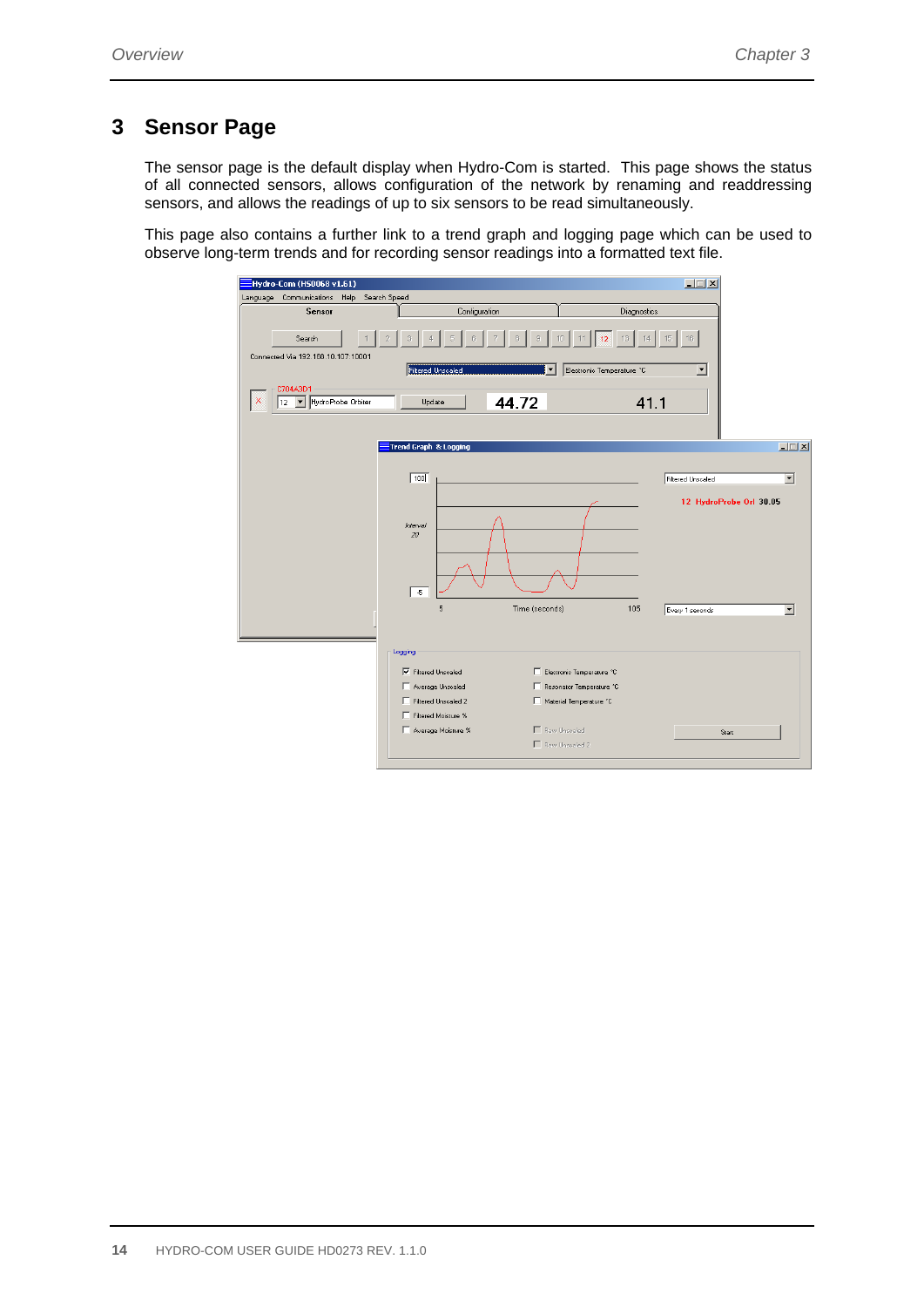# **3 Sensor Page**

The sensor page is the default display when Hydro-Com is started. This page shows the status of all connected sensors, allows configuration of the network by renaming and readdressing sensors, and allows the readings of up to six sensors to be read simultaneously.

This page also contains a further link to a trend graph and logging page which can be used to observe long-term trends and for recording sensor readings into a formatted text file.

| Hydro-Com (HS0068 v1.61)                                           |                                                                                                                                                                                                                                                     | $\Box$                                                                                                         |  |  |
|--------------------------------------------------------------------|-----------------------------------------------------------------------------------------------------------------------------------------------------------------------------------------------------------------------------------------------------|----------------------------------------------------------------------------------------------------------------|--|--|
| Language Communications Help<br>Search Speed                       |                                                                                                                                                                                                                                                     |                                                                                                                |  |  |
| <b>Sensor</b>                                                      | Configuration                                                                                                                                                                                                                                       | Diagnostics                                                                                                    |  |  |
| Search<br>Connected Via 192.168.10.107:10001                       | Filtered Unscaled<br>Electronic Temperature °C<br>▼                                                                                                                                                                                                 | 16<br>13<br>15<br>$\blacktriangledown$                                                                         |  |  |
| C704A3D1<br>Hydro Probe Orbiter<br>×<br>$\blacktriangledown$<br>12 | 44.72<br>Update                                                                                                                                                                                                                                     | 41.1                                                                                                           |  |  |
|                                                                    | Trend Graph & Logging                                                                                                                                                                                                                               | $\Box$                                                                                                         |  |  |
|                                                                    | $\sqrt{100}$<br>Interval<br>20<br>$\overline{5}$<br>5<br>Time (seconds)                                                                                                                                                                             | <b>Filtered Unscaled</b><br>▾<br>12 HydroProbe Orl 30.05<br>105<br>$\overline{\phantom{a}}$<br>Every 1 seconds |  |  |
|                                                                    | Logging<br><b>▽</b> Filtered Unscaled<br>Electronic Temperature °C<br>Average Unscaled<br>Resonator Temperature °C<br>Filtered Unscaled 2<br>Material Temperature °C<br>Filtered Moisture %<br>Average Moisture %<br>Raw Unscaled<br>Raw Unscaled 2 | Start                                                                                                          |  |  |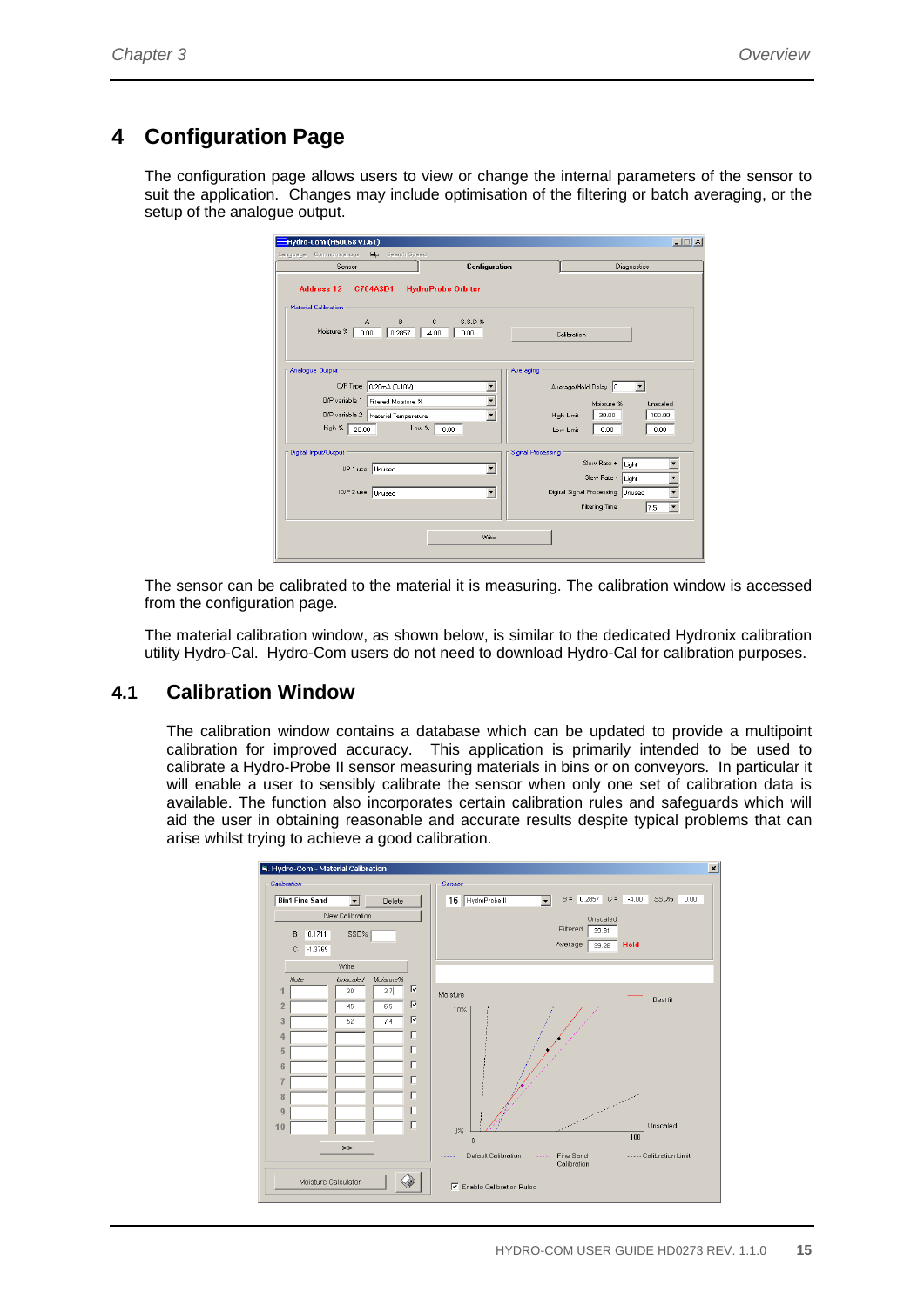# **4 Configuration Page**

The configuration page allows users to view or change the internal parameters of the sensor to suit the application. Changes may include optimisation of the filtering or batch averaging, or the setup of the analogue output.

| Hydro-Com (HS0068 v1.61)<br>Language Communications<br>Help Search Speed                  |                   | $   $ $  $ $\times$                |
|-------------------------------------------------------------------------------------------|-------------------|------------------------------------|
| Configuration<br>Sensor                                                                   |                   | Diagnostics                        |
| <b>Address 12</b><br><b>HydroProbe Orbiter</b><br>C704A3D1<br><b>Material Calibration</b> |                   |                                    |
| S.S.D %<br>B<br>А<br>с<br>Moisture %<br>0.2857<br>0.00<br>$-4.00$<br>0.00                 |                   | Calibration                        |
| Analogue Output                                                                           | Averaging         |                                    |
| 0/P Type 0-20mA (0-10V)                                                                   |                   | Average/Hold Delay 0<br>▼          |
| O/P variable 1   Filtered Moisture %                                                      |                   | Moisture %<br>Unscaled             |
| $\overline{\phantom{0}}$<br>O/P variable 2   Material Temperature                         |                   | High Limit<br>30.00<br>100.00      |
| Low %<br>High % 20.00<br>0.00                                                             |                   | 0.00<br>0.00<br>Low Limit          |
| Digital Input/Output                                                                      | Signal Processing |                                    |
| ▼<br>I/P 1 use Unused                                                                     |                   | Slew Rate +<br>Light               |
|                                                                                           |                   | Slew Rate - Light                  |
| IO/P 2 use Unused<br>$\overline{\phantom{a}}$                                             |                   | Digital Signal Processing   Unused |
|                                                                                           |                   | <b>Filtering Time</b><br>7.5       |
| Write                                                                                     |                   |                                    |
|                                                                                           |                   |                                    |

The sensor can be calibrated to the material it is measuring. The calibration window is accessed from the configuration page.

The material calibration window, as shown below, is similar to the dedicated Hydronix calibration utility Hydro-Cal. Hydro-Com users do not need to download Hydro-Cal for calibration purposes.

# **4.1 Calibration Window**

The calibration window contains a database which can be updated to provide a multipoint calibration for improved accuracy. This application is primarily intended to be used to calibrate a Hydro-Probe II sensor measuring materials in bins or on conveyors. In particular it will enable a user to sensibly calibrate the sensor when only one set of calibration data is available. The function also incorporates certain calibration rules and safeguards which will aid the user in obtaining reasonable and accurate results despite typical problems that can arise whilst trying to achieve a good calibration.

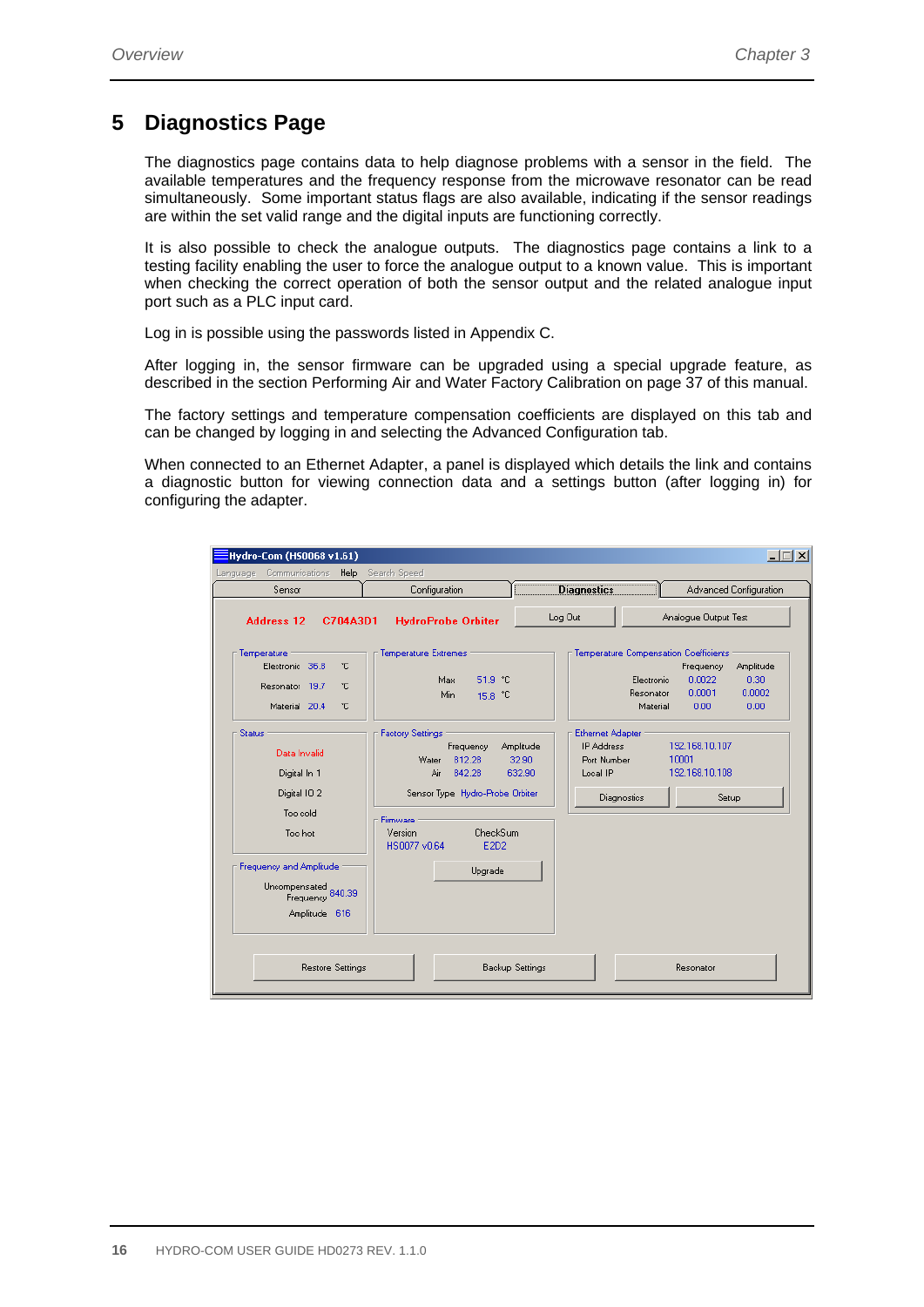# **5 Diagnostics Page**

The diagnostics page contains data to help diagnose problems with a sensor in the field. The available temperatures and the frequency response from the microwave resonator can be read simultaneously. Some important status flags are also available, indicating if the sensor readings are within the set valid range and the digital inputs are functioning correctly.

It is also possible to check the analogue outputs. The diagnostics page contains a link to a testing facility enabling the user to force the analogue output to a known value. This is important when checking the correct operation of both the sensor output and the related analogue input port such as a PLC input card.

Log in is possible using the passwords listed in Appendix C.

After logging in, the sensor firmware can be upgraded using a special upgrade feature, as described in the section Performing Air and Water Factory Calibration on page 37 of this manual.

The factory settings and temperature compensation coefficients are displayed on this tab and can be changed by logging in and selecting the Advanced Configuration tab.

When connected to an Ethernet Adapter, a panel is displayed which details the link and contains a diagnostic button for viewing connection data and a settings button (after logging in) for configuring the adapter.

| Hydro-Com (HS0068 v1.61)                                                                                                                                             |                                                                                                                                                                                   |                                                                                                                        |                                                                              | $\Box$ $\Box$ $\times$                                                       |
|----------------------------------------------------------------------------------------------------------------------------------------------------------------------|-----------------------------------------------------------------------------------------------------------------------------------------------------------------------------------|------------------------------------------------------------------------------------------------------------------------|------------------------------------------------------------------------------|------------------------------------------------------------------------------|
| Communications Help<br>Language                                                                                                                                      | Search Speed                                                                                                                                                                      |                                                                                                                        |                                                                              |                                                                              |
| Sensor                                                                                                                                                               | Configuration                                                                                                                                                                     | <b>Diagnostics</b><br>;                                                                                                |                                                                              | Advanced Configuration                                                       |
| <b>Address 12</b><br>C704A3D1                                                                                                                                        | <b>HydroProbe Orbiter</b>                                                                                                                                                         | Log Out                                                                                                                |                                                                              | Analogue Output Test                                                         |
| Temperature<br>۴C<br>Electronic 36.8<br>۴C<br>Resonator 19.7<br>۴C<br>Material 20.4                                                                                  | Temperature Extremes<br>51.9 °C<br>Max.<br>Min.<br>15.8 °C                                                                                                                        |                                                                                                                        | Temperature Compensation Coefficients<br>Electronic<br>Resonator<br>Material | Amplitude<br>Frequency<br>0.0022<br>0.30<br>0.0001<br>0.0002<br>0.00<br>0.00 |
| <b>Status</b><br>Data Invalid<br>Digital In 1<br>Digital 102<br>Too cold<br>Too hot<br>Frequency and Amplitude<br>Uncompensated<br>Frequency 840.39<br>Amplitude 616 | <b>Factory Settings</b><br>Frequency<br>812.28<br>Water<br>Air<br>842.28<br>Sensor Type Hydro-Probe Orbiter<br>Firmware<br>CheckSum<br>Version<br>HS0077 v0.64<br>E2D2<br>Upgrade | <b>Ethernet Adapter</b><br><b>IP Address</b><br>Amplitude<br>32.90<br>Port Number<br>632.90<br>Local IP<br>Diagnostics | 192.168.10.107<br>10001<br>192.168.10.108                                    | Setup                                                                        |
| Restore Settings                                                                                                                                                     |                                                                                                                                                                                   | Backup Settings                                                                                                        | Resonator                                                                    |                                                                              |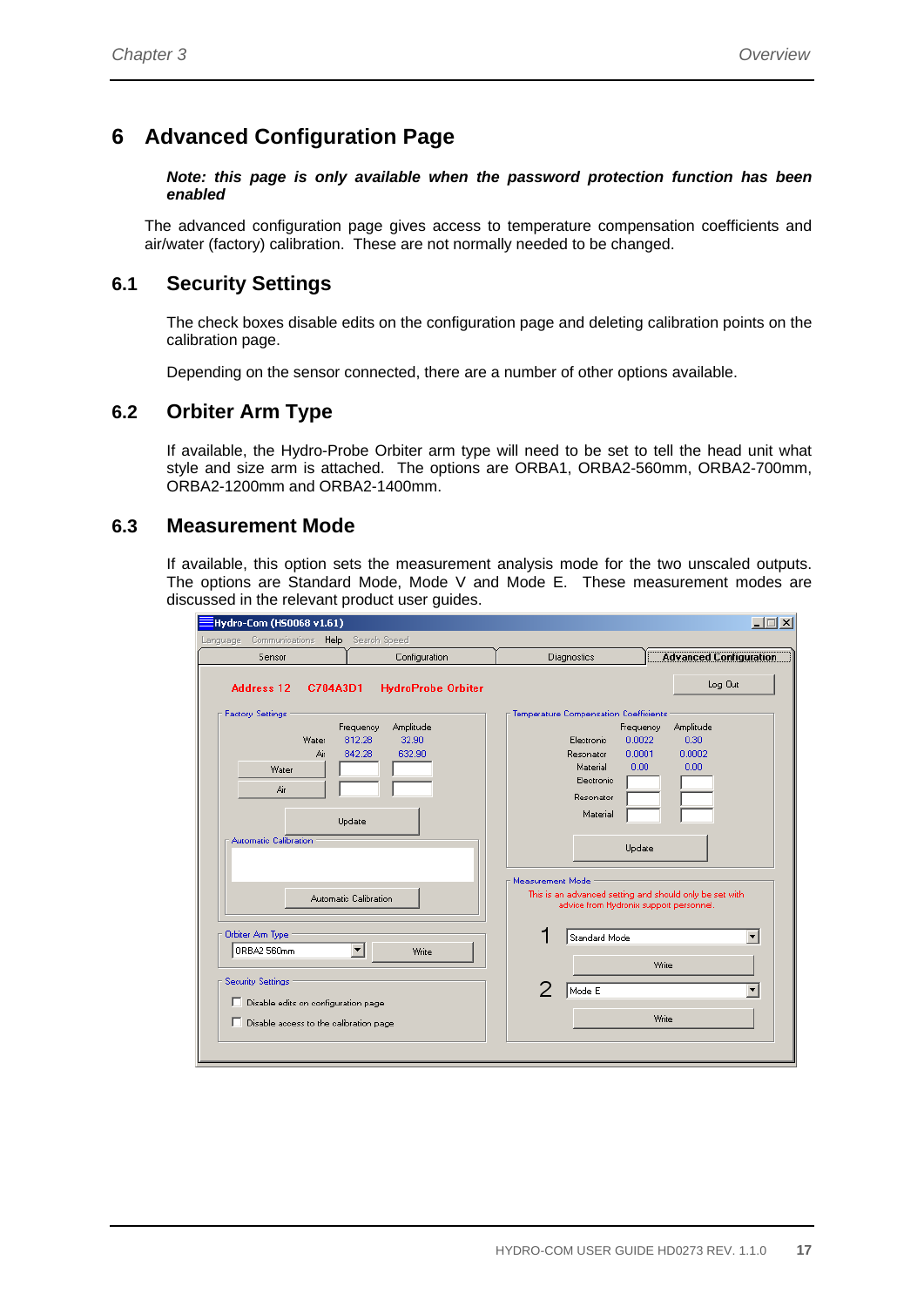# **6 Advanced Configuration Page**

*Note: this page is only available when the password protection function has been enabled* 

The advanced configuration page gives access to temperature compensation coefficients and air/water (factory) calibration. These are not normally needed to be changed.

## **6.1 Security Settings**

The check boxes disable edits on the configuration page and deleting calibration points on the calibration page.

Depending on the sensor connected, there are a number of other options available.

### **6.2 Orbiter Arm Type**

If available, the Hydro-Probe Orbiter arm type will need to be set to tell the head unit what style and size arm is attached. The options are ORBA1, ORBA2-560mm, ORBA2-700mm, ORBA2-1200mm and ORBA2-1400mm.

#### **6.3 Measurement Mode**

If available, this option sets the measurement analysis mode for the two unscaled outputs. The options are Standard Mode, Mode V and Mode E. These measurement modes are discussed in the relevant product user guides.

| EHydro-Com (HS0068 v1.61)                                                                                                                                                          | $ \Box$ $\times$                                                                                                                                                                                    |
|------------------------------------------------------------------------------------------------------------------------------------------------------------------------------------|-----------------------------------------------------------------------------------------------------------------------------------------------------------------------------------------------------|
| Search Speed<br>Communications Help<br>Language                                                                                                                                    |                                                                                                                                                                                                     |
| Configuration<br>Sensor                                                                                                                                                            | <b>Advanced Configuration</b><br>Diagnostics                                                                                                                                                        |
| <b>Address 12</b><br>C704A3D1<br><b>HydroProbe Orbiter</b>                                                                                                                         | Log Out                                                                                                                                                                                             |
| <b>Factory Settings</b><br>Frequency<br>Amplitude<br>812.28<br>32.90<br>Water<br>842.28<br>632.90<br>Air<br>Water<br>Air<br>Update<br>Automatic Calibration                        | Temperature Compensation Coefficients<br>Amplitude<br>Frequency<br>0.30<br>0.0022<br>Electronic<br>0.0001<br>0.0002<br>Resonator<br>0.00<br>0.00<br>Material<br>Electronic<br>Resonator<br>Material |
| Automatic Calibration<br>Orbiter Arm Type<br>▾╎<br>ORBA2 560mm<br>Write<br>Security Settings<br>Disable edits on configuration page<br>Е<br>Disable access to the calibration page | Update<br>Measurement Mode<br>This is an advanced setting and should only be set with<br>advice from Hydronix support personnel.<br>Standard Mode<br>▼<br>Write<br>2<br>Mode E<br>Write             |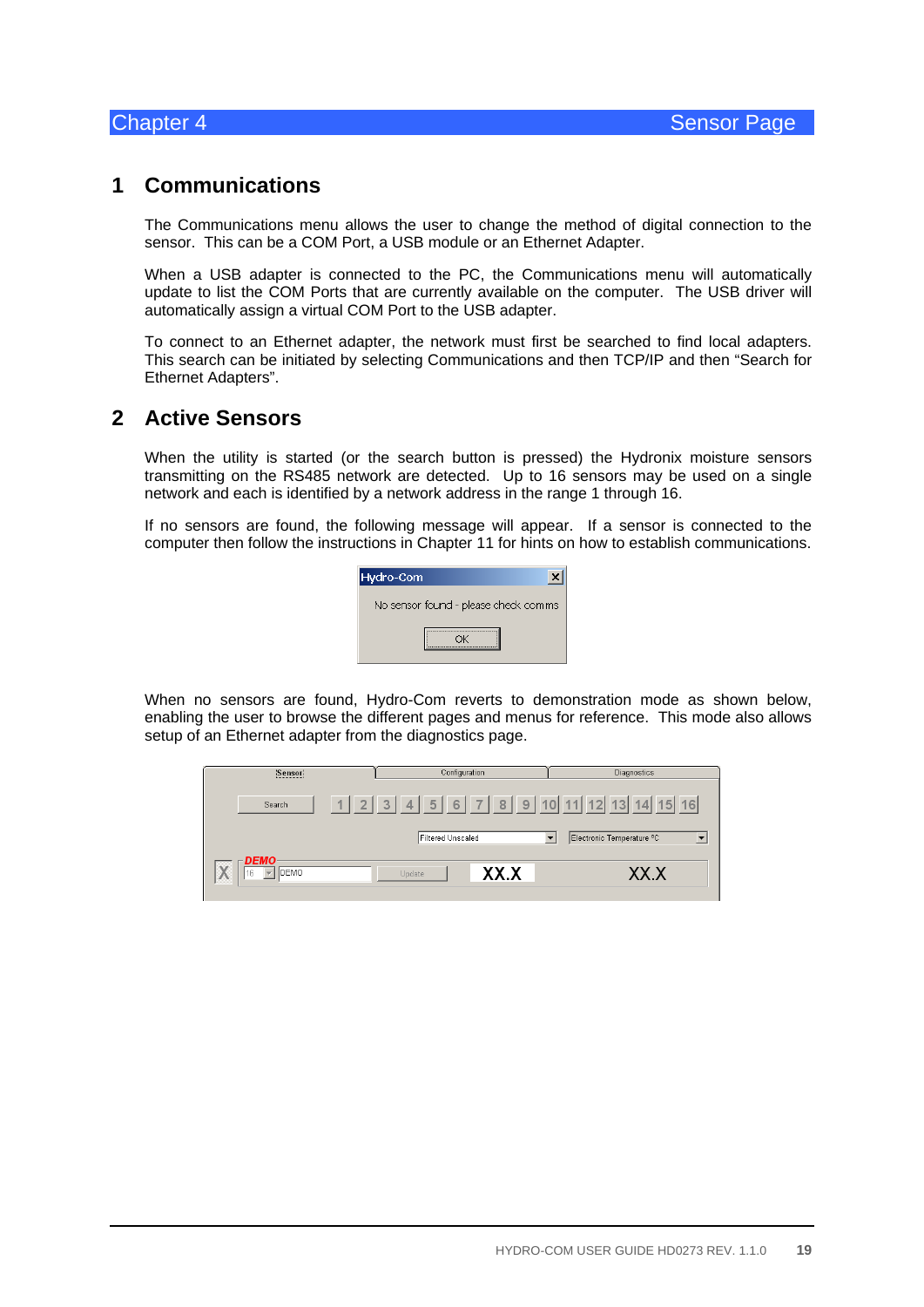# **1 Communications**

The Communications menu allows the user to change the method of digital connection to the sensor. This can be a COM Port, a USB module or an Ethernet Adapter.

When a USB adapter is connected to the PC, the Communications menu will automatically update to list the COM Ports that are currently available on the computer. The USB driver will automatically assign a virtual COM Port to the USB adapter.

To connect to an Ethernet adapter, the network must first be searched to find local adapters. This search can be initiated by selecting Communications and then TCP/IP and then "Search for Ethernet Adapters".

# **2 Active Sensors**

When the utility is started (or the search button is pressed) the Hydronix moisture sensors transmitting on the RS485 network are detected. Up to 16 sensors may be used on a single network and each is identified by a network address in the range 1 through 16.

If no sensors are found, the following message will appear. If a sensor is connected to the computer then follow the instructions in Chapter 11 for hints on how to establish communications.

| Hydro-Com                            |  |
|--------------------------------------|--|
| No sensor found - please check comms |  |
|                                      |  |

When no sensors are found, Hydro-Com reverts to demonstration mode as shown below, enabling the user to browse the different pages and menus for reference. This mode also allows setup of an Ethernet adapter from the diagnostics page.

| Sensori             | Configuration                                                          | <b>Diagnostics</b>             |
|---------------------|------------------------------------------------------------------------|--------------------------------|
| Search              | $1 \ 2 \ 3 \ 4 \ 5 \ 6 \ 7 \ 8 \ 9 \ 10 \ 11 \ 12 \ 13 \ 14 \ 15 \ 16$ |                                |
|                     | Filtered Unscaled                                                      | Electronic Temperature °C<br>▼ |
| <b>DEMO</b><br>DEMO | XX.X<br>Update                                                         | XX X                           |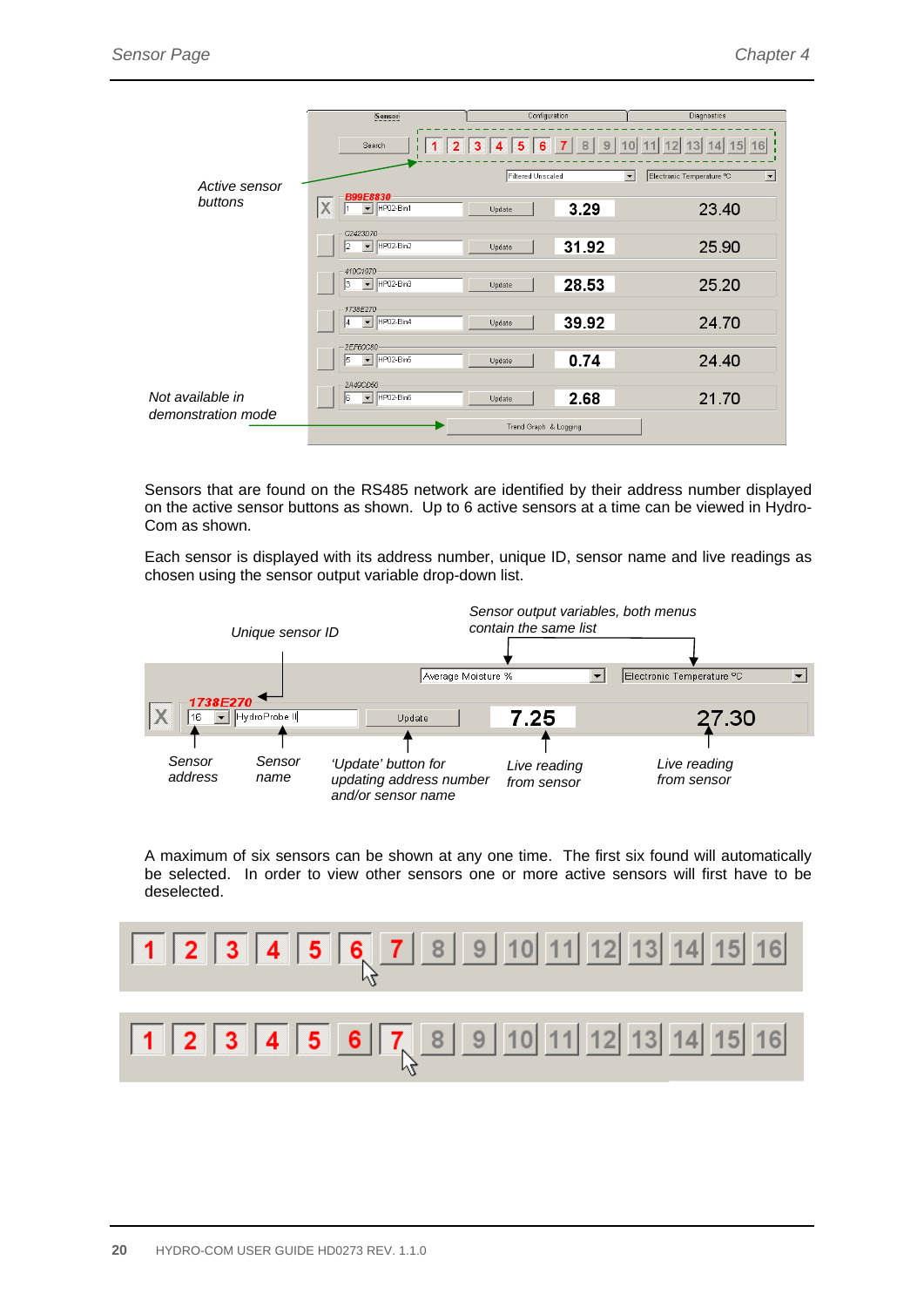|                                        | Sensor                                                  | Configuration                                                                | Diagnostics                                                                         |
|----------------------------------------|---------------------------------------------------------|------------------------------------------------------------------------------|-------------------------------------------------------------------------------------|
|                                        | Search                                                  | 3 <sup>1</sup><br>2 <sub>1</sub><br>$5\phantom{1}$<br>6<br>Filtered Unscaled | 16<br>$\overline{\phantom{a}}$<br>Electronic Temperature °C<br>$\blacktriangledown$ |
| Active sensor<br>buttons               | B99E8830<br>X<br>$\blacktriangleright$ HP02-Bin1        | 3.29<br>Update                                                               | 23.40                                                                               |
|                                        | C2423D70<br>HP02-Bin2<br>$\overline{\phantom{a}}$<br>2  | 31.92<br>Update                                                              | 25.90                                                                               |
|                                        | 410C1970<br>HP02-Bin3<br>ıз<br>$\overline{\phantom{a}}$ | 28.53<br>Update                                                              | 25.20                                                                               |
|                                        | 1738E270<br>HP02-Bin4<br>$\blacktriangledown$           | 39.92<br>Update                                                              | 24.70                                                                               |
|                                        | 2EF60C80<br>HP02-Bin5<br>15.<br>$\vert \cdot \vert$     | 0.74<br>Update                                                               | 24.40                                                                               |
| Not available in<br>demonstration mode | 2A49CD50<br>HP02-Bin6<br>$\blacktriangledown$<br>l6     | 2.68<br>Update                                                               | 21.70                                                                               |
|                                        |                                                         | Trend Graph & Logging                                                        |                                                                                     |

Sensors that are found on the RS485 network are identified by their address number displayed on the active sensor buttons as shown. Up to 6 active sensors at a time can be viewed in Hydro-Com as shown.

Each sensor is displayed with its address number, unique ID, sensor name and live readings as chosen using the sensor output variable drop-down list.



A maximum of six sensors can be shown at any one time. The first six found will automatically be selected. In order to view other sensors one or more active sensors will first have to be deselected.

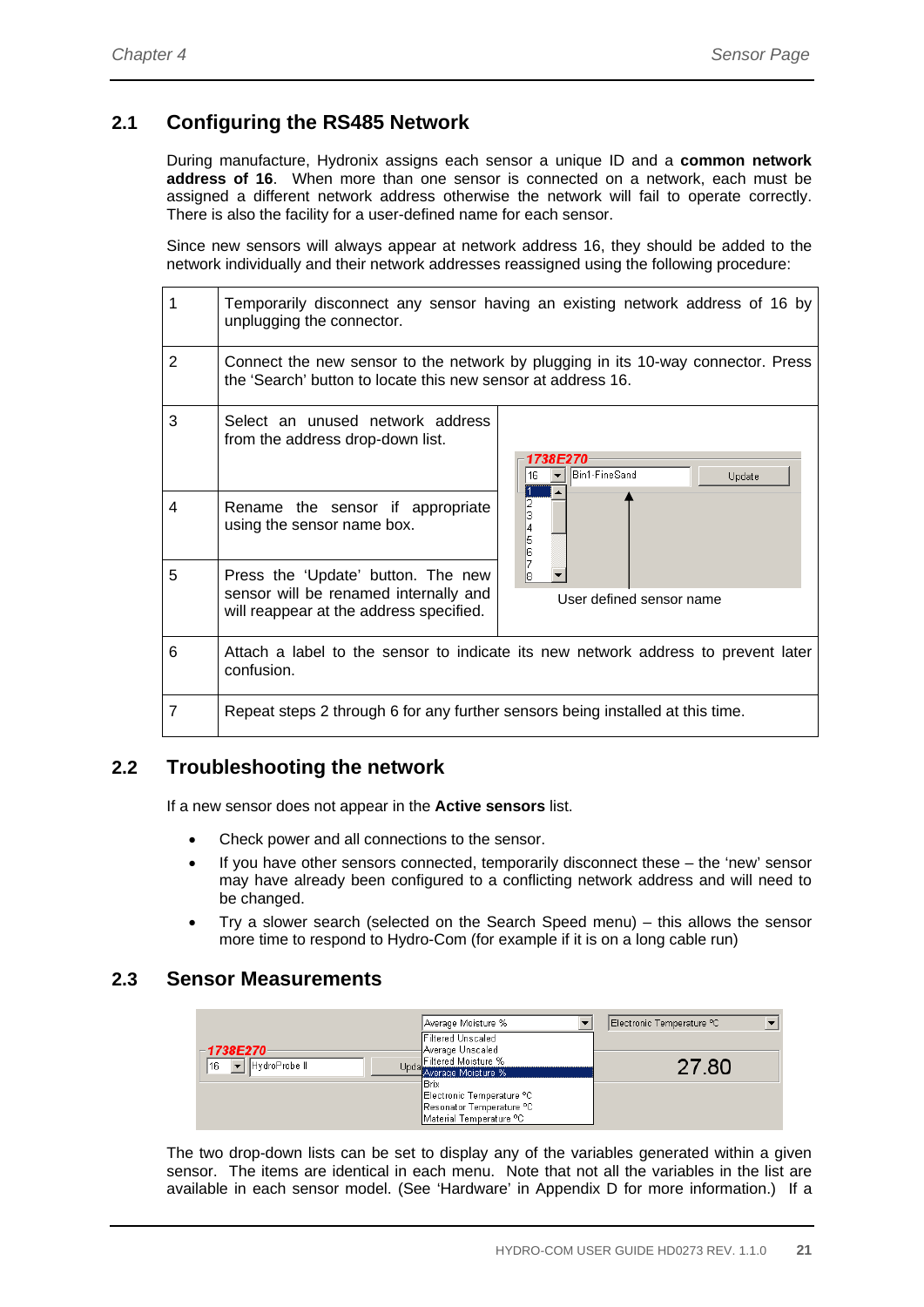# **2.1 Configuring the RS485 Network**

During manufacture, Hydronix assigns each sensor a unique ID and a **common network address of 16**. When more than one sensor is connected on a network, each must be assigned a different network address otherwise the network will fail to operate correctly. There is also the facility for a user-defined name for each sensor.

Since new sensors will always appear at network address 16, they should be added to the network individually and their network addresses reassigned using the following procedure:

| 1 | unplugging the connector.                                                                                                                        | Temporarily disconnect any sensor having an existing network address of 16 by |  |
|---|--------------------------------------------------------------------------------------------------------------------------------------------------|-------------------------------------------------------------------------------|--|
| 2 | Connect the new sensor to the network by plugging in its 10-way connector. Press<br>the 'Search' button to locate this new sensor at address 16. |                                                                               |  |
| 3 | Select an unused network address<br>from the address drop-down list.                                                                             | Bin1-FineSand<br>Update                                                       |  |
| 4 | Rename the sensor if appropriate<br>using the sensor name box.                                                                                   | 6                                                                             |  |
| 5 | Press the 'Update' button. The new<br>sensor will be renamed internally and<br>will reappear at the address specified.                           | User defined sensor name                                                      |  |
| 6 | Attach a label to the sensor to indicate its new network address to prevent later<br>confusion.                                                  |                                                                               |  |
| 7 | Repeat steps 2 through 6 for any further sensors being installed at this time.                                                                   |                                                                               |  |

# **2.2 Troubleshooting the network**

If a new sensor does not appear in the **Active sensors** list.

- Check power and all connections to the sensor.
- If you have other sensors connected, temporarily disconnect these the 'new' sensor may have already been configured to a conflicting network address and will need to be changed.
- Try a slower search (selected on the Search Speed menu) this allows the sensor more time to respond to Hydro-Com (for example if it is on a long cable run)

### **2.3 Sensor Measurements**



The two drop-down lists can be set to display any of the variables generated within a given sensor. The items are identical in each menu. Note that not all the variables in the list are available in each sensor model. (See 'Hardware' in Appendix D for more information.) If a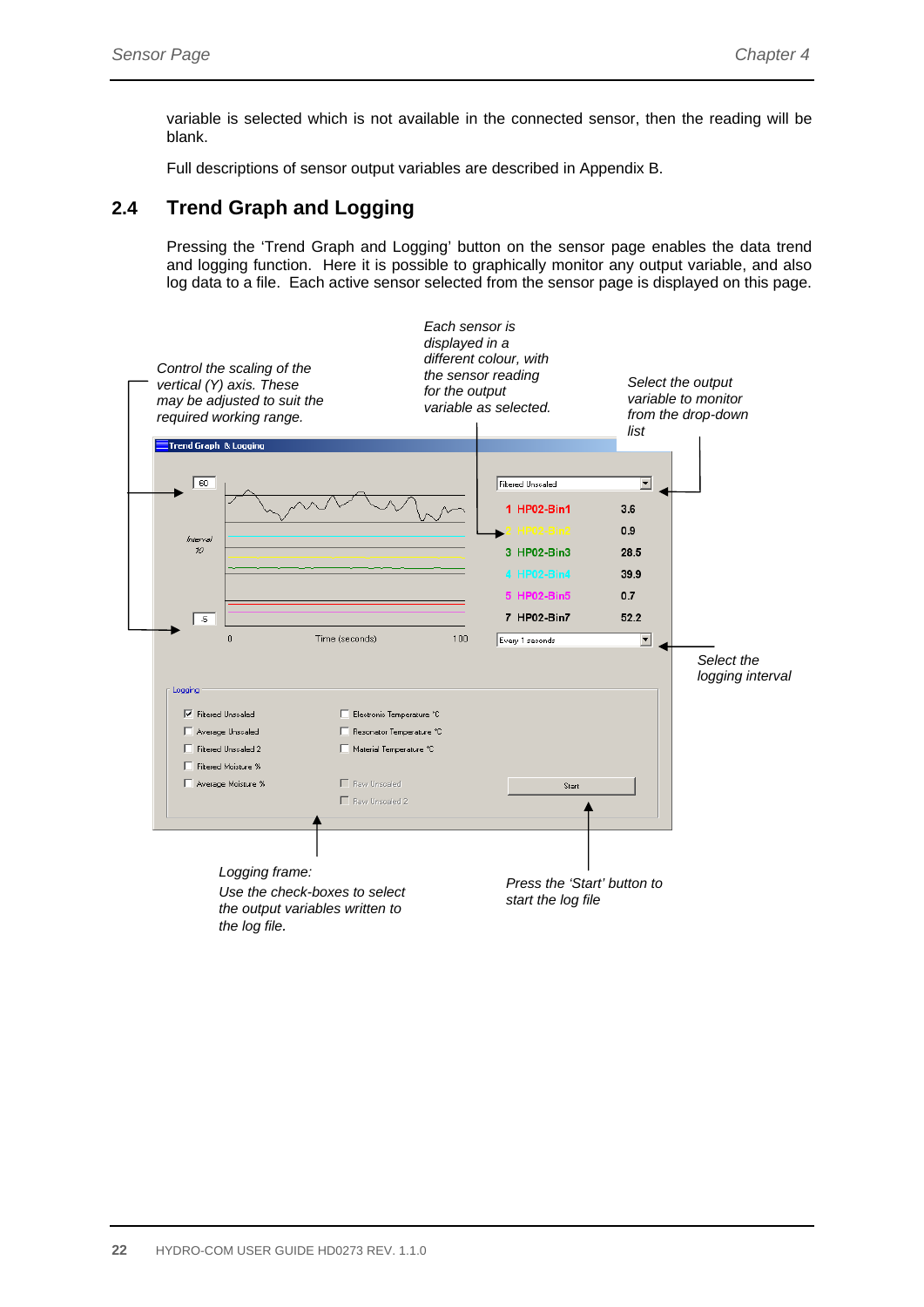variable is selected which is not available in the connected sensor, then the reading will be blank.

Full descriptions of sensor output variables are described in Appendix B.

## **2.4 Trend Graph and Logging**

Pressing the 'Trend Graph and Logging' button on the sensor page enables the data trend and logging function. Here it is possible to graphically monitor any output variable, and also log data to a file. Each active sensor selected from the sensor page is displayed on this page.

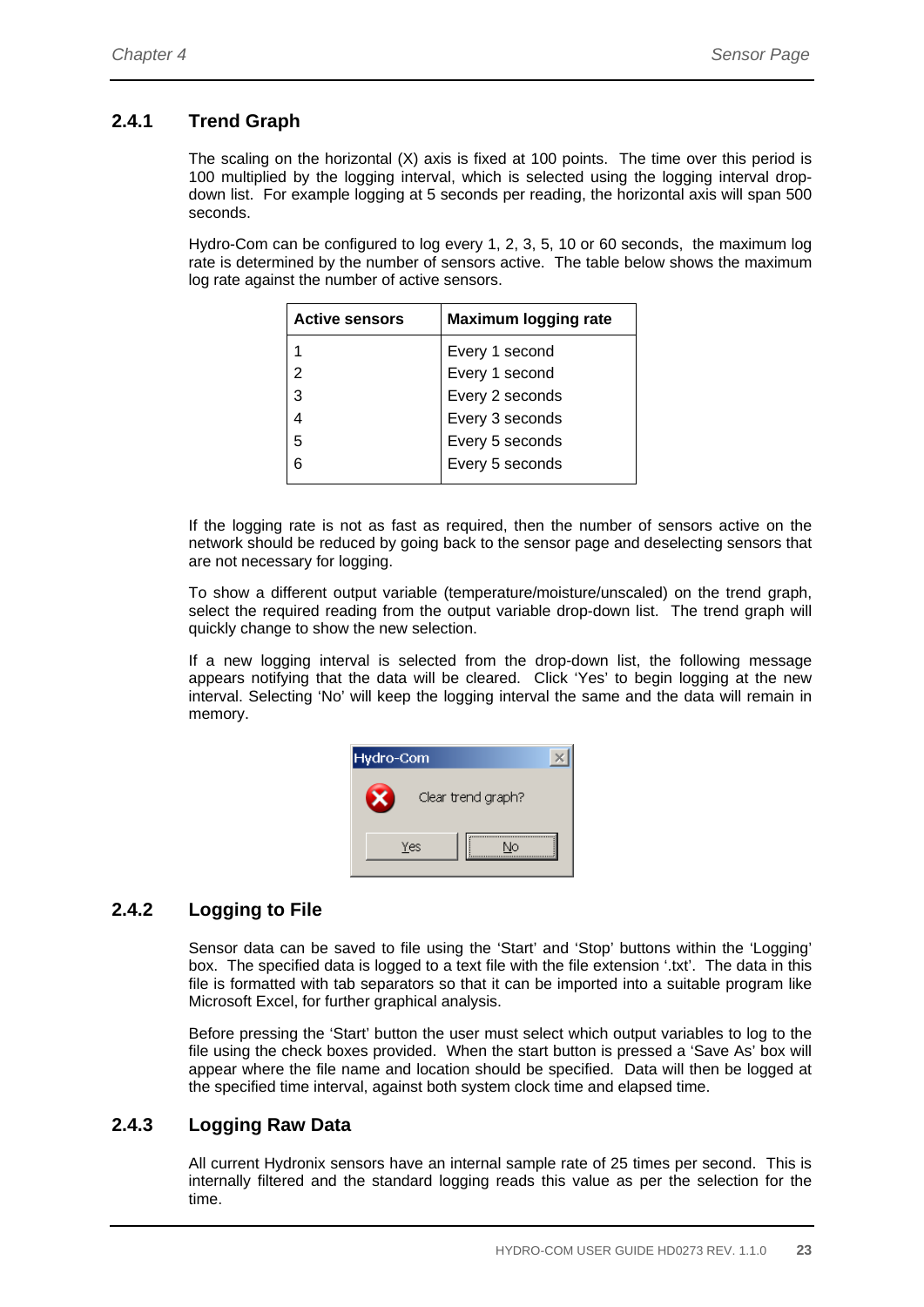## **2.4.1 Trend Graph**

The scaling on the horizontal (X) axis is fixed at 100 points. The time over this period is 100 multiplied by the logging interval, which is selected using the logging interval dropdown list. For example logging at 5 seconds per reading, the horizontal axis will span 500 seconds.

Hydro-Com can be configured to log every 1, 2, 3, 5, 10 or 60 seconds, the maximum log rate is determined by the number of sensors active. The table below shows the maximum log rate against the number of active sensors.

| <b>Active sensors</b> | <b>Maximum logging rate</b> |
|-----------------------|-----------------------------|
|                       | Every 1 second              |
| $\overline{2}$        | Every 1 second              |
| 3                     | Every 2 seconds             |
|                       | Every 3 seconds             |
| 5                     | Every 5 seconds             |
| 6                     | Every 5 seconds             |
|                       |                             |

If the logging rate is not as fast as required, then the number of sensors active on the network should be reduced by going back to the sensor page and deselecting sensors that are not necessary for logging.

To show a different output variable (temperature/moisture/unscaled) on the trend graph, select the required reading from the output variable drop-down list. The trend graph will quickly change to show the new selection.

If a new logging interval is selected from the drop-down list, the following message appears notifying that the data will be cleared. Click 'Yes' to begin logging at the new interval. Selecting 'No' will keep the logging interval the same and the data will remain in memory.

| Hydro-Com |                    |  |
|-----------|--------------------|--|
|           | Clear trend graph? |  |
|           | Yes<br>Nη          |  |

# **2.4.2 Logging to File**

Sensor data can be saved to file using the 'Start' and 'Stop' buttons within the 'Logging' box. The specified data is logged to a text file with the file extension '.txt'. The data in this file is formatted with tab separators so that it can be imported into a suitable program like Microsoft Excel, for further graphical analysis.

Before pressing the 'Start' button the user must select which output variables to log to the file using the check boxes provided. When the start button is pressed a 'Save As' box will appear where the file name and location should be specified. Data will then be logged at the specified time interval, against both system clock time and elapsed time.

### **2.4.3 Logging Raw Data**

All current Hydronix sensors have an internal sample rate of 25 times per second. This is internally filtered and the standard logging reads this value as per the selection for the time.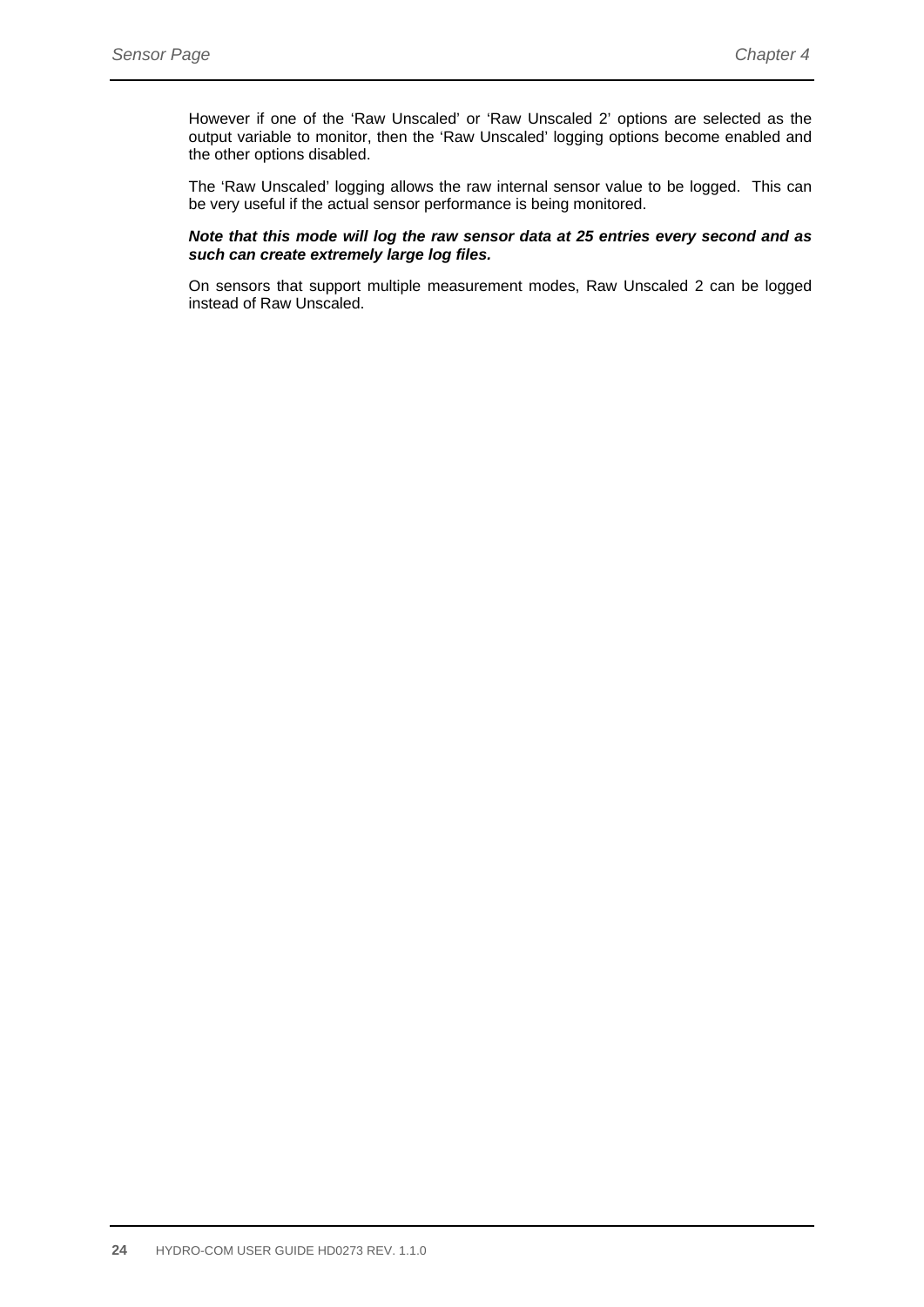However if one of the 'Raw Unscaled' or 'Raw Unscaled 2' options are selected as the output variable to monitor, then the 'Raw Unscaled' logging options become enabled and the other options disabled.

The 'Raw Unscaled' logging allows the raw internal sensor value to be logged. This can be very useful if the actual sensor performance is being monitored.

#### *Note that this mode will log the raw sensor data at 25 entries every second and as such can create extremely large log files.*

On sensors that support multiple measurement modes, Raw Unscaled 2 can be logged instead of Raw Unscaled.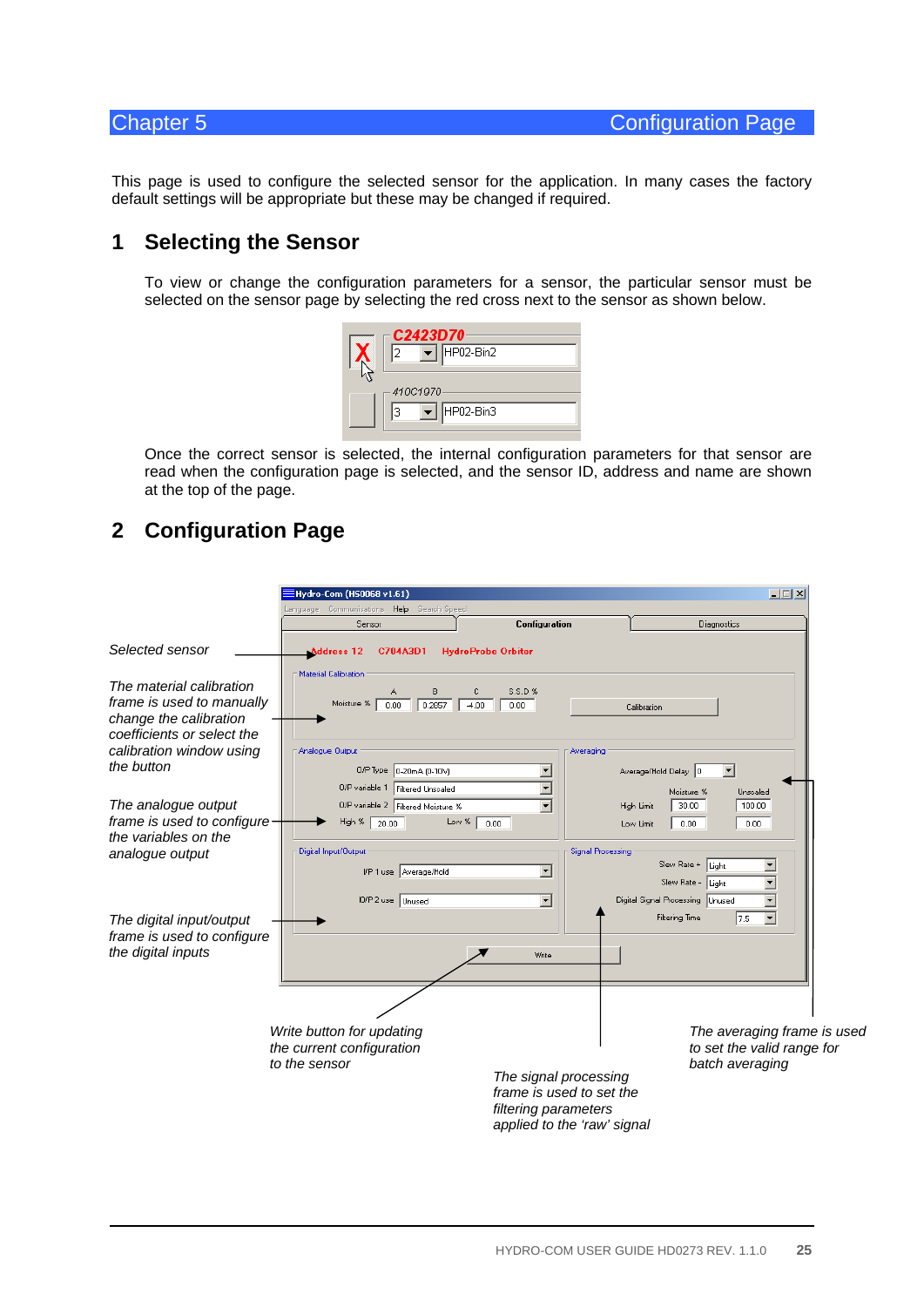This page is used to configure the selected sensor for the application. In many cases the factory default settings will be appropriate but these may be changed if required.

# **1 Selecting the Sensor**

To view or change the configuration parameters for a sensor, the particular sensor must be selected on the sensor page by selecting the red cross next to the sensor as shown below.



Once the correct sensor is selected, the internal configuration parameters for that sensor are read when the configuration page is selected, and the sensor ID, address and name are shown at the top of the page.

# **2 Configuration Page**

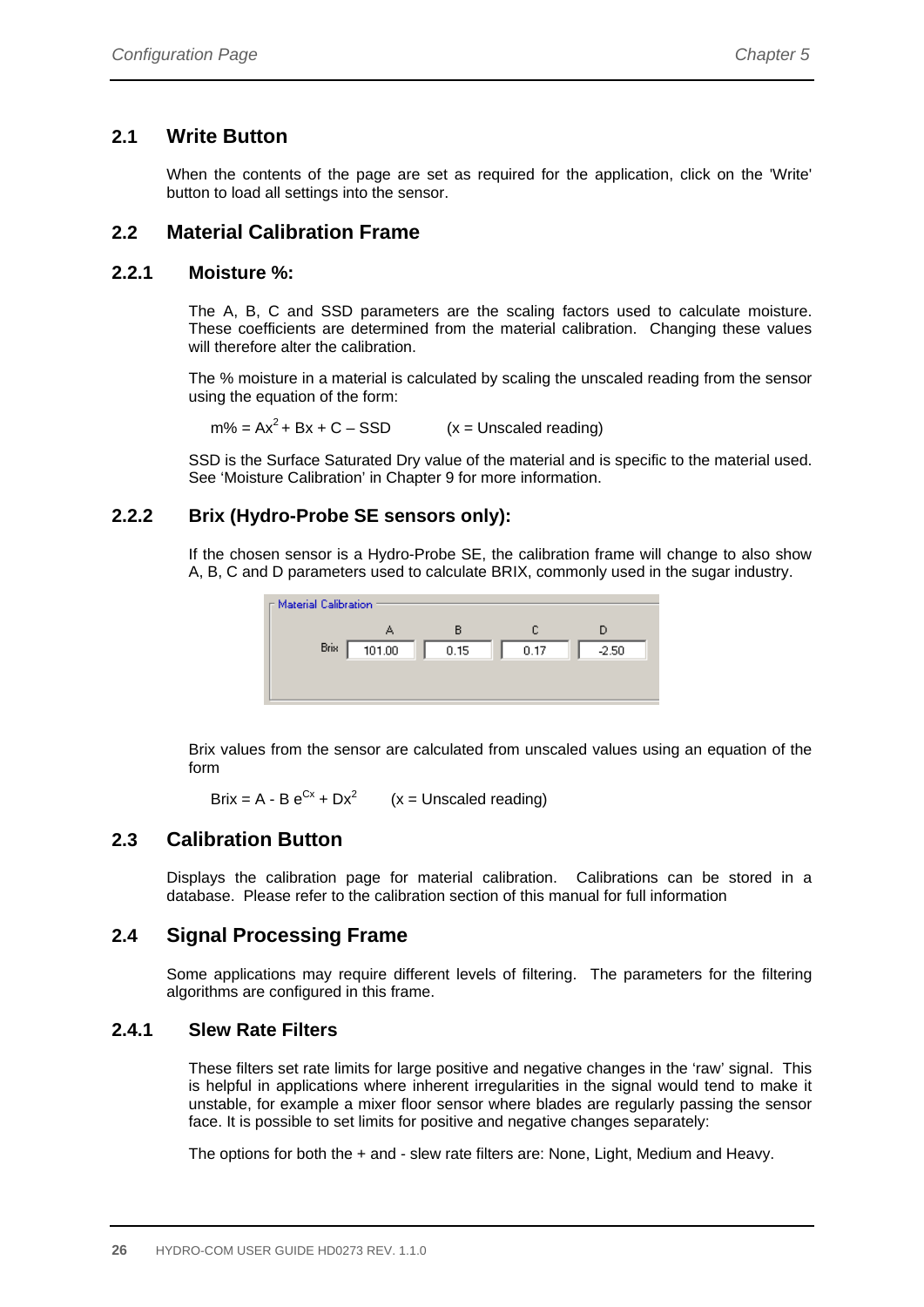# **2.1 Write Button**

When the contents of the page are set as required for the application, click on the 'Write' button to load all settings into the sensor.

# **2.2 Material Calibration Frame**

### **2.2.1 Moisture %:**

The A, B, C and SSD parameters are the scaling factors used to calculate moisture. These coefficients are determined from the material calibration. Changing these values will therefore alter the calibration.

The % moisture in a material is calculated by scaling the unscaled reading from the sensor using the equation of the form:

 $m\% = Ax^2 + Bx + C - SSD$  (x = Unscaled reading)

SSD is the Surface Saturated Dry value of the material and is specific to the material used. See 'Moisture Calibration' in Chapter 9 for more information.

### **2.2.2 Brix (Hydro-Probe SE sensors only):**

If the chosen sensor is a Hydro-Probe SE, the calibration frame will change to also show A, B, C and D parameters used to calculate BRIX, commonly used in the sugar industry.



Brix values from the sensor are calculated from unscaled values using an equation of the form

Brix = A - B  $e^{Cx}$  + Dx<sup>2</sup> (x = Unscaled reading)

# **2.3 Calibration Button**

Displays the calibration page for material calibration. Calibrations can be stored in a database. Please refer to the calibration section of this manual for full information

# **2.4 Signal Processing Frame**

Some applications may require different levels of filtering. The parameters for the filtering algorithms are configured in this frame.

#### **2.4.1 Slew Rate Filters**

These filters set rate limits for large positive and negative changes in the 'raw' signal. This is helpful in applications where inherent irregularities in the signal would tend to make it unstable, for example a mixer floor sensor where blades are regularly passing the sensor face. It is possible to set limits for positive and negative changes separately:

The options for both the + and - slew rate filters are: None, Light, Medium and Heavy.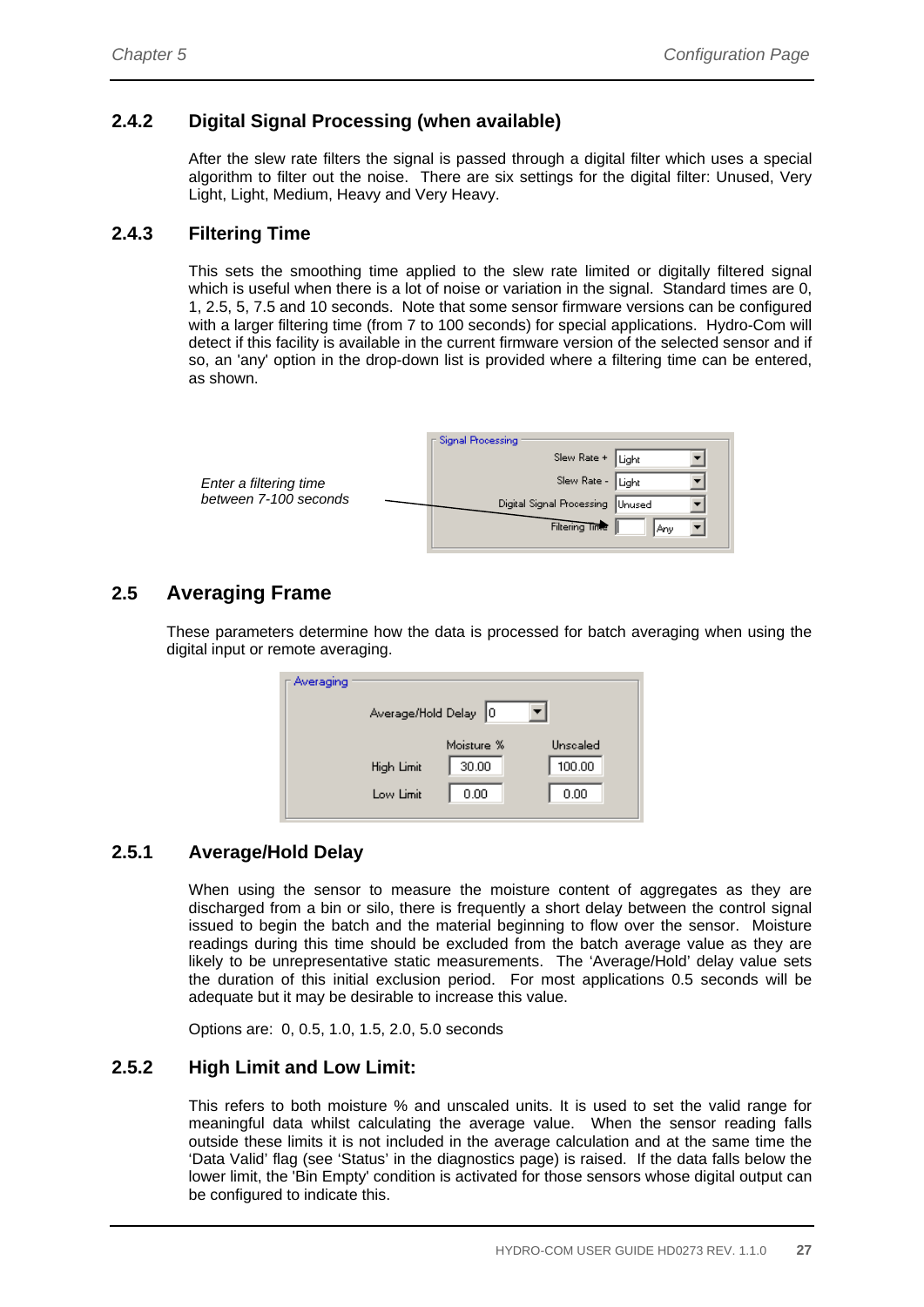### **2.4.2 Digital Signal Processing (when available)**

After the slew rate filters the signal is passed through a digital filter which uses a special algorithm to filter out the noise. There are six settings for the digital filter: Unused, Very Light, Light, Medium, Heavy and Very Heavy.

#### **2.4.3 Filtering Time**

This sets the smoothing time applied to the slew rate limited or digitally filtered signal which is useful when there is a lot of noise or variation in the signal. Standard times are 0, 1, 2.5, 5, 7.5 and 10 seconds. Note that some sensor firmware versions can be configured with a larger filtering time (from 7 to 100 seconds) for special applications. Hydro-Com will detect if this facility is available in the current firmware version of the selected sensor and if so, an 'any' option in the drop-down list is provided where a filtering time can be entered, as shown.

|                        | ⊤ Signal Processing              |
|------------------------|----------------------------------|
| Enter a filtering time | Slew Rate + Light                |
|                        | Slew Rate - Light                |
| between 7-100 seconds  | Digital Signal Processing Unused |
|                        | Filtering Time<br>Anv            |

# **2.5 Averaging Frame**

These parameters determine how the data is processed for batch averaging when using the digital input or remote averaging.

| ⊓ Averaging |            | Average/Hold Delay 0 |                    |
|-------------|------------|----------------------|--------------------|
|             | High Limit | Moisture %<br>30.00  | Unscaled<br>100.00 |
|             | Low Limit  | 0.00                 | 0.00               |

### **2.5.1 Average/Hold Delay**

When using the sensor to measure the moisture content of aggregates as they are discharged from a bin or silo, there is frequently a short delay between the control signal issued to begin the batch and the material beginning to flow over the sensor. Moisture readings during this time should be excluded from the batch average value as they are likely to be unrepresentative static measurements. The 'Average/Hold' delay value sets the duration of this initial exclusion period. For most applications 0.5 seconds will be adequate but it may be desirable to increase this value.

Options are: 0, 0.5, 1.0, 1.5, 2.0, 5.0 seconds

#### **2.5.2 High Limit and Low Limit:**

This refers to both moisture % and unscaled units. It is used to set the valid range for meaningful data whilst calculating the average value. When the sensor reading falls outside these limits it is not included in the average calculation and at the same time the 'Data Valid' flag (see 'Status' in the diagnostics page) is raised. If the data falls below the lower limit, the 'Bin Empty' condition is activated for those sensors whose digital output can be configured to indicate this.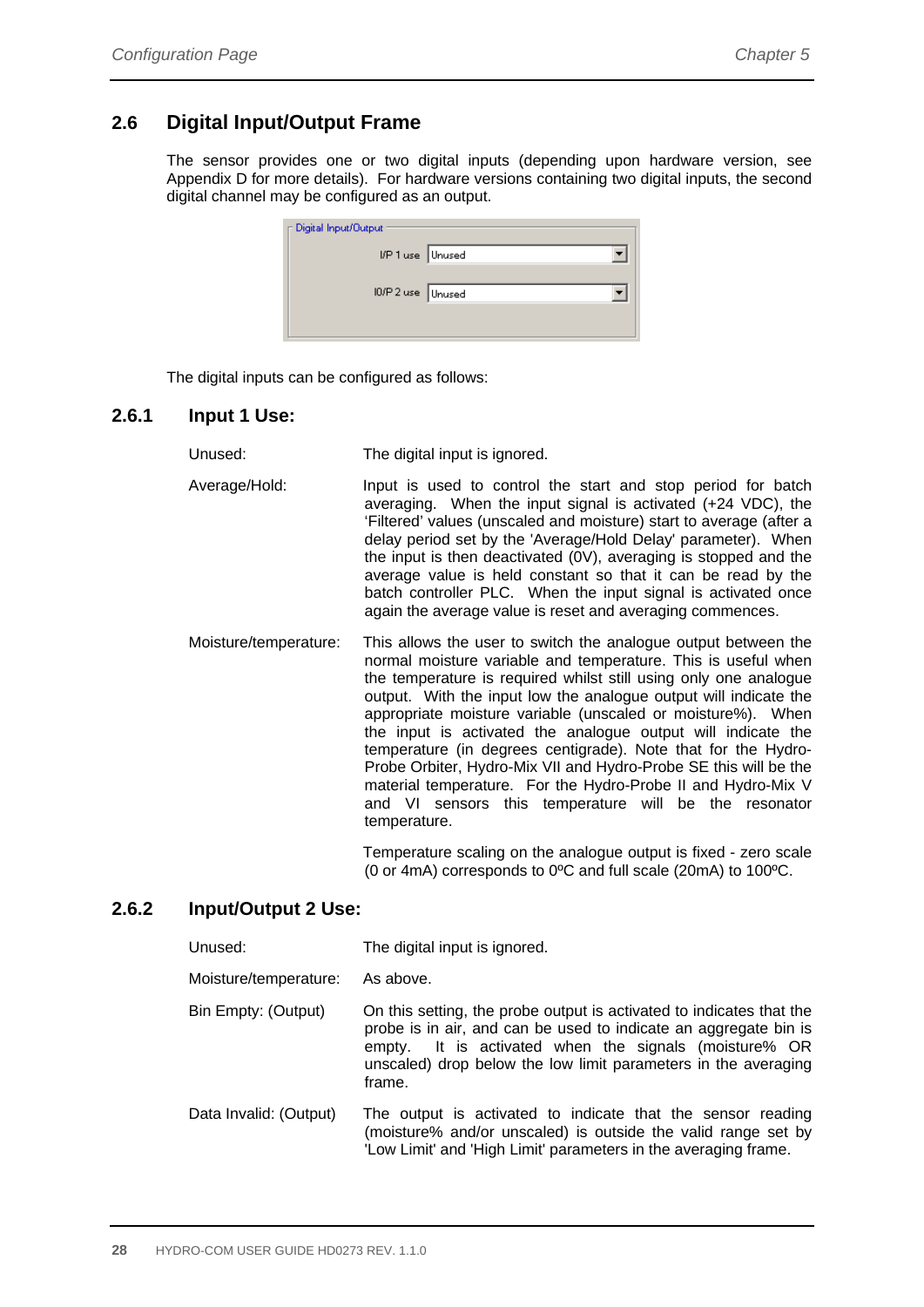# **2.6 Digital Input/Output Frame**

The sensor provides one or two digital inputs (depending upon hardware version, see Appendix D for more details). For hardware versions containing two digital inputs, the second digital channel may be configured as an output.

| Digital Input/Output |  |
|----------------------|--|
| I/P 1 use Unused     |  |
| IO/P 2 use Unused    |  |
|                      |  |

The digital inputs can be configured as follows:

#### **2.6.1 Input 1 Use:**

Unused: The digital input is ignored.

- Average/Hold: Input is used to control the start and stop period for batch averaging. When the input signal is activated (+24 VDC), the 'Filtered' values (unscaled and moisture) start to average (after a delay period set by the 'Average/Hold Delay' parameter). When the input is then deactivated (0V), averaging is stopped and the average value is held constant so that it can be read by the batch controller PLC. When the input signal is activated once again the average value is reset and averaging commences.
- Moisture/temperature: This allows the user to switch the analogue output between the normal moisture variable and temperature. This is useful when the temperature is required whilst still using only one analogue output. With the input low the analogue output will indicate the appropriate moisture variable (unscaled or moisture%). When the input is activated the analogue output will indicate the temperature (in degrees centigrade). Note that for the Hydro-Probe Orbiter, Hydro-Mix VII and Hydro-Probe SE this will be the material temperature. For the Hydro-Probe II and Hydro-Mix V and VI sensors this temperature will be the resonator temperature.

 Temperature scaling on the analogue output is fixed - zero scale (0 or 4mA) corresponds to 0ºC and full scale (20mA) to 100ºC.

#### **2.6.2 Input/Output 2 Use:**

| Unused:                | The digital input is ignored.                                                                                                                                                                                                                                                    |
|------------------------|----------------------------------------------------------------------------------------------------------------------------------------------------------------------------------------------------------------------------------------------------------------------------------|
| Moisture/temperature:  | As above.                                                                                                                                                                                                                                                                        |
| Bin Empty: (Output)    | On this setting, the probe output is activated to indicates that the<br>probe is in air, and can be used to indicate an aggregate bin is<br>It is activated when the signals (moisture% OR<br>empty.<br>unscaled) drop below the low limit parameters in the averaging<br>frame. |
| Data Invalid: (Output) | The output is activated to indicate that the sensor reading<br>(moisture% and/or unscaled) is outside the valid range set by<br>'Low Limit' and 'High Limit' parameters in the averaging frame.                                                                                  |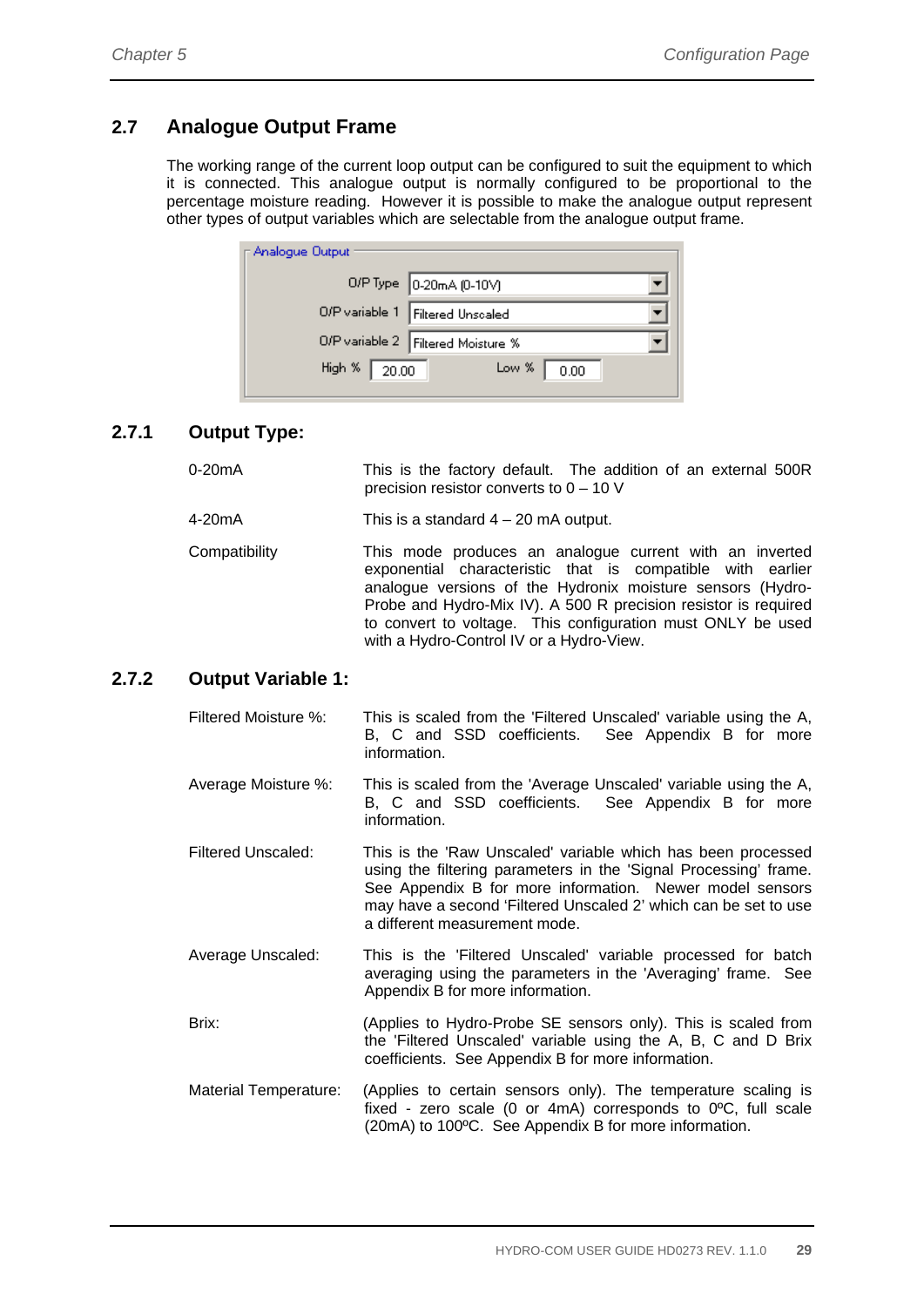# **2.7 Analogue Output Frame**

The working range of the current loop output can be configured to suit the equipment to which it is connected. This analogue output is normally configured to be proportional to the percentage moisture reading. However it is possible to make the analogue output represent other types of output variables which are selectable from the analogue output frame.

| ∏ Analogue Output      |                                      |
|------------------------|--------------------------------------|
|                        | 0/P Type 0-20mA (0-10V)              |
|                        | O/P variable 1 Filtered Unscaled     |
|                        | O/P variable 2   Filtered Moisture % |
| High % $\boxed{20.00}$ | Low $\%$<br>0.00                     |

### **2.7.1 Output Type:**

| $0-20mA$ | This is the factory default. The addition of an external 500R |  |  |  |
|----------|---------------------------------------------------------------|--|--|--|
|          | precision resistor converts to $0 - 10$ V                     |  |  |  |

4-20mA This is a standard 4 – 20 mA output.

Compatibility This mode produces an analogue current with an inverted exponential characteristic that is compatible with earlier analogue versions of the Hydronix moisture sensors (Hydro-Probe and Hydro-Mix IV). A 500 R precision resistor is required to convert to voltage. This configuration must ONLY be used with a Hydro-Control IV or a Hydro-View.

#### **2.7.2 Output Variable 1:**

| Filtered Moisture %: |  |              |  |  | This is scaled from the 'Filtered Unscaled' variable using the A, |  |  |
|----------------------|--|--------------|--|--|-------------------------------------------------------------------|--|--|
|                      |  |              |  |  | B. C and SSD coefficients. See Appendix B for more                |  |  |
|                      |  | information. |  |  |                                                                   |  |  |

- Average Moisture %: This is scaled from the 'Average Unscaled' variable using the A, B, C and SSD coefficients. See Appendix B for more information.
- Filtered Unscaled: This is the 'Raw Unscaled' variable which has been processed using the filtering parameters in the 'Signal Processing' frame. See Appendix B for more information. Newer model sensors may have a second 'Filtered Unscaled 2' which can be set to use a different measurement mode.
- Average Unscaled: This is the 'Filtered Unscaled' variable processed for batch averaging using the parameters in the 'Averaging' frame. See Appendix B for more information.
- Brix: (Applies to Hydro-Probe SE sensors only). This is scaled from the 'Filtered Unscaled' variable using the A, B, C and D Brix coefficients. See Appendix B for more information.
- Material Temperature: (Applies to certain sensors only). The temperature scaling is fixed - zero scale (0 or 4mA) corresponds to 0ºC, full scale (20mA) to 100ºC. See Appendix B for more information.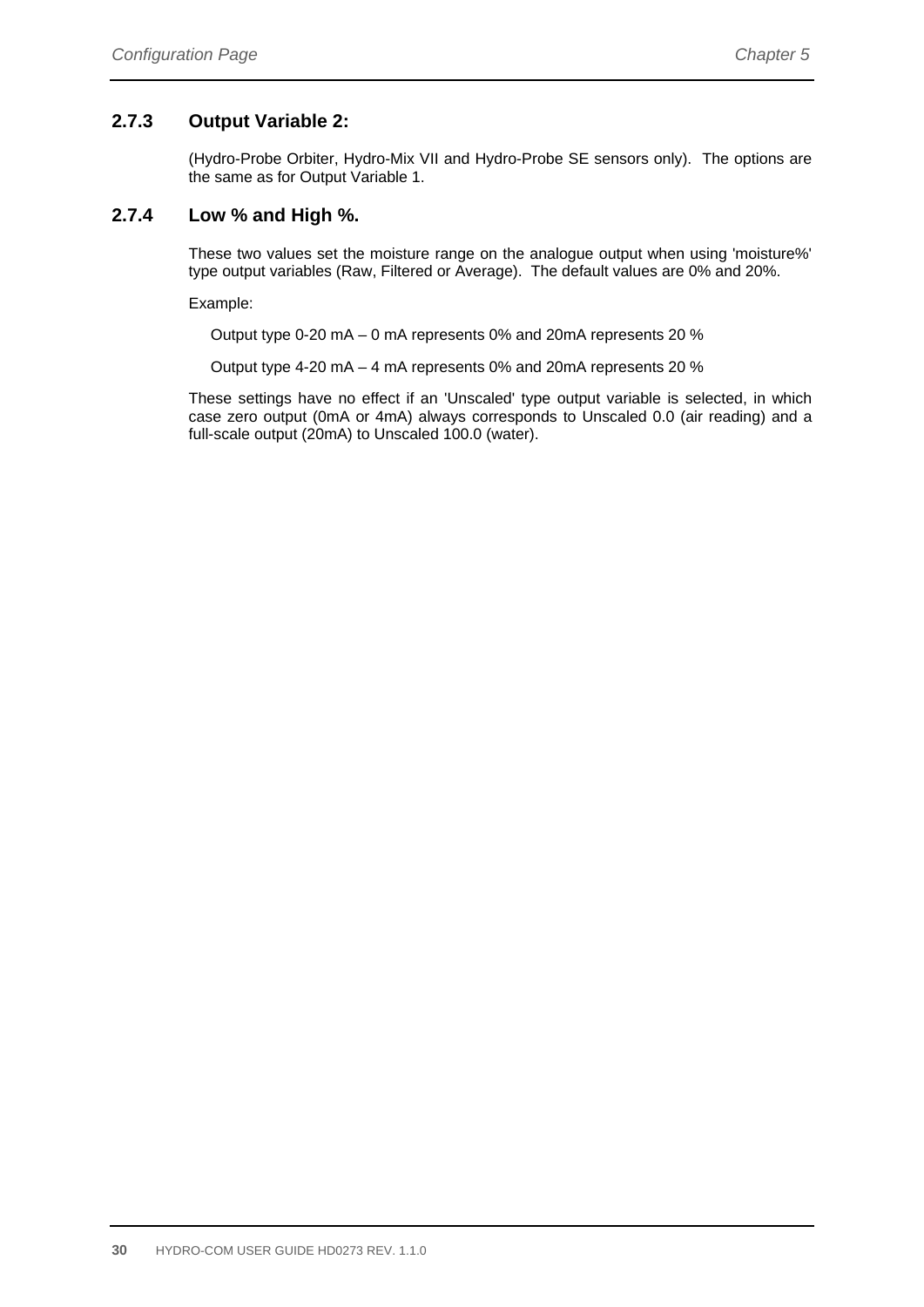### **2.7.3 Output Variable 2:**

(Hydro-Probe Orbiter, Hydro-Mix VII and Hydro-Probe SE sensors only). The options are the same as for Output Variable 1.

#### **2.7.4 Low % and High %.**

These two values set the moisture range on the analogue output when using 'moisture%' type output variables (Raw, Filtered or Average). The default values are 0% and 20%.

Example:

Output type 0-20 mA – 0 mA represents 0% and 20mA represents 20 %

Output type 4-20 mA – 4 mA represents 0% and 20mA represents 20 %

These settings have no effect if an 'Unscaled' type output variable is selected, in which case zero output (0mA or 4mA) always corresponds to Unscaled 0.0 (air reading) and a full-scale output (20mA) to Unscaled 100.0 (water).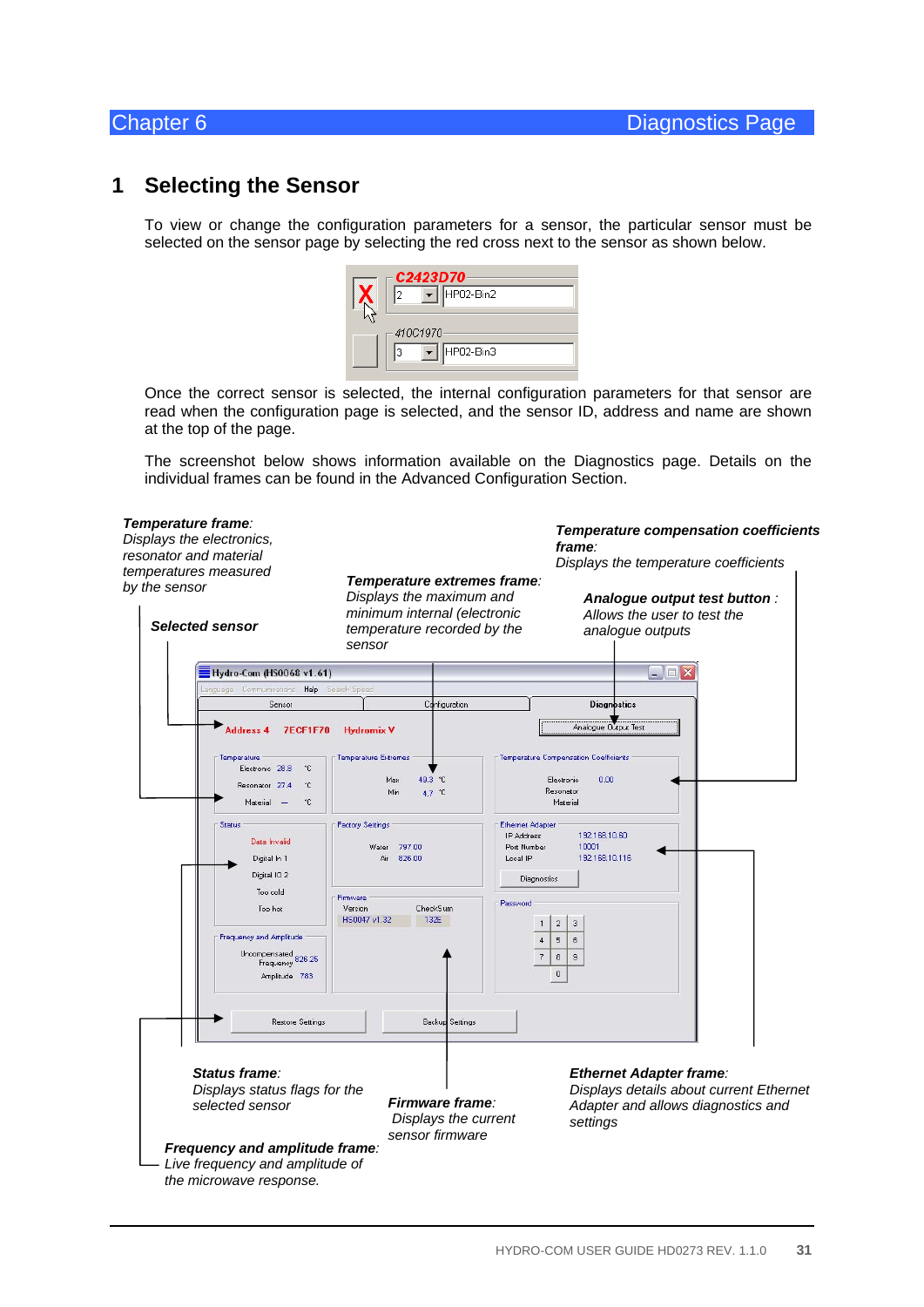# **1 Selecting the Sensor**

To view or change the configuration parameters for a sensor, the particular sensor must be selected on the sensor page by selecting the red cross next to the sensor as shown below.



Once the correct sensor is selected, the internal configuration parameters for that sensor are read when the configuration page is selected, and the sensor ID, address and name are shown at the top of the page.

The screenshot below shows information available on the Diagnostics page. Details on the individual frames can be found in the Advanced Configuration Section.

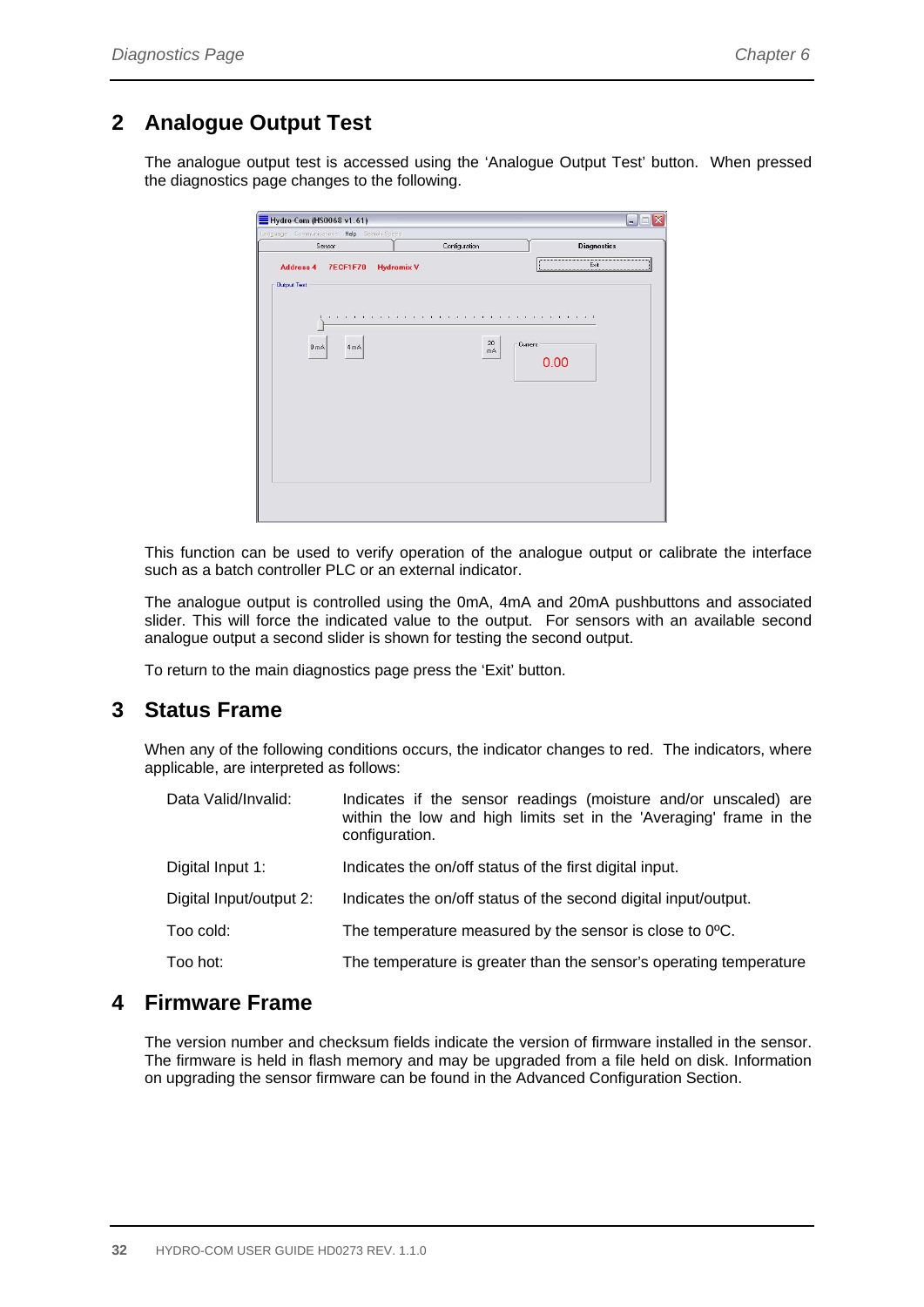# **2 Analogue Output Test**

The analogue output test is accessed using the 'Analogue Output Test' button. When pressed the diagnostics page changes to the following.

| Sensor                                   | Configuration     | <b>Diagnostics</b>                                      |
|------------------------------------------|-------------------|---------------------------------------------------------|
| Address 4 7ECF1F70<br><b>Output Test</b> | <b>Hydromix V</b> | <br>-----------------------<br>$E$ xit<br>0000000000000 |
|                                          |                   |                                                         |
| $0 \text{ mA}$<br>4 mA                   | 20<br>mÅ          | Current                                                 |
|                                          |                   | 0.00                                                    |
|                                          |                   |                                                         |
|                                          |                   |                                                         |
|                                          |                   |                                                         |
|                                          |                   |                                                         |

This function can be used to verify operation of the analogue output or calibrate the interface such as a batch controller PLC or an external indicator.

The analogue output is controlled using the 0mA, 4mA and 20mA pushbuttons and associated slider. This will force the indicated value to the output. For sensors with an available second analogue output a second slider is shown for testing the second output.

To return to the main diagnostics page press the 'Exit' button.

# **3 Status Frame**

When any of the following conditions occurs, the indicator changes to red. The indicators, where applicable, are interpreted as follows:

| Data Valid/Invalid:     | Indicates if the sensor readings (moisture and/or unscaled) are<br>within the low and high limits set in the 'Averaging' frame in the<br>configuration. |
|-------------------------|---------------------------------------------------------------------------------------------------------------------------------------------------------|
| Digital Input 1:        | Indicates the on/off status of the first digital input.                                                                                                 |
| Digital Input/output 2: | Indicates the on/off status of the second digital input/output.                                                                                         |
| Too cold:               | The temperature measured by the sensor is close to 0°C.                                                                                                 |
| Too hot:                | The temperature is greater than the sensor's operating temperature                                                                                      |

# **4 Firmware Frame**

The version number and checksum fields indicate the version of firmware installed in the sensor. The firmware is held in flash memory and may be upgraded from a file held on disk. Information on upgrading the sensor firmware can be found in the Advanced Configuration Section.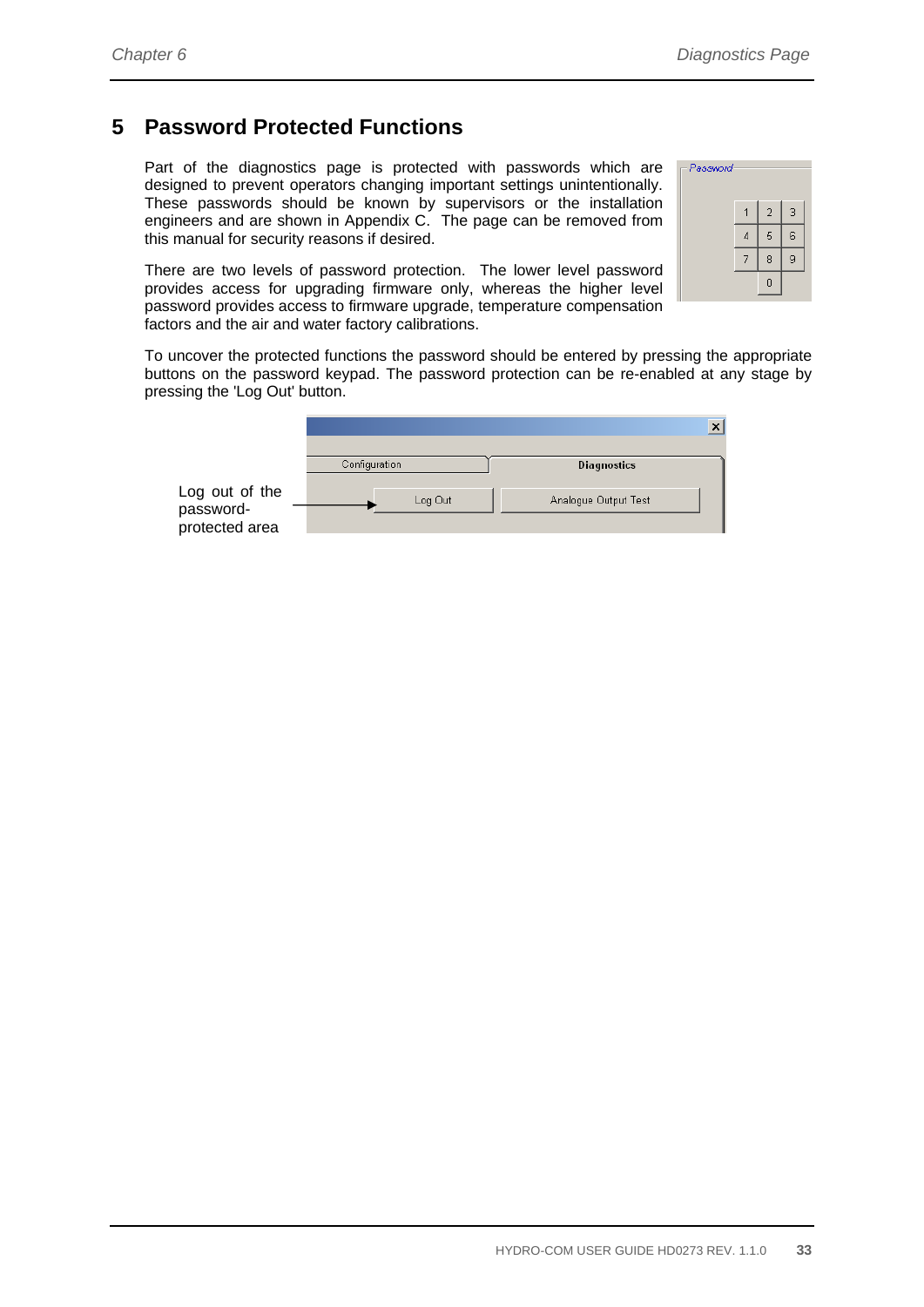# **5 Password Protected Functions**

Part of the diagnostics page is protected with passwords which are designed to prevent operators changing important settings unintentionally. These passwords should be known by supervisors or the installation engineers and are shown in Appendix C. The page can be removed from this manual for security reasons if desired.

There are two levels of password protection. The lower level password provides access for upgrading firmware only, whereas the higher level password provides access to firmware upgrade, temperature compensation factors and the air and water factory calibrations.

| Password |                |   |
|----------|----------------|---|
|          | $\overline{2}$ | 3 |
|          | 5              | 6 |
|          | 8              | 9 |
|          | Ō              |   |

To uncover the protected functions the password should be entered by pressing the appropriate buttons on the password keypad. The password protection can be re-enabled at any stage by pressing the 'Log Out' button.

|                                               |               | ×                    |
|-----------------------------------------------|---------------|----------------------|
|                                               | Configuration | Diagnostics          |
| Log out of the<br>password-<br>protected area | Log Out       | Analogue Output Test |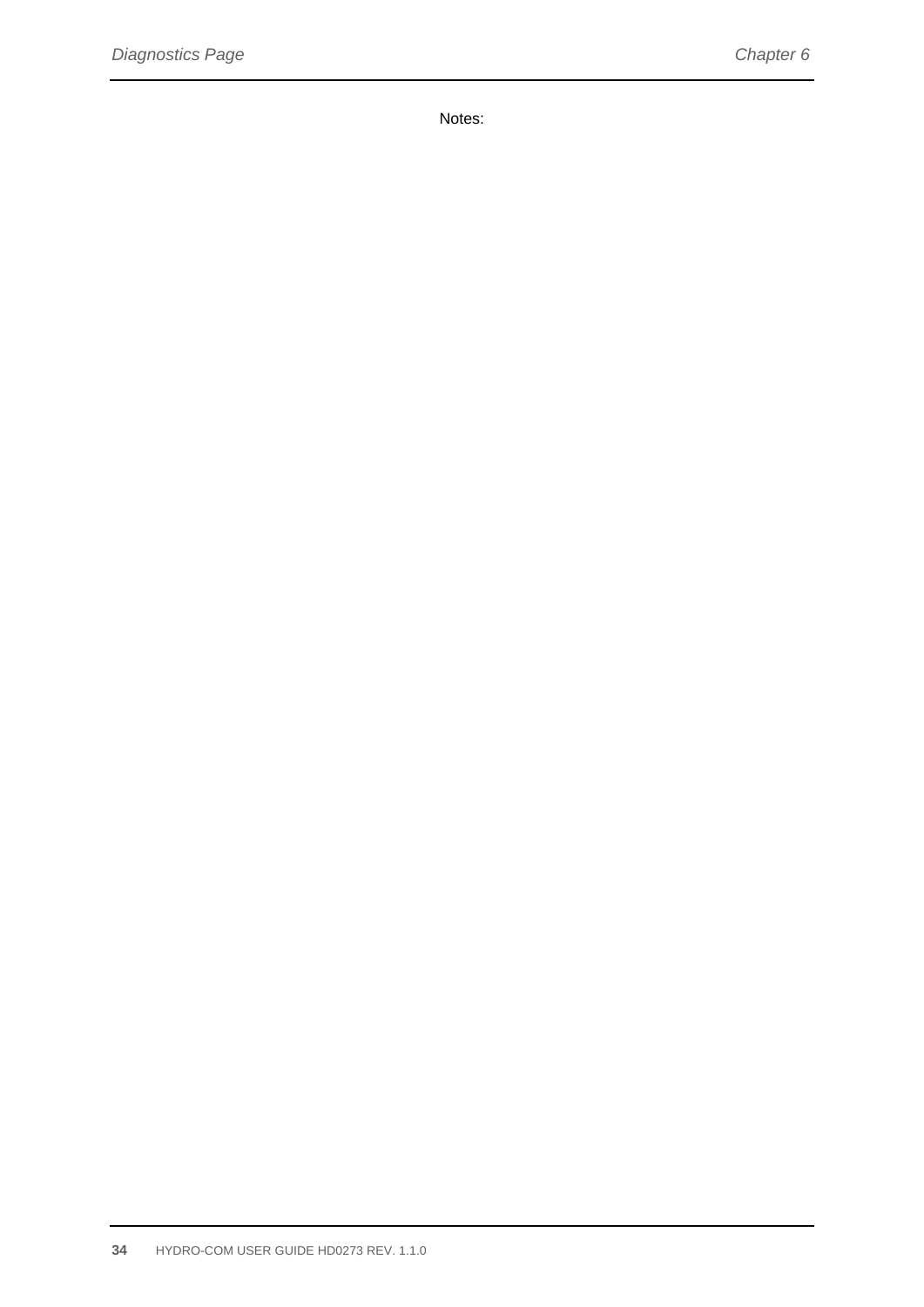Notes: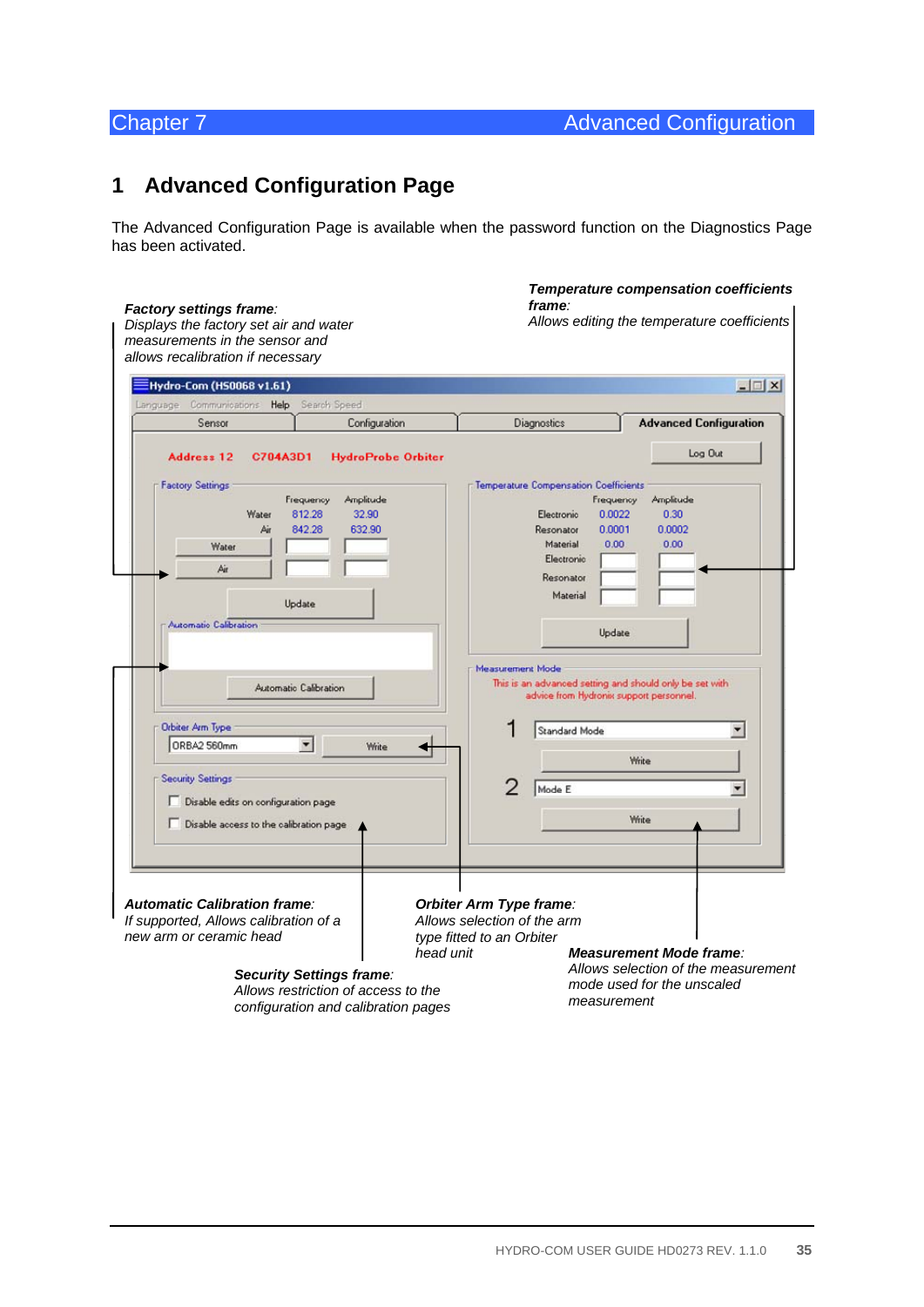# **1 Advanced Configuration Page**

The Advanced Configuration Page is available when the password function on the Diagnostics Page has been activated.

#### *Temperature compensation coefficients frame:*  **Factory settings frame**:<br>Displays the factory set air and water *Allows editing the temperature coefficients Displays the factory set air and water measurements in the sensor and allows recalibration if necessary*  EHydro-Com (H50068 v1.61)  $-12x$ Language Communications Help Search Speed Sensor Configuration Diagnostics **Advanced Configuration** Log Out Address 12 C704A3D1 **HydroProbe Orbiter Factory Settings** Temperature Compensation Coefficients Frequency Amplitude Frequency Amplitude Water 812.28 32.90 0.0022 0.30 Electronic 0.0002 842.28 632.90 Resonator 0.0001 Δi Material  $0.00$  $0.00$ Water Electronic Air Resonator Material Undate **Automatic Calibration** Update Measurement Mode This is an advanced setting and should only be set with<br>advice from Hydronix support personnel. Automatic Calibration Orbiter Arm Type 1 Standard Mode  $\blacktriangledown$ ORBA2 560mm  $\blacktriangledown$ Write ◢ Write **Security Settings** 2 Mode E Ξ Disable edits on configuration page Write  $\Box$  Disable access to the calibration page *Automatic Calibration frame: Orbiter Arm Type frame: If supported, Allows calibration of a Allows selection of the arm new arm or ceramic head type fitted to an Orbiter head unit Measurement Mode frame: Allows selection of the measurement Security Settings frame: mode used for the unscaled Allows restriction of access to the measurement configuration and calibration pages*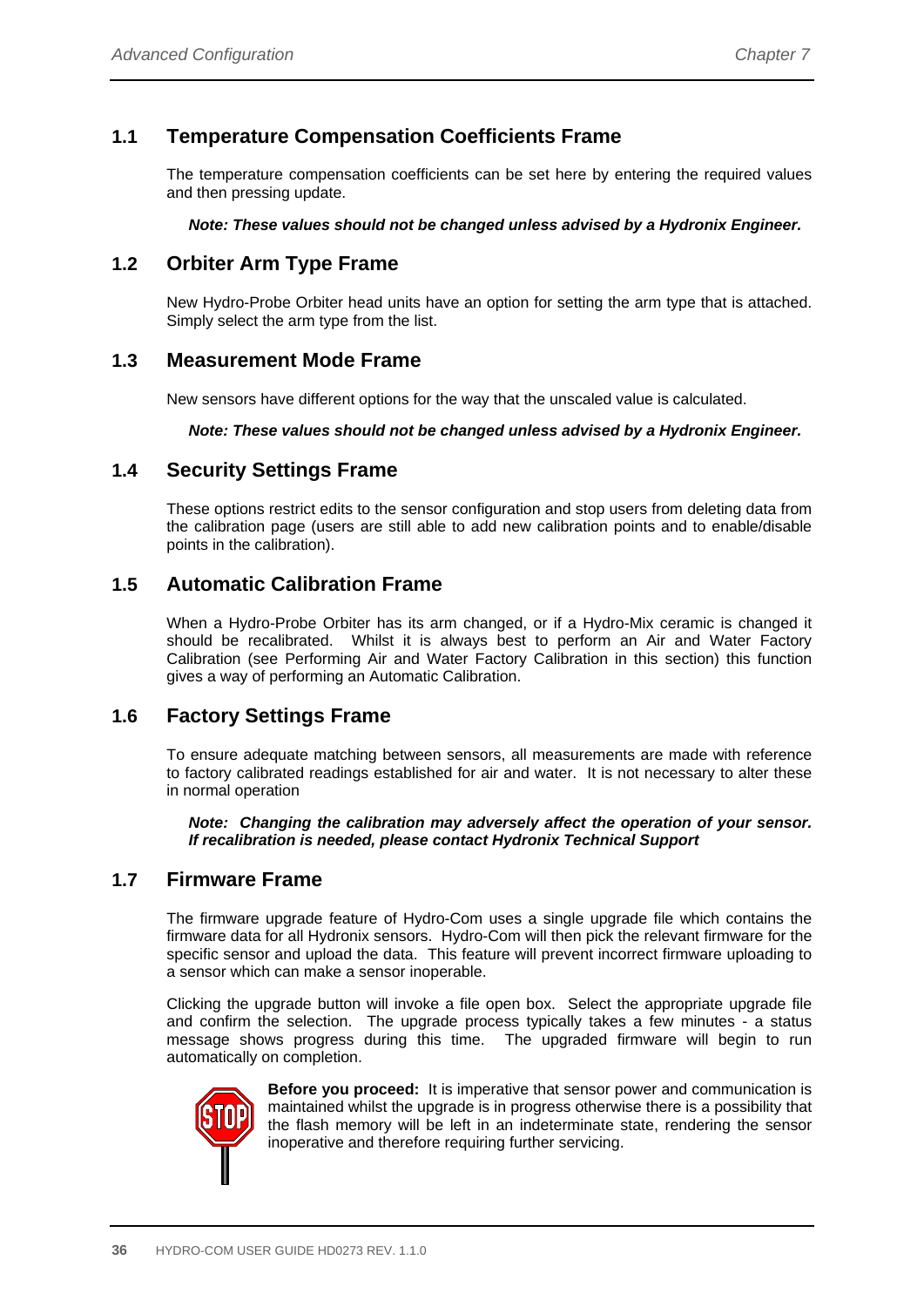# **1.1 Temperature Compensation Coefficients Frame**

The temperature compensation coefficients can be set here by entering the required values and then pressing update.

*Note: These values should not be changed unless advised by a Hydronix Engineer.* 

## **1.2 Orbiter Arm Type Frame**

New Hydro-Probe Orbiter head units have an option for setting the arm type that is attached. Simply select the arm type from the list.

### **1.3 Measurement Mode Frame**

New sensors have different options for the way that the unscaled value is calculated.

*Note: These values should not be changed unless advised by a Hydronix Engineer.* 

### **1.4 Security Settings Frame**

These options restrict edits to the sensor configuration and stop users from deleting data from the calibration page (users are still able to add new calibration points and to enable/disable points in the calibration).

### **1.5 Automatic Calibration Frame**

When a Hydro-Probe Orbiter has its arm changed, or if a Hydro-Mix ceramic is changed it should be recalibrated. Whilst it is always best to perform an Air and Water Factory Calibration (see Performing Air and Water Factory Calibration in this section) this function gives a way of performing an Automatic Calibration.

### **1.6 Factory Settings Frame**

To ensure adequate matching between sensors, all measurements are made with reference to factory calibrated readings established for air and water. It is not necessary to alter these in normal operation

*Note: Changing the calibration may adversely affect the operation of your sensor. If recalibration is needed, please contact Hydronix Technical Support* 

#### **1.7 Firmware Frame**

The firmware upgrade feature of Hydro-Com uses a single upgrade file which contains the firmware data for all Hydronix sensors. Hydro-Com will then pick the relevant firmware for the specific sensor and upload the data. This feature will prevent incorrect firmware uploading to a sensor which can make a sensor inoperable.

Clicking the upgrade button will invoke a file open box. Select the appropriate upgrade file and confirm the selection. The upgrade process typically takes a few minutes - a status message shows progress during this time. The upgraded firmware will begin to run automatically on completion.



**Before you proceed:** It is imperative that sensor power and communication is maintained whilst the upgrade is in progress otherwise there is a possibility that the flash memory will be left in an indeterminate state, rendering the sensor inoperative and therefore requiring further servicing.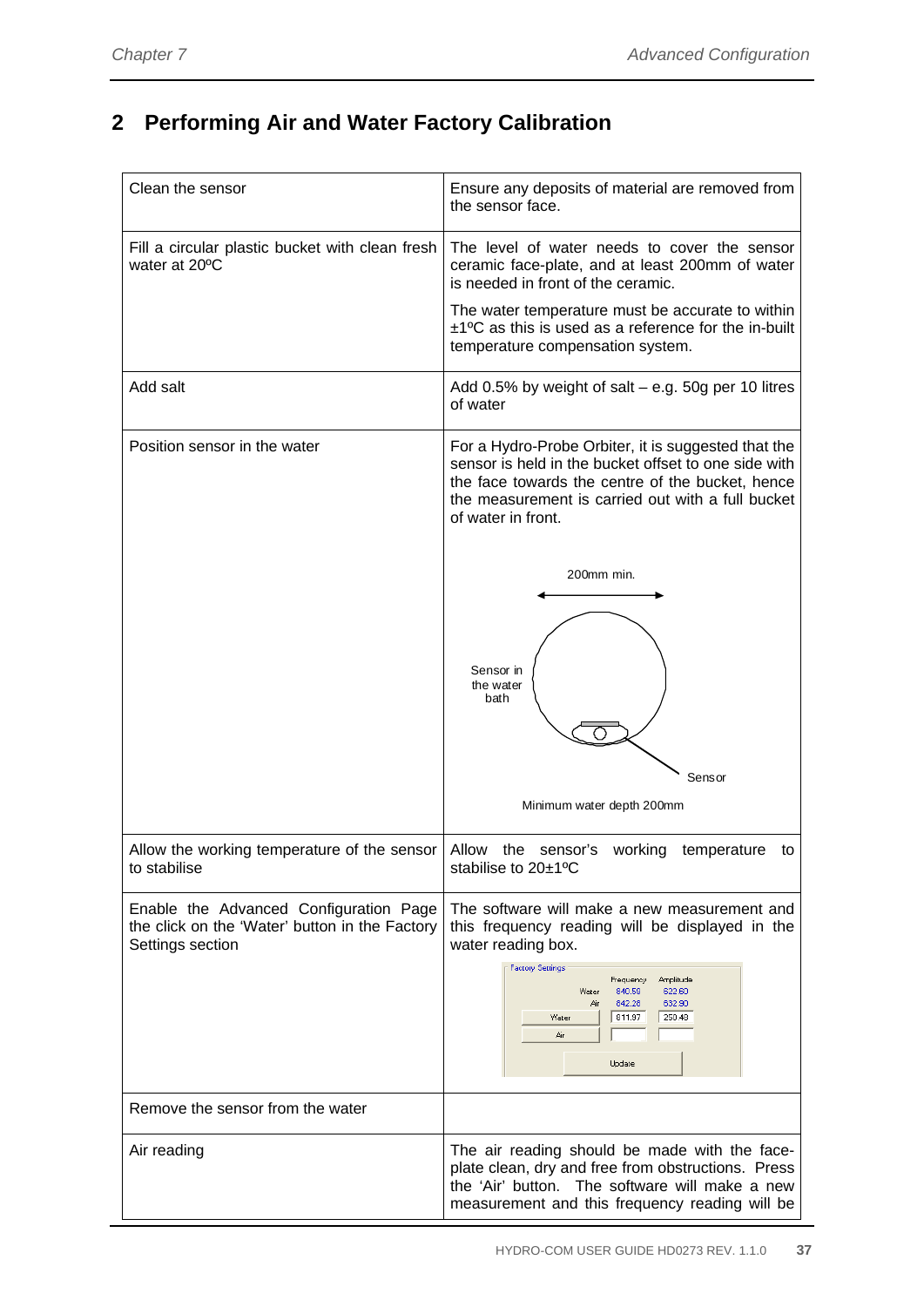# **2 Performing Air and Water Factory Calibration**

| Clean the sensor                                                                                             | Ensure any deposits of material are removed from<br>the sensor face.                                                                                                                                                                       |
|--------------------------------------------------------------------------------------------------------------|--------------------------------------------------------------------------------------------------------------------------------------------------------------------------------------------------------------------------------------------|
| Fill a circular plastic bucket with clean fresh<br>water at 20°C                                             | The level of water needs to cover the sensor<br>ceramic face-plate, and at least 200mm of water<br>is needed in front of the ceramic.                                                                                                      |
|                                                                                                              | The water temperature must be accurate to within<br>$±1$ <sup>o</sup> C as this is used as a reference for the in-built<br>temperature compensation system.                                                                                |
| Add salt                                                                                                     | Add 0.5% by weight of salt $-$ e.g. 50g per 10 litres<br>of water                                                                                                                                                                          |
| Position sensor in the water                                                                                 | For a Hydro-Probe Orbiter, it is suggested that the<br>sensor is held in the bucket offset to one side with<br>the face towards the centre of the bucket, hence<br>the measurement is carried out with a full bucket<br>of water in front. |
|                                                                                                              | 200mm min.                                                                                                                                                                                                                                 |
|                                                                                                              | Sensor in<br>the water<br>bath                                                                                                                                                                                                             |
|                                                                                                              |                                                                                                                                                                                                                                            |
|                                                                                                              | Sensor                                                                                                                                                                                                                                     |
|                                                                                                              | Minimum water depth 200mm                                                                                                                                                                                                                  |
| Allow the working temperature of the sensor<br>to stabilise                                                  | Allow the sensor's working<br>temperature<br>to<br>stabilise to 20±1°C                                                                                                                                                                     |
| Enable the Advanced Configuration Page<br>the click on the 'Water' button in the Factory<br>Settings section | The software will make a new measurement and<br>this frequency reading will be displayed in the<br>water reading box.                                                                                                                      |
|                                                                                                              | <b>Factory Settings</b><br>Amplitude<br>Frequency<br>840.59<br>622.60<br>Water<br>842.28<br>632.90<br>Air<br>811.97<br>250.48<br>Water<br>Air<br>Update                                                                                    |
| Remove the sensor from the water                                                                             |                                                                                                                                                                                                                                            |
| Air reading                                                                                                  | The air reading should be made with the face-<br>plate clean, dry and free from obstructions. Press<br>the 'Air' button.<br>The software will make a new<br>measurement and this frequency reading will be                                 |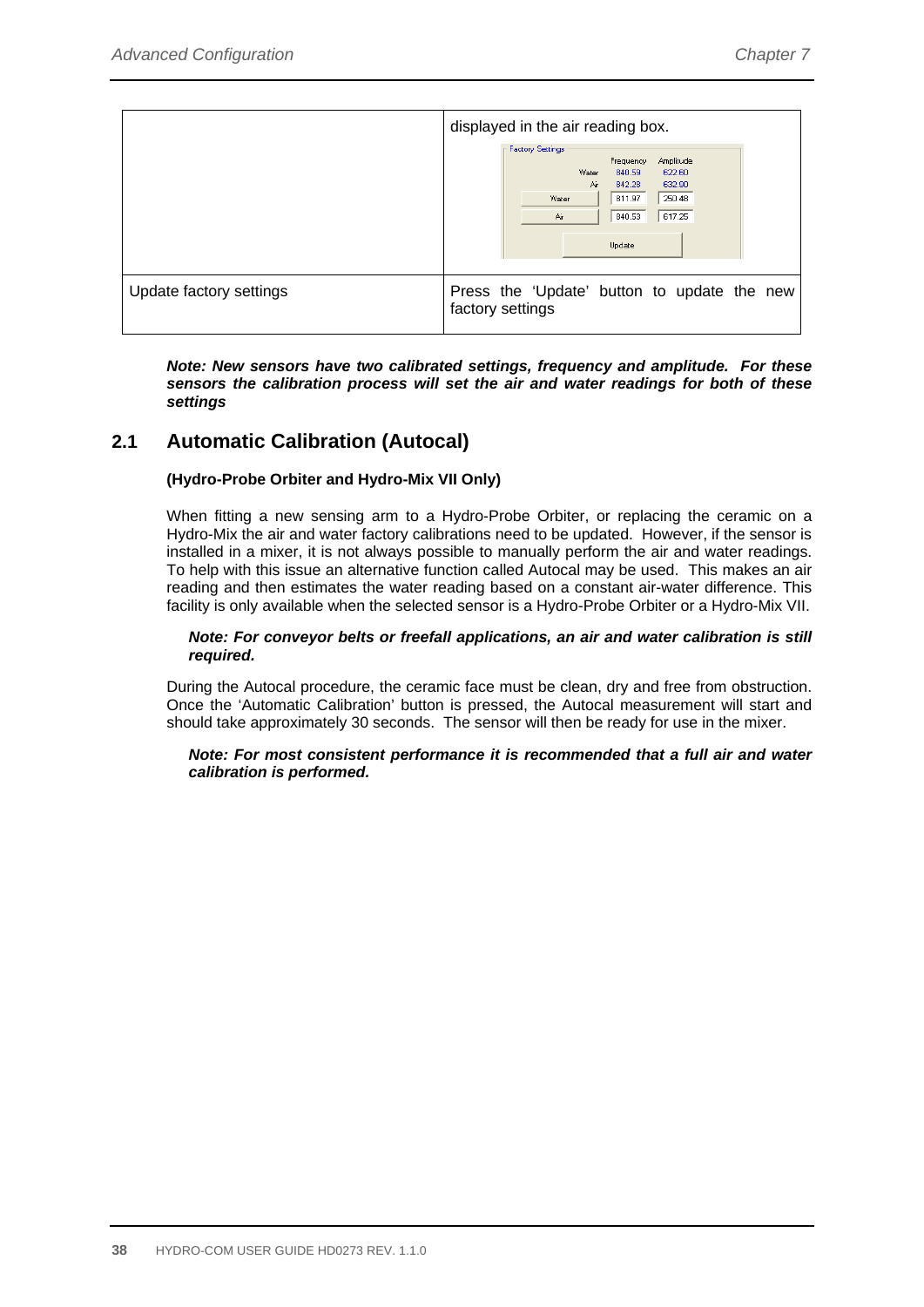|                         | displayed in the air reading box.                                                                                                                                           |
|-------------------------|-----------------------------------------------------------------------------------------------------------------------------------------------------------------------------|
|                         | <b>Factory Settings</b><br>Amplitude<br>Frequency<br>Water<br>840.59<br>622.60<br>Air<br>632.90<br>842.28<br>250.48<br>811.97<br>Water<br>617.25<br>840.53<br>Air<br>Update |
| Update factory settings | Press the 'Update' button to update the new<br>factory settings                                                                                                             |

*Note: New sensors have two calibrated settings, frequency and amplitude. For these sensors the calibration process will set the air and water readings for both of these settings* 

### **2.1 Automatic Calibration (Autocal)**

#### **(Hydro-Probe Orbiter and Hydro-Mix VII Only)**

When fitting a new sensing arm to a Hydro-Probe Orbiter, or replacing the ceramic on a Hydro-Mix the air and water factory calibrations need to be updated. However, if the sensor is installed in a mixer, it is not always possible to manually perform the air and water readings. To help with this issue an alternative function called Autocal may be used. This makes an air reading and then estimates the water reading based on a constant air-water difference. This facility is only available when the selected sensor is a Hydro-Probe Orbiter or a Hydro-Mix VII.

#### *Note: For conveyor belts or freefall applications, an air and water calibration is still required.*

During the Autocal procedure, the ceramic face must be clean, dry and free from obstruction. Once the 'Automatic Calibration' button is pressed, the Autocal measurement will start and should take approximately 30 seconds. The sensor will then be ready for use in the mixer.

#### *Note: For most consistent performance it is recommended that a full air and water calibration is performed.*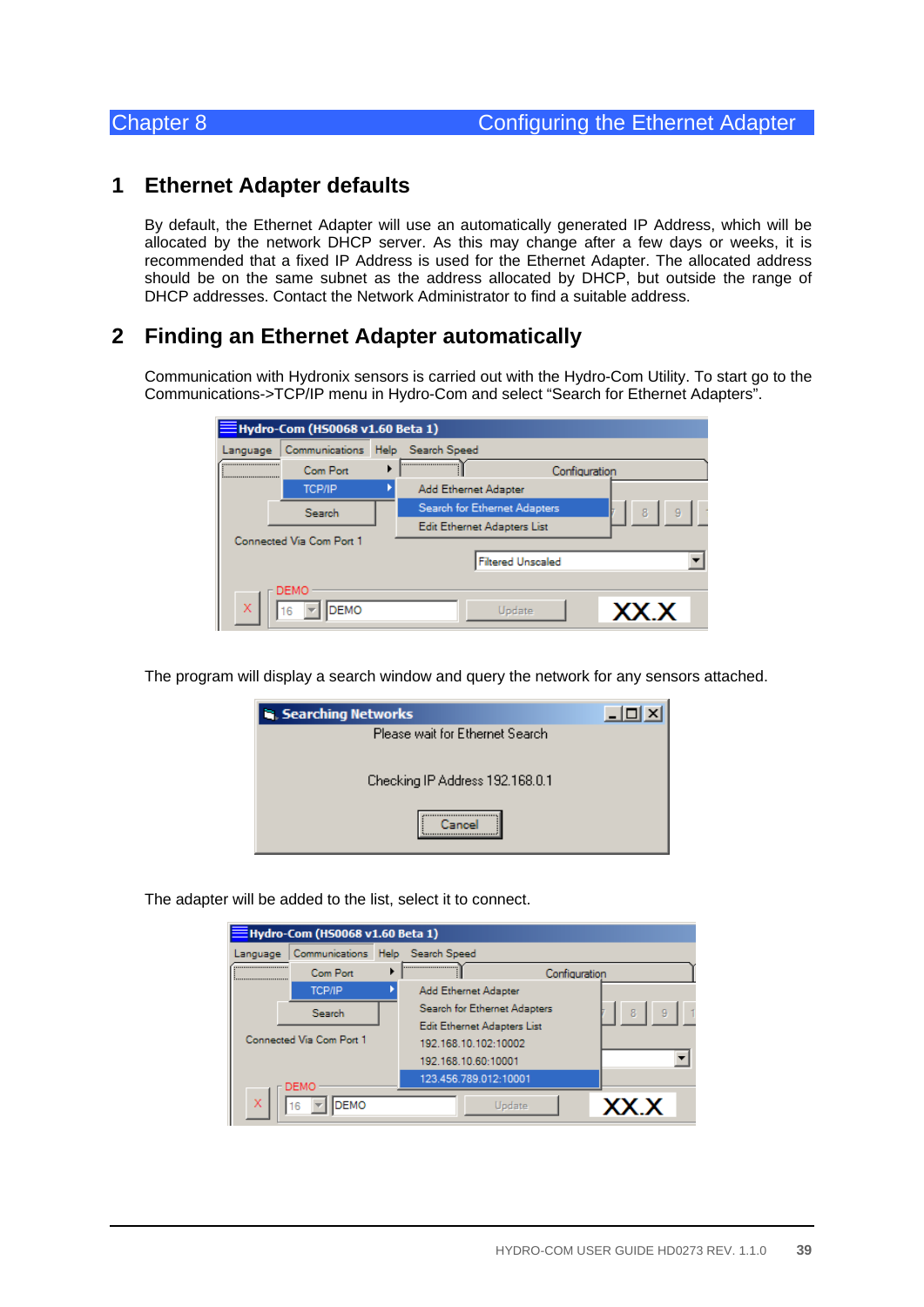### **1 Ethernet Adapter defaults**

By default, the Ethernet Adapter will use an automatically generated IP Address, which will be allocated by the network DHCP server. As this may change after a few days or weeks, it is recommended that a fixed IP Address is used for the Ethernet Adapter. The allocated address should be on the same subnet as the address allocated by DHCP, but outside the range of DHCP addresses. Contact the Network Administrator to find a suitable address.

### **2 Finding an Ethernet Adapter automatically**

Communication with Hydronix sensors is carried out with the Hydro-Com Utility. To start go to the Communications->TCP/IP menu in Hydro-Com and select "Search for Ethernet Adapters".

|          | Hydro-Com (HS0068 v1.60 Beta 1) |                              |        |
|----------|---------------------------------|------------------------------|--------|
| Language | Communications                  | Help Search Speed            |        |
| <br>     | Com Port                        | <br>Configuration            |        |
|          | <b>TCP/IP</b>                   | Add Ethernet Adapter         |        |
|          | Search                          | Search for Ethernet Adapters | 9<br>8 |
|          |                                 | Edit Ethernet Adapters List  |        |
|          | Connected Via Com Port 1        |                              |        |
|          |                                 | <b>Filtered Unscaled</b>     |        |
|          | DEMO                            |                              |        |
| X        | <b>DEMO</b><br>16               | Update                       | XX.X   |

The program will display a search window and query the network for any sensors attached.

| <b>Searching Networks</b>       |  |
|---------------------------------|--|
| Please wait for Ethernet Search |  |
| Checking IP Address 192.168.0.1 |  |
|                                 |  |

The adapter will be added to the list, select it to connect.

|          | Hydro-Com (HS0068 v1.60 Beta 1)  |                              |      |
|----------|----------------------------------|------------------------------|------|
| Language | Communications Help Search Speed |                              |      |
|          | Com Port                         | <br>Configuration            |      |
|          | <b>TCP/IP</b>                    | Add Ethernet Adapter         |      |
|          | Search                           | Search for Ethernet Adapters | 9    |
|          |                                  | Edit Ethernet Adapters List  |      |
|          | Connected Via Com Port 1         | 192.168.10.102:10002         |      |
|          |                                  | 192.168.10.60:10001          |      |
|          | DEMO                             | 123.456.789.012:10001        |      |
| X        | DEMO<br>6                        | Update                       | XX X |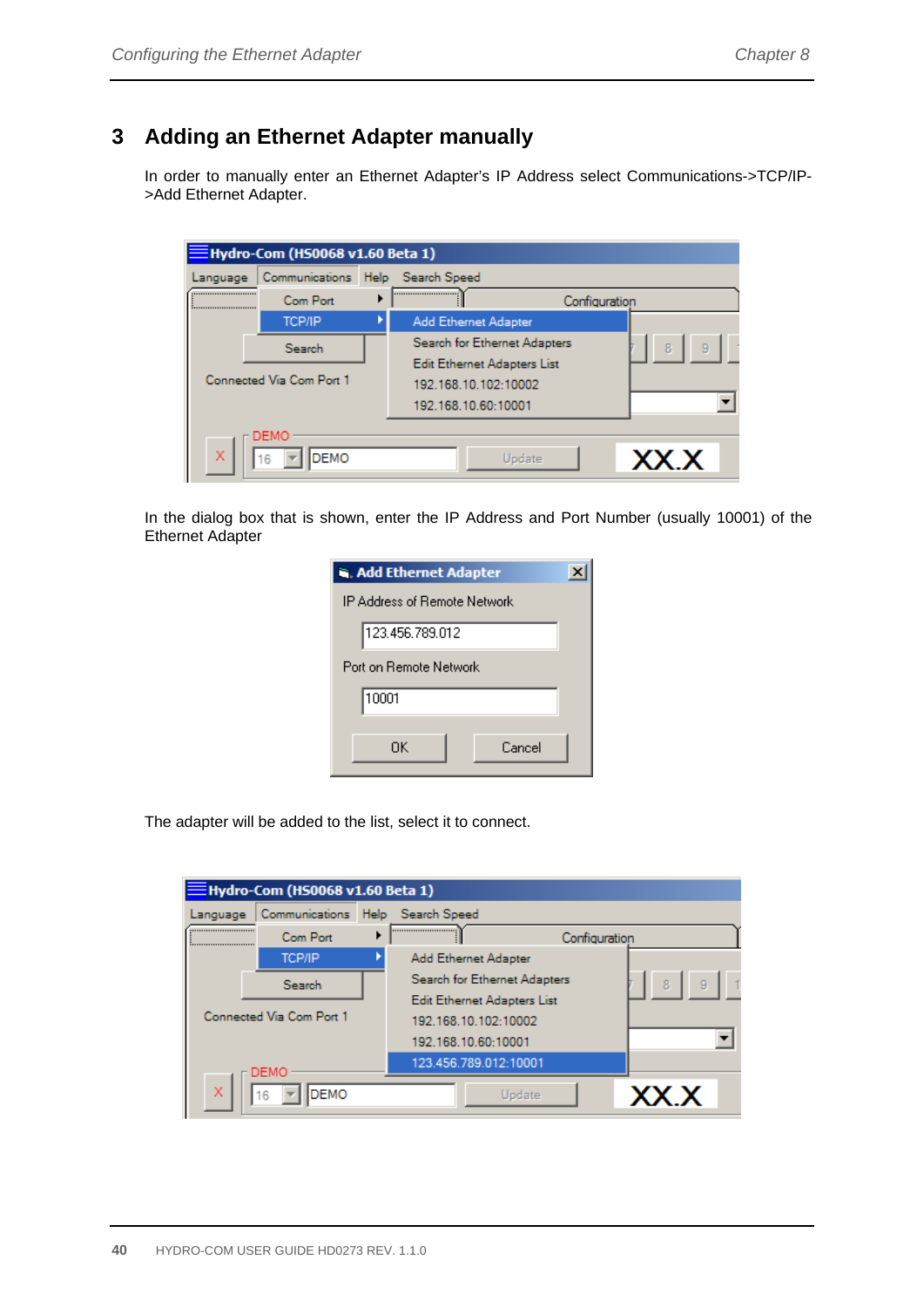## **3 Adding an Ethernet Adapter manually**

In order to manually enter an Ethernet Adapter's IP Address select Communications->TCP/IP- >Add Ethernet Adapter.

|          | $\equiv$ Hydro-Com (HS0068 v1.60 Beta 1) |                                                                            |               |
|----------|------------------------------------------|----------------------------------------------------------------------------|---------------|
| Language | Communications                           | Help Search Speed                                                          |               |
| <br>     | Com Port                                 |                                                                            | Configuration |
|          | <b>TCP/IP</b>                            | Add Ethernet Adapter                                                       |               |
|          | Search                                   | Search for Ethernet Adapters                                               | 8<br>9        |
|          | Connected Via Com Port 1                 | Edit Ethernet Adapters List<br>192.168.10.102:10002<br>192.168.10.60:10001 |               |
| X        | DEMO<br>DEMO<br>16                       | Update                                                                     | XX.X          |

In the dialog box that is shown, enter the IP Address and Port Number (usually 10001) of the Ethernet Adapter

| <b>R. Add Ethernet Adapter</b> |  |
|--------------------------------|--|
| IP Address of Remote Network   |  |
| 123.456.789.012                |  |
| Port on Bemote Network         |  |
| 10001                          |  |
| Cancel<br>ΠK                   |  |

The adapter will be added to the list, select it to connect.

|          | $\bar{\textsf{B}}$ Hydro-Com (HS0068 v1.60 Beta 1) |                              |               |        |
|----------|----------------------------------------------------|------------------------------|---------------|--------|
| Language | Communications                                     | Help Search Speed            |               |        |
| <br>     | Com Port                                           |                              | Configuration |        |
|          | <b>TCP/IP</b>                                      | Add Ethernet Adapter         |               |        |
|          | Search                                             | Search for Ethernet Adapters |               | 8<br>g |
|          |                                                    | Edit Ethernet Adapters List  |               |        |
|          | Connected Via Com Port 1                           | 192.168.10.102:10002         |               |        |
|          |                                                    | 192.168.10.60:10001          |               |        |
|          | DEMO                                               | 123.456.789.012:10001        |               |        |
| X        | <b>DEMO</b><br>16                                  | <b>Update</b>                |               | XX.X   |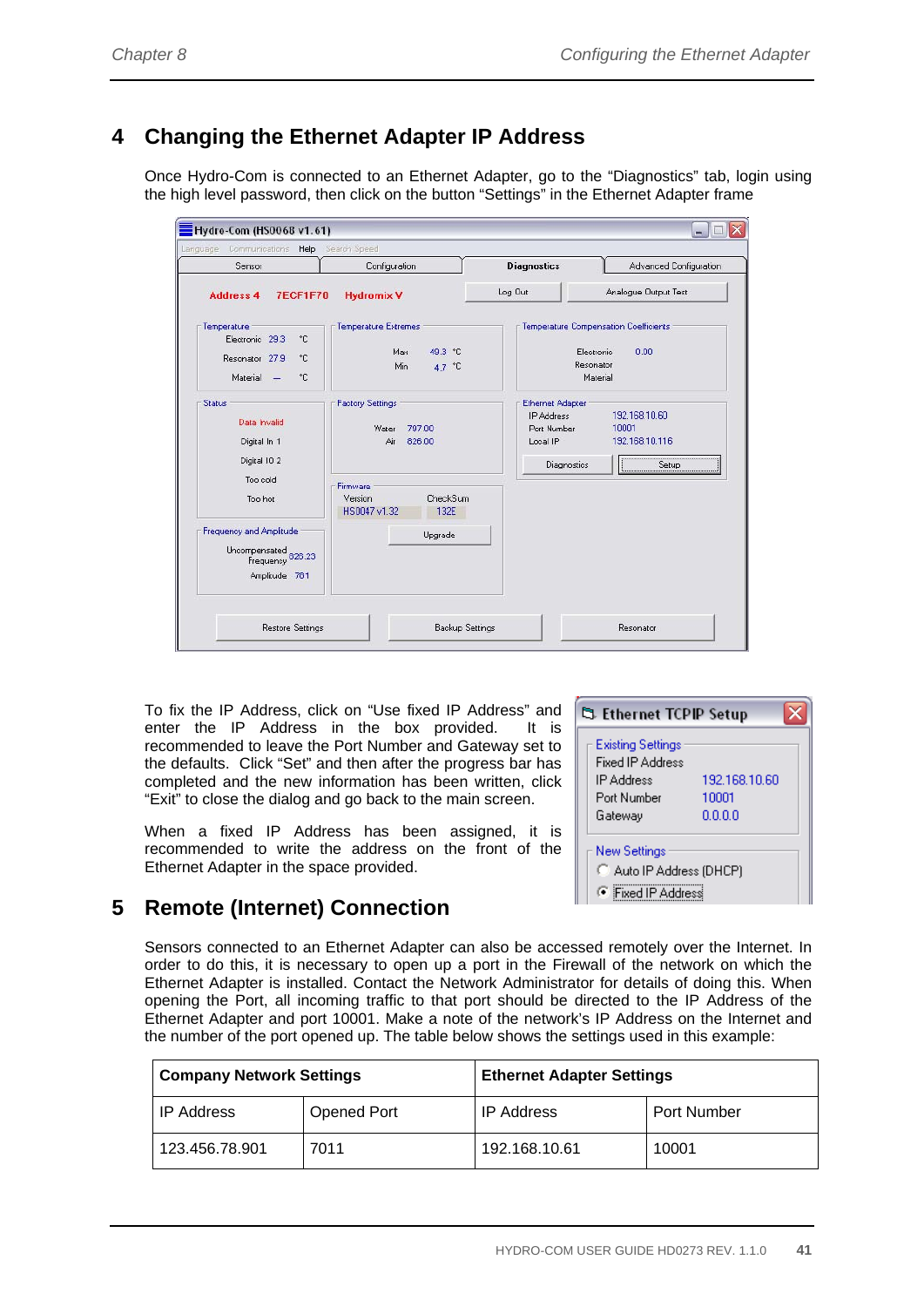# **4 Changing the Ethernet Adapter IP Address**

Once Hydro-Com is connected to an Ethernet Adapter, go to the "Diagnostics" tab, login using the high level password, then click on the button "Settings" in the Ethernet Adapter frame

| Language Communications Help                                                  | Search Speed                |                   |                                              |                                             |
|-------------------------------------------------------------------------------|-----------------------------|-------------------|----------------------------------------------|---------------------------------------------|
| Sensor                                                                        | Configuration               |                   | <b>Diagnostics</b>                           | Advanced Configuration                      |
| <b>7ECF1F70</b><br><b>Address 4</b>                                           | <b>Hydromix V</b>           |                   | Log Out                                      | Analogue Output Test                        |
| Temperature                                                                   | <b>Temperature Extremes</b> |                   |                                              | Temperature Compensation Coefficients       |
| °C.<br>Electronic 29.3<br>Resonator 27.9<br>°C.<br>Material<br>۰c             | Max<br>Min                  | 49.3 °C<br>4.7 °C |                                              | Electronic<br>0.00<br>Resonator<br>Material |
| Status                                                                        | <b>Factory Settings</b>     |                   | <b>Ethernet Adapter</b>                      |                                             |
| Data Invalid<br>Digital In 1                                                  | Water<br>Air                | 797.00<br>826.00  | <b>IP Address</b><br>Port Number<br>Local IP | 192.168.10.60<br>10001<br>192.168.10.116    |
| Digital IO 2                                                                  |                             |                   | Diagnostics                                  | Setup                                       |
| Too cold                                                                      | Firmware                    |                   |                                              |                                             |
| Too hot                                                                       | Version<br>HS0047 v1.32     | CheckSum<br>132E  |                                              |                                             |
| Frequency and Amplitude<br>Uncompensated<br>Frequency 826.23<br>Amplitude 781 |                             | Upgrade           |                                              |                                             |
|                                                                               |                             |                   |                                              |                                             |

To fix the IP Address, click on "Use fixed IP Address" and enter the IP Address in the box provided. It is recommended to leave the Port Number and Gateway set to the defaults. Click "Set" and then after the progress bar has completed and the new information has been written, click "Exit" to close the dialog and go back to the main screen.

When a fixed IP Address has been assigned, it is recommended to write the address on the front of the Ethernet Adapter in the space provided.

| <b>Existing Settings</b><br>Fixed IP Address<br>192.168.10.60<br>IP Address<br>Port Number<br>10001<br>0000<br>Gateway | New Settings<br>Auto IP Address (DHCP) | ි Ethernet TCPIP Setup |  |
|------------------------------------------------------------------------------------------------------------------------|----------------------------------------|------------------------|--|
|                                                                                                                        |                                        |                        |  |
|                                                                                                                        |                                        |                        |  |
|                                                                                                                        |                                        |                        |  |

### **5 Remote (Internet) Connection**

Sensors connected to an Ethernet Adapter can also be accessed remotely over the Internet. In order to do this, it is necessary to open up a port in the Firewall of the network on which the Ethernet Adapter is installed. Contact the Network Administrator for details of doing this. When opening the Port, all incoming traffic to that port should be directed to the IP Address of the Ethernet Adapter and port 10001. Make a note of the network's IP Address on the Internet and the number of the port opened up. The table below shows the settings used in this example:

| <b>Company Network Settings</b> |                    | <b>Ethernet Adapter Settings</b> |                    |
|---------------------------------|--------------------|----------------------------------|--------------------|
| <b>IP Address</b>               | <b>Opened Port</b> | <b>IP Address</b>                | <b>Port Number</b> |
| 123.456.78.901                  | 7011               | 192.168.10.61                    | 10001              |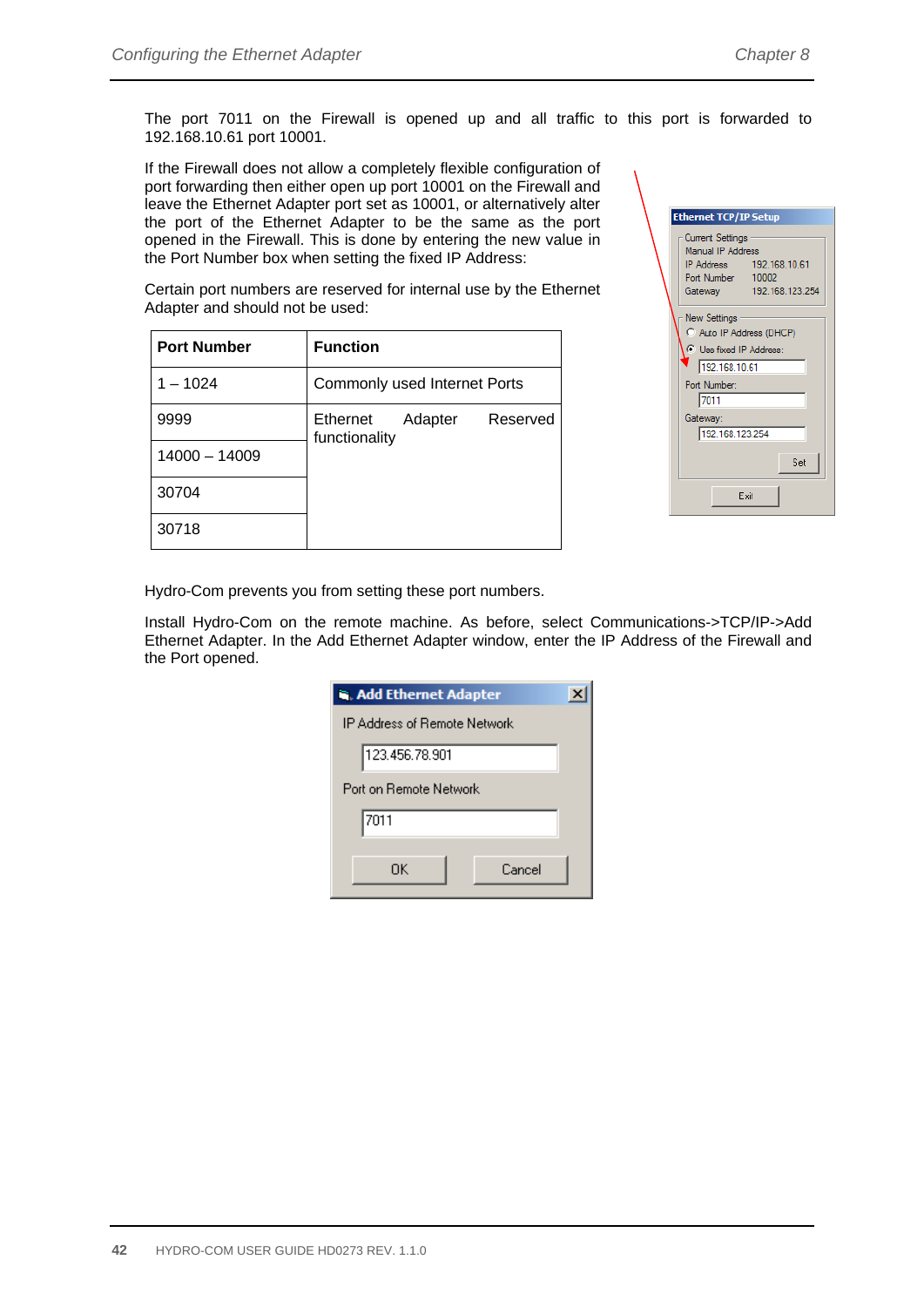The port 7011 on the Firewall is opened up and all traffic to this port is forwarded to 192.168.10.61 port 10001.

If the Firewall does not allow a completely flexible configuration of port forwarding then either open up port 10001 on the Firewall and leave the Ethernet Adapter port set as 10001, or alternatively alter the port of the Ethernet Adapter to be the same as the port opened in the Firewall. This is done by entering the new value in the Port Number box when setting the fixed IP Address:

Certain port numbers are reserved for internal use by the Ethernet Adapter and should not be used:

| <b>Port Number</b> | <b>Function</b>                                  |
|--------------------|--------------------------------------------------|
| $1 - 1024$         | Commonly used Internet Ports                     |
| 9999               | Adapter<br>Reserved<br>Ethernet<br>functionality |
| 14000 - 14009      |                                                  |
| 30704              |                                                  |
| 30718              |                                                  |

| <b>Ethernet TCP/IP Setup</b>          |  |
|---------------------------------------|--|
| Current Settings<br>Manual IP Address |  |
| IP Address 192.168.10.61              |  |
| Port Number 10002                     |  |
| 192.168.123.254<br>Gateway            |  |
| New Settings                          |  |
| C Auto IP Address (DHCP)              |  |
| <b>C</b> Use fixed IP Address:        |  |
| 192.168.10.61                         |  |
| Port Number:                          |  |
| 7011                                  |  |
| Gateway:                              |  |
| 192.168.123.254                       |  |
|                                       |  |
| Set                                   |  |
|                                       |  |
| Exit                                  |  |
|                                       |  |

Hydro-Com prevents you from setting these port numbers.

Install Hydro-Com on the remote machine. As before, select Communications->TCP/IP->Add Ethernet Adapter. In the Add Ethernet Adapter window, enter the IP Address of the Firewall and the Port opened.

| <b>R.</b> Add Ethernet Adapter |  |
|--------------------------------|--|
| IP Address of Remote Network   |  |
| 123.456.78.901                 |  |
| Port on Bemote Network.        |  |
| 7011                           |  |
| Cancel<br>ΠK                   |  |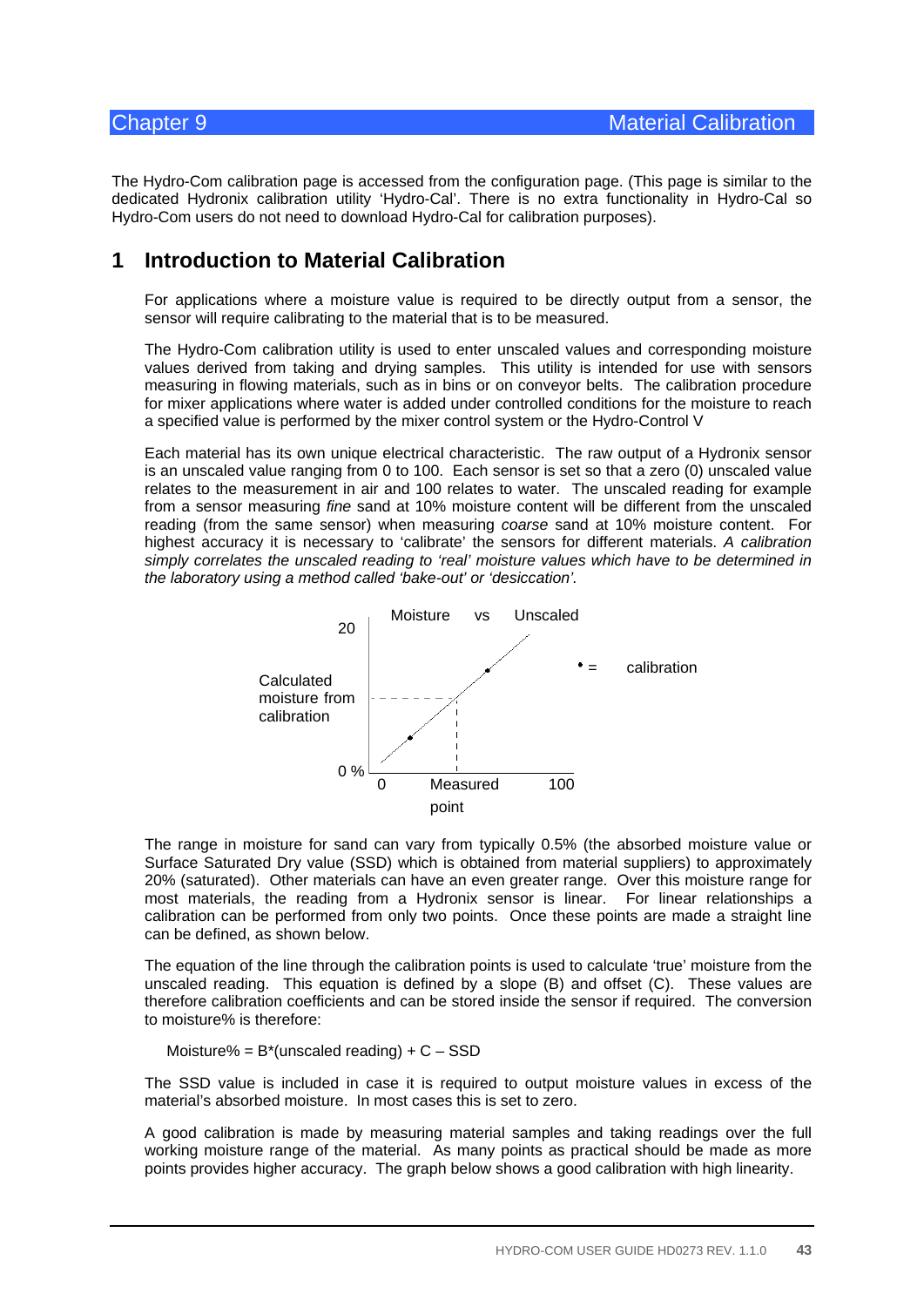The Hydro-Com calibration page is accessed from the configuration page. (This page is similar to the dedicated Hydronix calibration utility 'Hydro-Cal'. There is no extra functionality in Hydro-Cal so Hydro-Com users do not need to download Hydro-Cal for calibration purposes).

### **1 Introduction to Material Calibration**

For applications where a moisture value is required to be directly output from a sensor, the sensor will require calibrating to the material that is to be measured.

The Hydro-Com calibration utility is used to enter unscaled values and corresponding moisture values derived from taking and drying samples. This utility is intended for use with sensors measuring in flowing materials, such as in bins or on conveyor belts. The calibration procedure for mixer applications where water is added under controlled conditions for the moisture to reach a specified value is performed by the mixer control system or the Hydro-Control V

Each material has its own unique electrical characteristic. The raw output of a Hydronix sensor is an unscaled value ranging from 0 to 100. Each sensor is set so that a zero (0) unscaled value relates to the measurement in air and 100 relates to water. The unscaled reading for example from a sensor measuring *fine* sand at 10% moisture content will be different from the unscaled reading (from the same sensor) when measuring *coarse* sand at 10% moisture content. For highest accuracy it is necessary to 'calibrate' the sensors for different materials. *A calibration simply correlates the unscaled reading to 'real' moisture values which have to be determined in the laboratory using a method called 'bake-out' or 'desiccation'.*



The range in moisture for sand can vary from typically 0.5% (the absorbed moisture value or Surface Saturated Dry value (SSD) which is obtained from material suppliers) to approximately 20% (saturated). Other materials can have an even greater range. Over this moisture range for most materials, the reading from a Hydronix sensor is linear. For linear relationships a calibration can be performed from only two points. Once these points are made a straight line can be defined, as shown below.

The equation of the line through the calibration points is used to calculate 'true' moisture from the unscaled reading. This equation is defined by a slope (B) and offset (C). These values are therefore calibration coefficients and can be stored inside the sensor if required. The conversion to moisture% is therefore:

Moisture% =  $B^*$ (unscaled reading) +  $C - SSD$ 

The SSD value is included in case it is required to output moisture values in excess of the material's absorbed moisture. In most cases this is set to zero.

A good calibration is made by measuring material samples and taking readings over the full working moisture range of the material. As many points as practical should be made as more points provides higher accuracy. The graph below shows a good calibration with high linearity.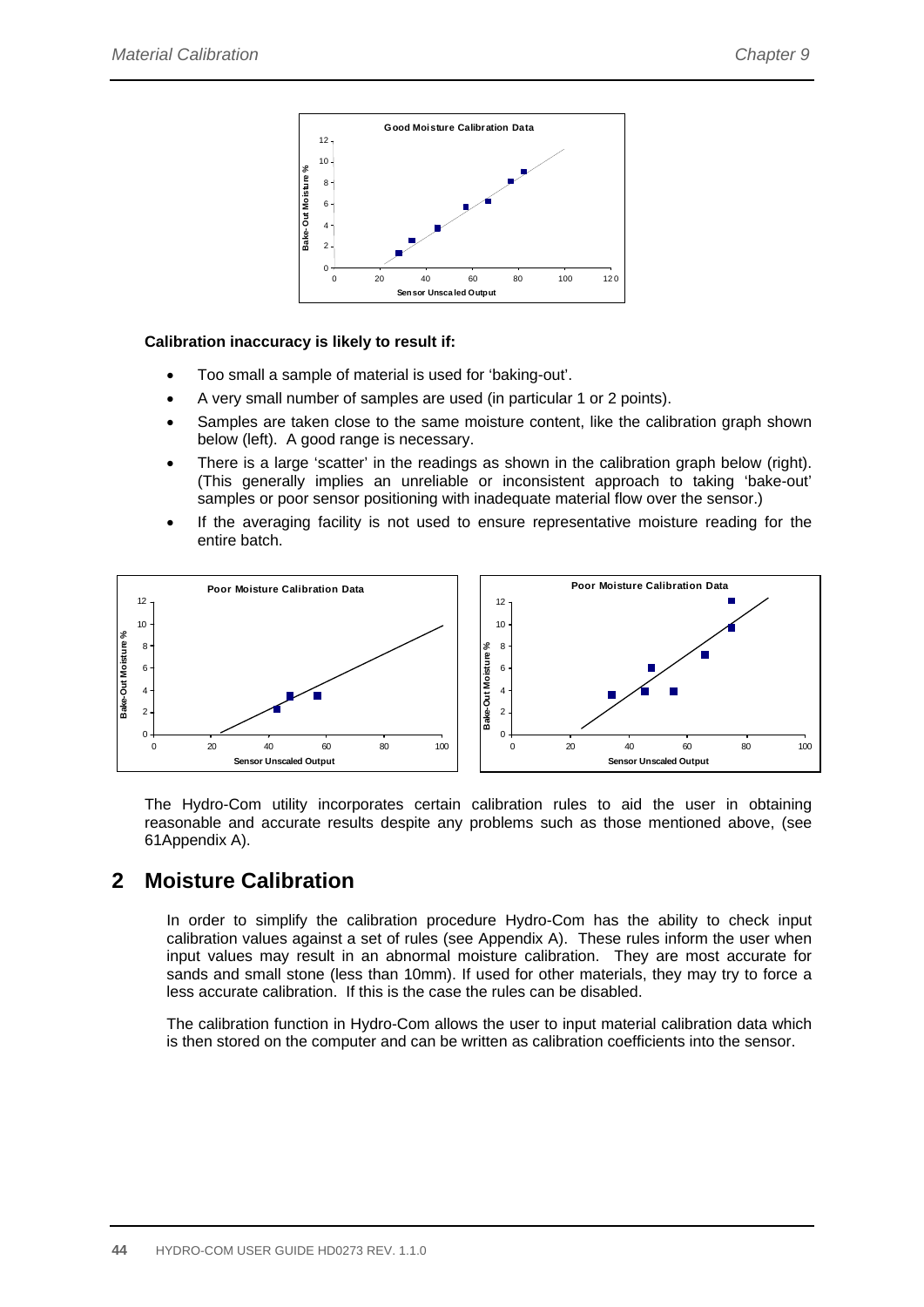

#### **Calibration inaccuracy is likely to result if:**

- Too small a sample of material is used for 'baking-out'.
- A very small number of samples are used (in particular 1 or 2 points).
- Samples are taken close to the same moisture content, like the calibration graph shown below (left). A good range is necessary.
- There is a large 'scatter' in the readings as shown in the calibration graph below (right). (This generally implies an unreliable or inconsistent approach to taking 'bake-out' samples or poor sensor positioning with inadequate material flow over the sensor.)
- If the averaging facility is not used to ensure representative moisture reading for the entire batch.



The Hydro-Com utility incorporates certain calibration rules to aid the user in obtaining reasonable and accurate results despite any problems such as those mentioned above, (see 61Appendix A).

### **2 Moisture Calibration**

In order to simplify the calibration procedure Hydro-Com has the ability to check input calibration values against a set of rules (see Appendix A). These rules inform the user when input values may result in an abnormal moisture calibration. They are most accurate for sands and small stone (less than 10mm). If used for other materials, they may try to force a less accurate calibration. If this is the case the rules can be disabled.

The calibration function in Hydro-Com allows the user to input material calibration data which is then stored on the computer and can be written as calibration coefficients into the sensor.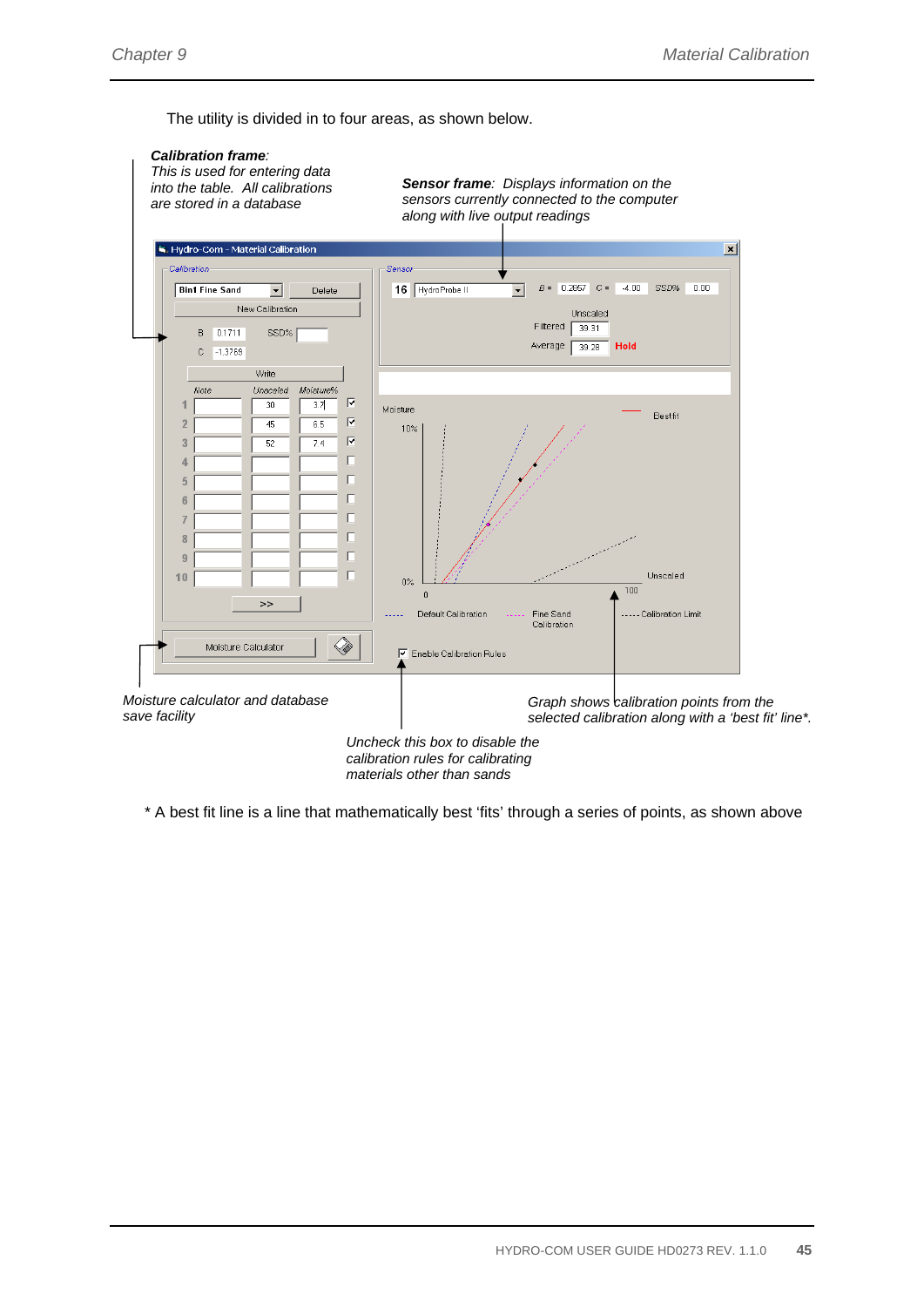The utility is divided in to four areas, as shown below.



*materials other than sands* 

\* A best fit line is a line that mathematically best 'fits' through a series of points, as shown above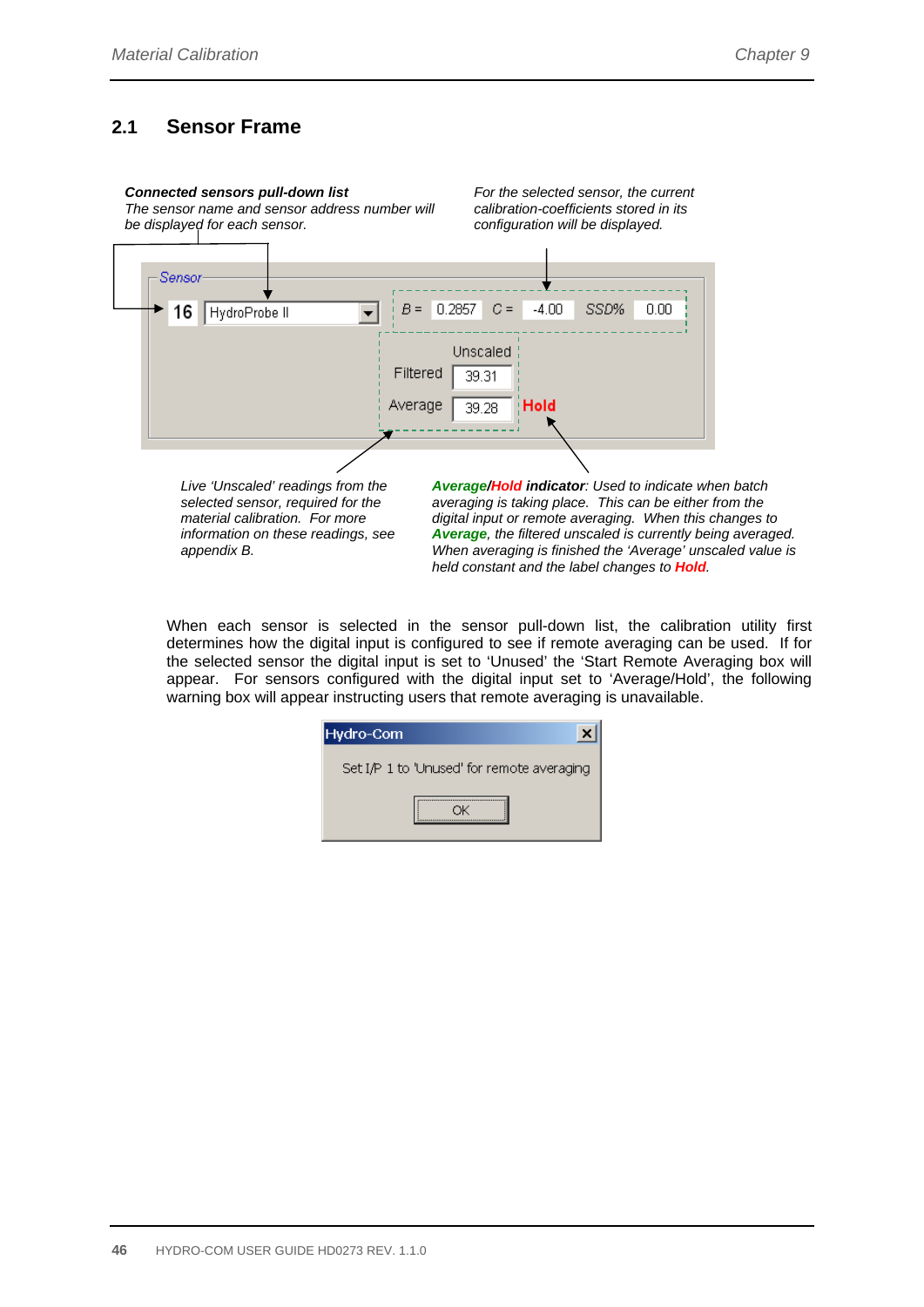### **2.1 Sensor Frame**

#### *Connected sensors pull-down list*

*The sensor name and sensor address number will be displayed for each sensor.* 

*For the selected sensor, the current calibration-coefficients stored in its configuration will be displayed.* 



*selected sensor, required for the material calibration. For more information on these readings, see appendix B.* 

*averaging is taking place. This can be either from the digital input or remote averaging. When this changes to Average, the filtered unscaled is currently being averaged. When averaging is finished the 'Average' unscaled value is held constant and the label changes to Hold.* 

When each sensor is selected in the sensor pull-down list, the calibration utility first determines how the digital input is configured to see if remote averaging can be used. If for the selected sensor the digital input is set to 'Unused' the 'Start Remote Averaging box will appear. For sensors configured with the digital input set to 'Average/Hold', the following warning box will appear instructing users that remote averaging is unavailable.

| Hydro-Com                                  |  |
|--------------------------------------------|--|
| Set I/P 1 to 'Unused' for remote averaging |  |
|                                            |  |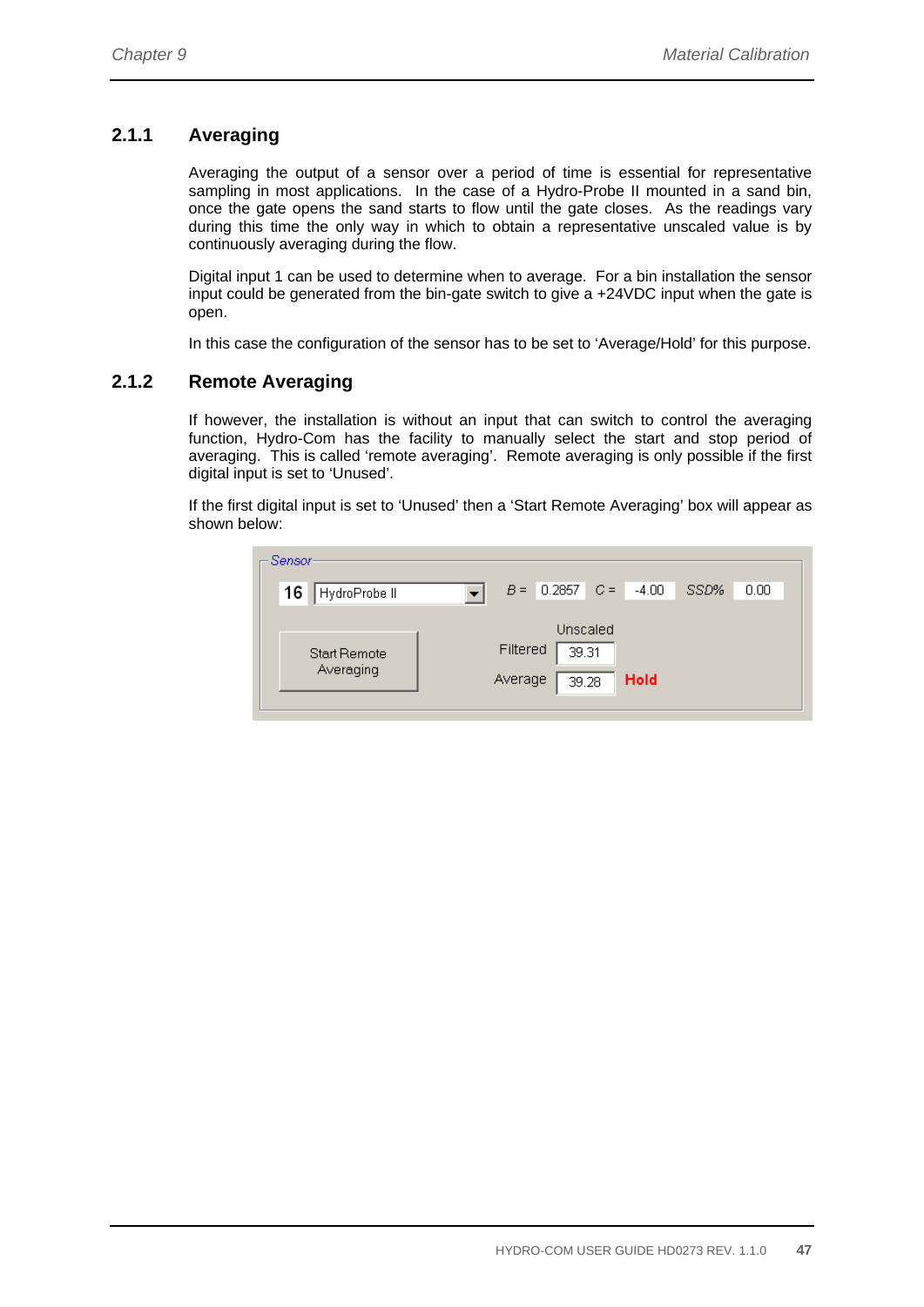### **2.1.1 Averaging**

Averaging the output of a sensor over a period of time is essential for representative sampling in most applications. In the case of a Hydro-Probe II mounted in a sand bin, once the gate opens the sand starts to flow until the gate closes. As the readings vary during this time the only way in which to obtain a representative unscaled value is by continuously averaging during the flow.

Digital input 1 can be used to determine when to average. For a bin installation the sensor input could be generated from the bin-gate switch to give a +24VDC input when the gate is open.

In this case the configuration of the sensor has to be set to 'Average/Hold' for this purpose.

### **2.1.2 Remote Averaging**

If however, the installation is without an input that can switch to control the averaging function, Hydro-Com has the facility to manually select the start and stop period of averaging. This is called 'remote averaging'. Remote averaging is only possible if the first digital input is set to 'Unused'.

If the first digital input is set to 'Unused' then a 'Start Remote Averaging' box will appear as shown below:

| - Sensor:                        |                     |                                                        |      |      |      |  |
|----------------------------------|---------------------|--------------------------------------------------------|------|------|------|--|
| 16<br>HydroProbe II              |                     | $B = \begin{bmatrix} 0.2857 & C = \end{bmatrix}$ -4.00 |      | SSD% | 0.00 |  |
| <b>Start Remote</b><br>Averaging | Filtered<br>Average | Unscaled<br>39.31<br>39.28                             | Hold |      |      |  |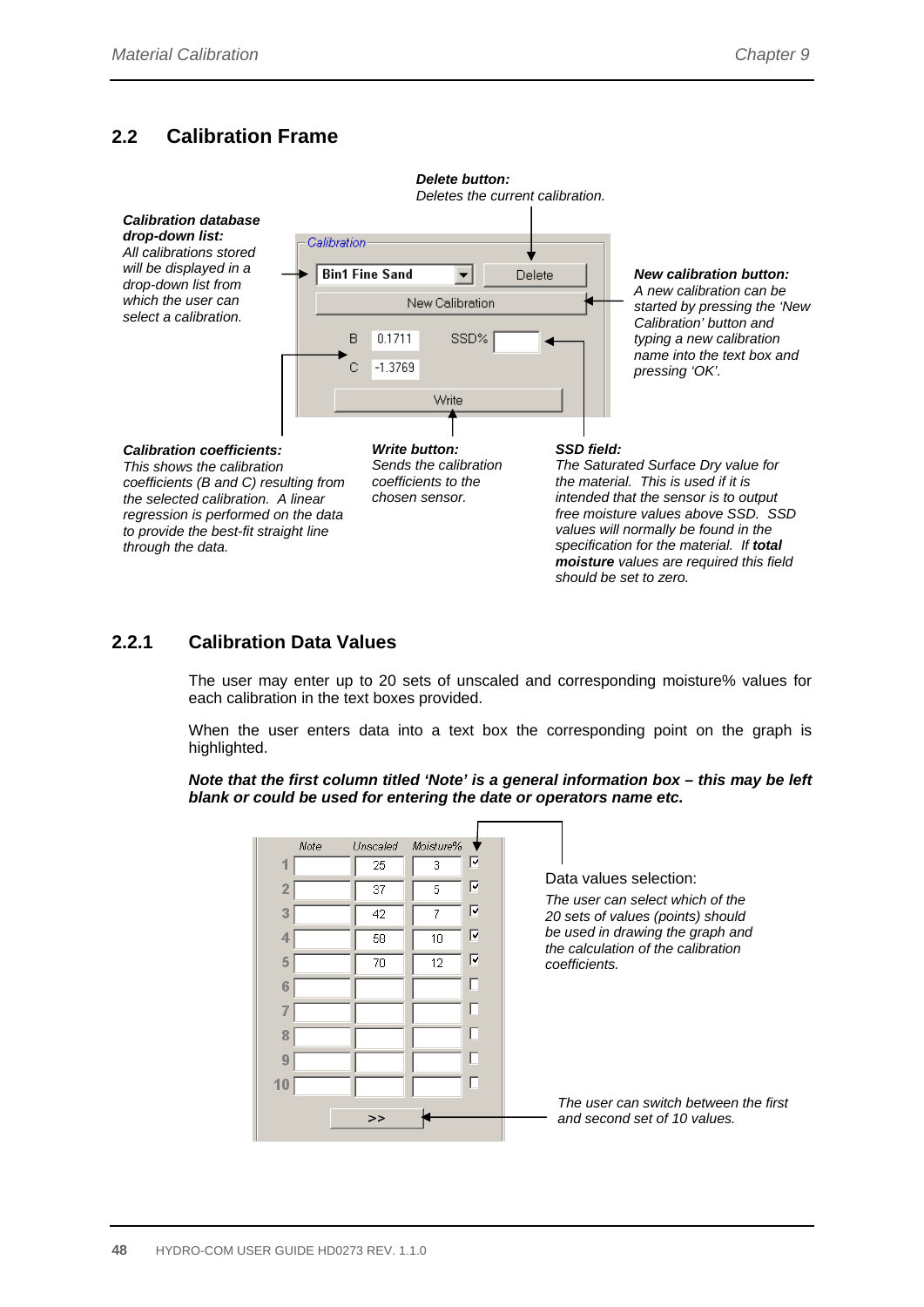### **2.2 Calibration Frame**



#### **2.2.1 Calibration Data Values**

The user may enter up to 20 sets of unscaled and corresponding moisture% values for each calibration in the text boxes provided.

When the user enters data into a text box the corresponding point on the graph is highlighted.

*Note that the first column titled 'Note' is a general information box – this may be left blank or could be used for entering the date or operators name etc.* 

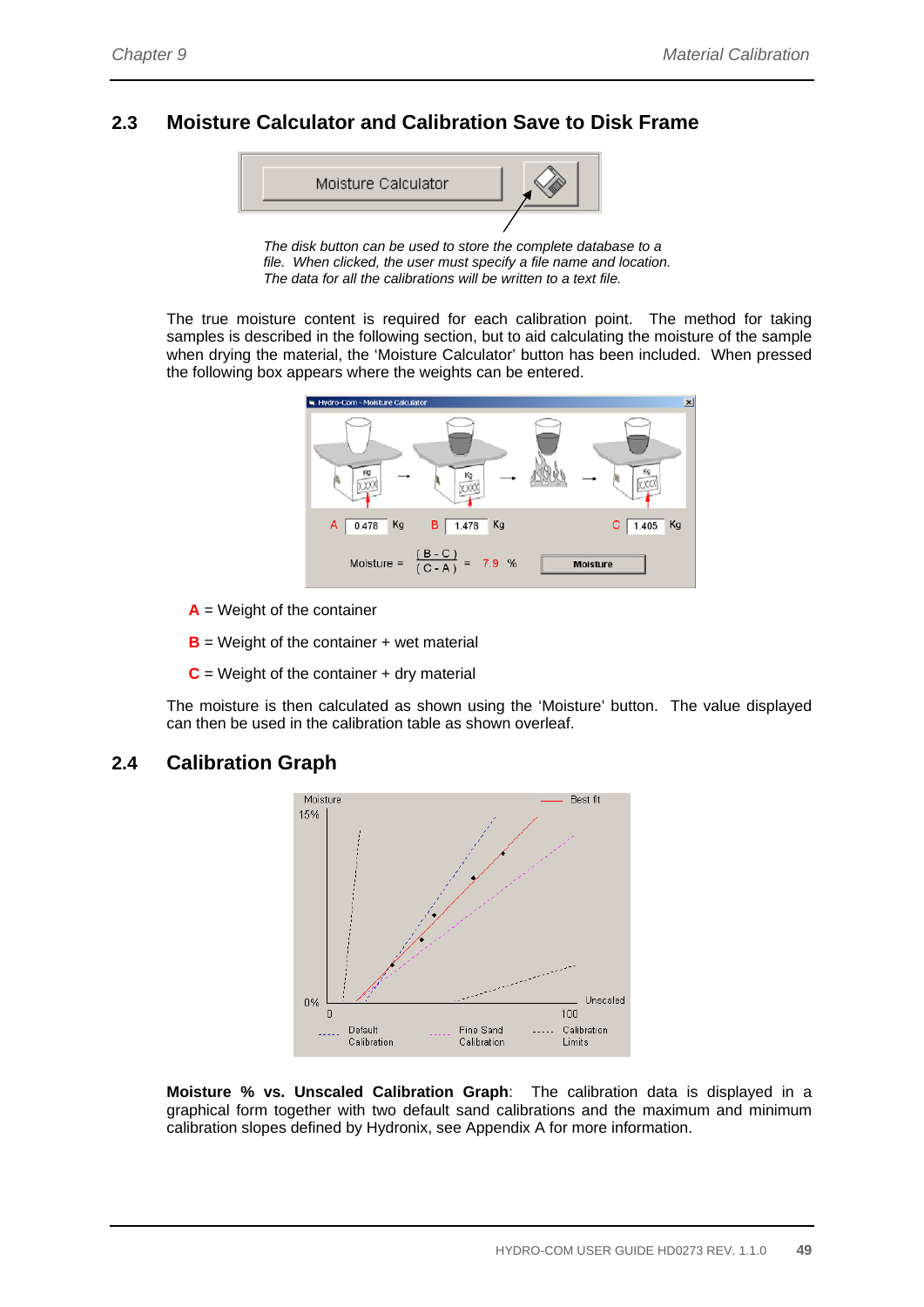### **2.3 Moisture Calculator and Calibration Save to Disk Frame**



*The disk button can be used to store the complete database to a file. When clicked, the user must specify a file name and location. The data for all the calibrations will be written to a text file.* 

The true moisture content is required for each calibration point. The method for taking samples is described in the following section, but to aid calculating the moisture of the sample when drying the material, the 'Moisture Calculator' button has been included. When pressed the following box appears where the weights can be entered.



**A** = Weight of the container

**B** = Weight of the container + wet material

 $C =$  Weight of the container  $+$  dry material

The moisture is then calculated as shown using the 'Moisture' button. The value displayed can then be used in the calibration table as shown overleaf.

#### **2.4 Calibration Graph**



**Moisture % vs. Unscaled Calibration Graph**: The calibration data is displayed in a graphical form together with two default sand calibrations and the maximum and minimum calibration slopes defined by Hydronix, see Appendix A for more information.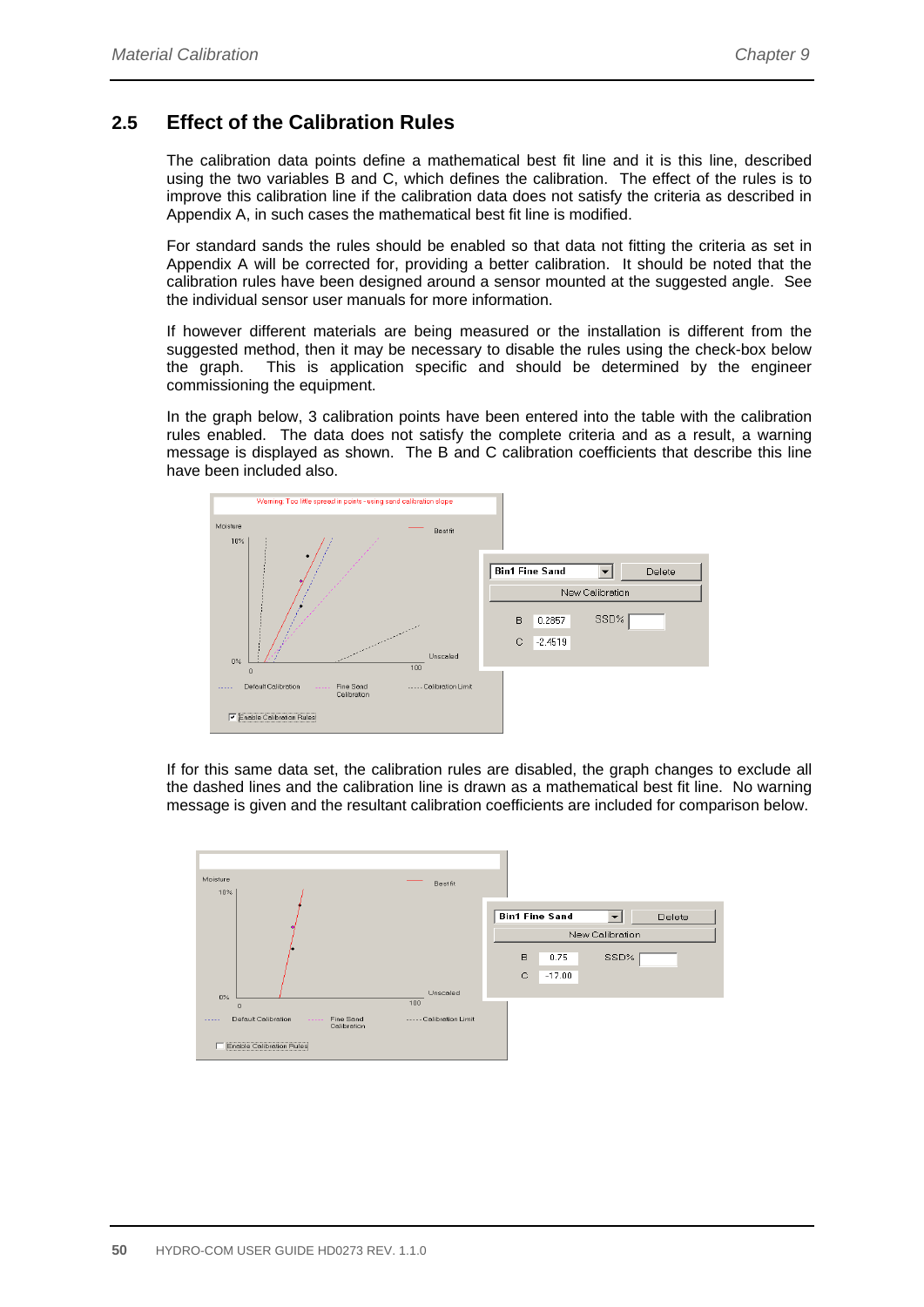### **2.5 Effect of the Calibration Rules**

The calibration data points define a mathematical best fit line and it is this line, described using the two variables B and C, which defines the calibration. The effect of the rules is to improve this calibration line if the calibration data does not satisfy the criteria as described in Appendix A, in such cases the mathematical best fit line is modified.

For standard sands the rules should be enabled so that data not fitting the criteria as set in Appendix A will be corrected for, providing a better calibration. It should be noted that the calibration rules have been designed around a sensor mounted at the suggested angle. See the individual sensor user manuals for more information.

If however different materials are being measured or the installation is different from the suggested method, then it may be necessary to disable the rules using the check-box below the graph. This is application specific and should be determined by the engineer commissioning the equipment.

In the graph below, 3 calibration points have been entered into the table with the calibration rules enabled. The data does not satisfy the complete criteria and as a result, a warning message is displayed as shown. The B and C calibration coefficients that describe this line have been included also.



If for this same data set, the calibration rules are disabled, the graph changes to exclude all the dashed lines and the calibration line is drawn as a mathematical best fit line. No warning message is given and the resultant calibration coefficients are included for comparison below.

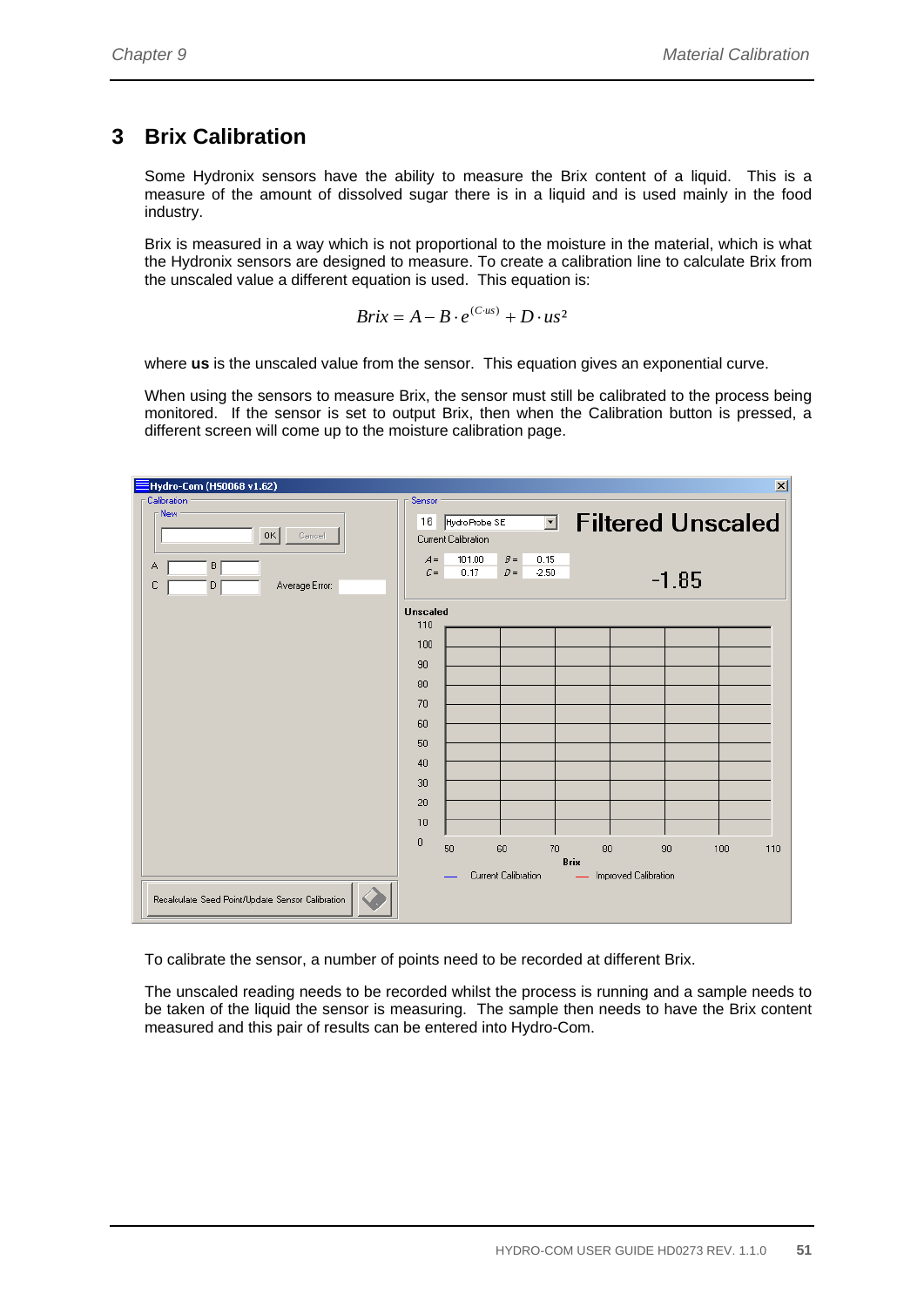## **3 Brix Calibration**

Some Hydronix sensors have the ability to measure the Brix content of a liquid. This is a measure of the amount of dissolved sugar there is in a liquid and is used mainly in the food industry.

Brix is measured in a way which is not proportional to the moisture in the material, which is what the Hydronix sensors are designed to measure. To create a calibration line to calculate Brix from the unscaled value a different equation is used. This equation is:

$$
Brix = A - B \cdot e^{(C \cdot us)} + D \cdot us^2
$$

where **us** is the unscaled value from the sensor. This equation gives an exponential curve.

When using the sensors to measure Brix, the sensor must still be calibrated to the process being monitored. If the sensor is set to output Brix, then when the Calibration button is pressed, a different screen will come up to the moisture calibration page.



To calibrate the sensor, a number of points need to be recorded at different Brix.

The unscaled reading needs to be recorded whilst the process is running and a sample needs to be taken of the liquid the sensor is measuring. The sample then needs to have the Brix content measured and this pair of results can be entered into Hydro-Com.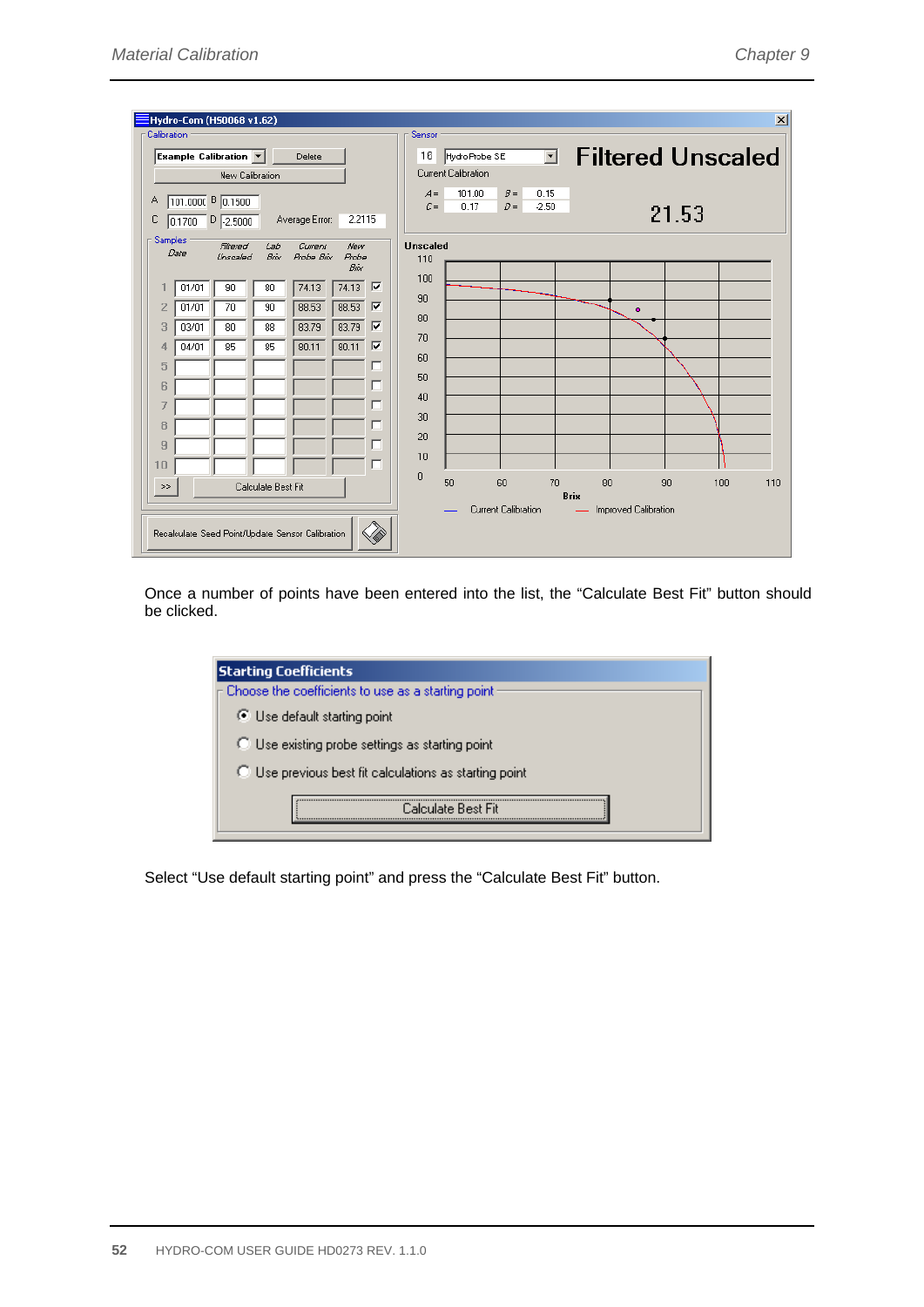| Hydro-Com (HS0068 v1.62)                                                                                                        | $\vert x \vert$                                                              |
|---------------------------------------------------------------------------------------------------------------------------------|------------------------------------------------------------------------------|
| Calibration                                                                                                                     | Sensor                                                                       |
| Example Calibration $\vert \mathbf{v} \vert$<br>Delete                                                                          | <b>Filtered Unscaled</b><br>$\overline{\phantom{a}}$<br>16<br>Hydro Probe SE |
| New Calibration                                                                                                                 | Current Calibration                                                          |
| 101.0000 B 0.1500<br>Α                                                                                                          | 101.00<br>$B =$<br>0.15<br>$A =$<br>$C =$<br>0.17<br>$D =$<br>$-2.50$        |
| 2.2115<br>$0.1700$ $D$ $2.5000$<br>с<br>Average Error:                                                                          | 21.53                                                                        |
| <b>Samples</b><br>Filtered<br>Lab<br>Current<br>New<br>Date<br>Bóx<br>Unscaled<br>Probe Brix<br><b>Probe</b><br>B <sub>ox</sub> | <b>Unscaled</b><br>110                                                       |
| $\overline{\mathbf{v}}$<br>74.13<br>74.13<br>90<br>80<br>01/01                                                                  | 100                                                                          |
| ⊽<br>88.53<br>88.53<br>2<br>70<br>90<br>01/01                                                                                   | 90<br>۰<br>80                                                                |
| ⊽<br>83.79<br>83.79<br>3<br>03/01<br>80<br>88                                                                                   | 70                                                                           |
| 80.11<br> ⊽<br>04/01<br>85<br>80.11<br>85<br>4                                                                                  | 60                                                                           |
| 5<br>L                                                                                                                          | 50                                                                           |
| 6<br>г                                                                                                                          | 40                                                                           |
| г                                                                                                                               | 30                                                                           |
| 8<br>г                                                                                                                          | 20                                                                           |
| 9<br>г                                                                                                                          | 10                                                                           |
| 10                                                                                                                              | $\theta$                                                                     |
| Calculate Best Fit<br>>                                                                                                         | 70<br>50<br>60<br>80<br>100<br>110<br>90<br><b>Brix</b>                      |
| Recalculate Seed Point/Update Sensor Calibration                                                                                | Current Calibration<br>Improved Calibration                                  |

Once a number of points have been entered into the list, the "Calculate Best Fit" button should be clicked.

| <b>Starting Coefficients</b>                           |
|--------------------------------------------------------|
| Choose the coefficients to use as a starting point     |
| ◯ Use default starting point                           |
| ◯ Use existing probe settings as starting point        |
| ◯ Use previous best fit calculations as starting point |
| Calculate Rest Fit                                     |

Select "Use default starting point" and press the "Calculate Best Fit" button.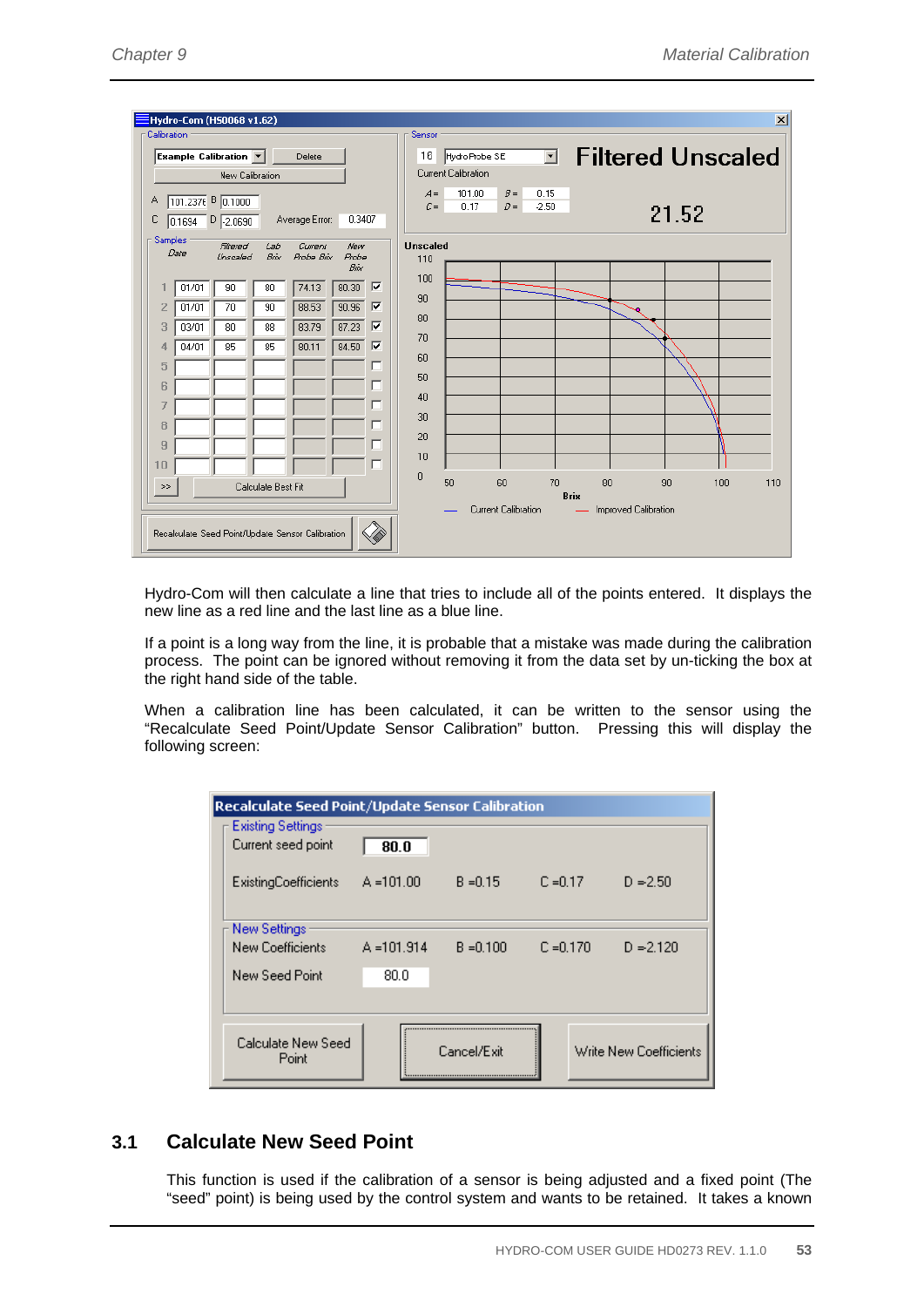|                |       | Hydro-Com (H50068 v1.62)                                           |                    |                                                  |                                  |                        |                     |                           |         | $\vert x \vert$                                               |
|----------------|-------|--------------------------------------------------------------------|--------------------|--------------------------------------------------|----------------------------------|------------------------|---------------------|---------------------------|---------|---------------------------------------------------------------|
| Calibration    |       |                                                                    |                    |                                                  |                                  | Sensor                 |                     |                           |         |                                                               |
|                |       | Example Calibration                                                |                    | Delete                                           |                                  | 16                     | Hydro Probe SE      |                           | ⊡       | <b>Filtered Unscaled</b>                                      |
|                |       | New Calibration                                                    |                    |                                                  |                                  |                        | Current Calibration |                           |         |                                                               |
|                |       | 101.2376 B 0.1000                                                  |                    |                                                  |                                  |                        | 101.00<br>$A =$     | $B =$                     | 0.15    |                                                               |
| Α              |       |                                                                    |                    |                                                  |                                  |                        | $C =$<br>0.17       | $D =$                     | $-2.50$ | 21.52                                                         |
| с              |       | $0.1694$ $\n $ $\n $ $\n $ $\n $ $\n $ $\n $ $\overline{0.2.0690}$ |                    | Average Error:                                   | 0.3407                           |                        |                     |                           |         |                                                               |
| <b>Samples</b> | Date  | Filtered<br>Unscaled                                               | Lab<br>Bóx         | Current<br>Probe Brix                            | New<br><b>Probe</b><br>Bóx       | <b>Unscaled</b><br>110 |                     |                           |         |                                                               |
|                | 01/01 | 90                                                                 | 80                 | 74.13                                            | $\overline{\mathbf{v}}$<br>80.30 | 100                    |                     |                           |         |                                                               |
| 2              | 01/01 | 70                                                                 | 90                 | 88.53                                            | ⊽<br>90.96                       | 90                     |                     |                           |         |                                                               |
| 3              | 03/01 | 80                                                                 | 88                 | 83.79                                            | ⊽<br>87.23                       | 80                     |                     |                           |         |                                                               |
| 4              | 04/01 | 85                                                                 | 85                 | 80.11                                            | ⊽<br>84.50                       | 70                     |                     |                           |         |                                                               |
| 5              |       |                                                                    |                    |                                                  | ш                                | 60                     |                     |                           |         |                                                               |
| 6              |       |                                                                    |                    |                                                  | П                                | 50                     |                     |                           |         |                                                               |
|                |       |                                                                    |                    |                                                  | г                                | 40                     |                     |                           |         |                                                               |
| 8              |       |                                                                    |                    |                                                  | г                                | 30 <sub>2</sub>        |                     |                           |         |                                                               |
| 9              |       |                                                                    |                    |                                                  | ш                                | 20                     |                     |                           |         |                                                               |
| 10             |       |                                                                    |                    |                                                  | г                                | 10                     |                     |                           |         |                                                               |
| >              |       |                                                                    | Calculate Best Fit |                                                  |                                  | $\mathbf{0}$           | 50                  | 60<br>Current Calibration | 70      | 80<br>110<br>90<br>100<br><b>Brix</b><br>Improved Calibration |
|                |       |                                                                    |                    | Recalculate Seed Point/Update Sensor Calibration |                                  |                        |                     |                           |         |                                                               |

Hydro-Com will then calculate a line that tries to include all of the points entered. It displays the new line as a red line and the last line as a blue line.

If a point is a long way from the line, it is probable that a mistake was made during the calibration process. The point can be ignored without removing it from the data set by un-ticking the box at the right hand side of the table.

When a calibration line has been calculated, it can be written to the sensor using the "Recalculate Seed Point/Update Sensor Calibration" button. Pressing this will display the following screen:

| <b>Recalculate Seed Point/Update Sensor Calibration</b> |               |             |             |                        |
|---------------------------------------------------------|---------------|-------------|-------------|------------------------|
| <b>Existing Settings</b><br>Current seed point          | 80.0          |             |             |                        |
| <b>ExistingCoefficients</b>                             | $A = 101.00$  | $B = 0.15$  | $C = 0.17$  | $D = 2.50$             |
| New Settings                                            |               |             |             |                        |
| New Coefficients                                        | $A = 101.914$ | $B = 0.100$ | $C = 0.170$ | $D = 2.120$            |
| New Seed Point                                          | 80.O          |             |             |                        |
|                                                         |               |             |             |                        |
| Calculate New Seed<br>Point                             |               | Cancel/Exit |             | Write New Coefficients |

### **3.1 Calculate New Seed Point**

This function is used if the calibration of a sensor is being adjusted and a fixed point (The "seed" point) is being used by the control system and wants to be retained. It takes a known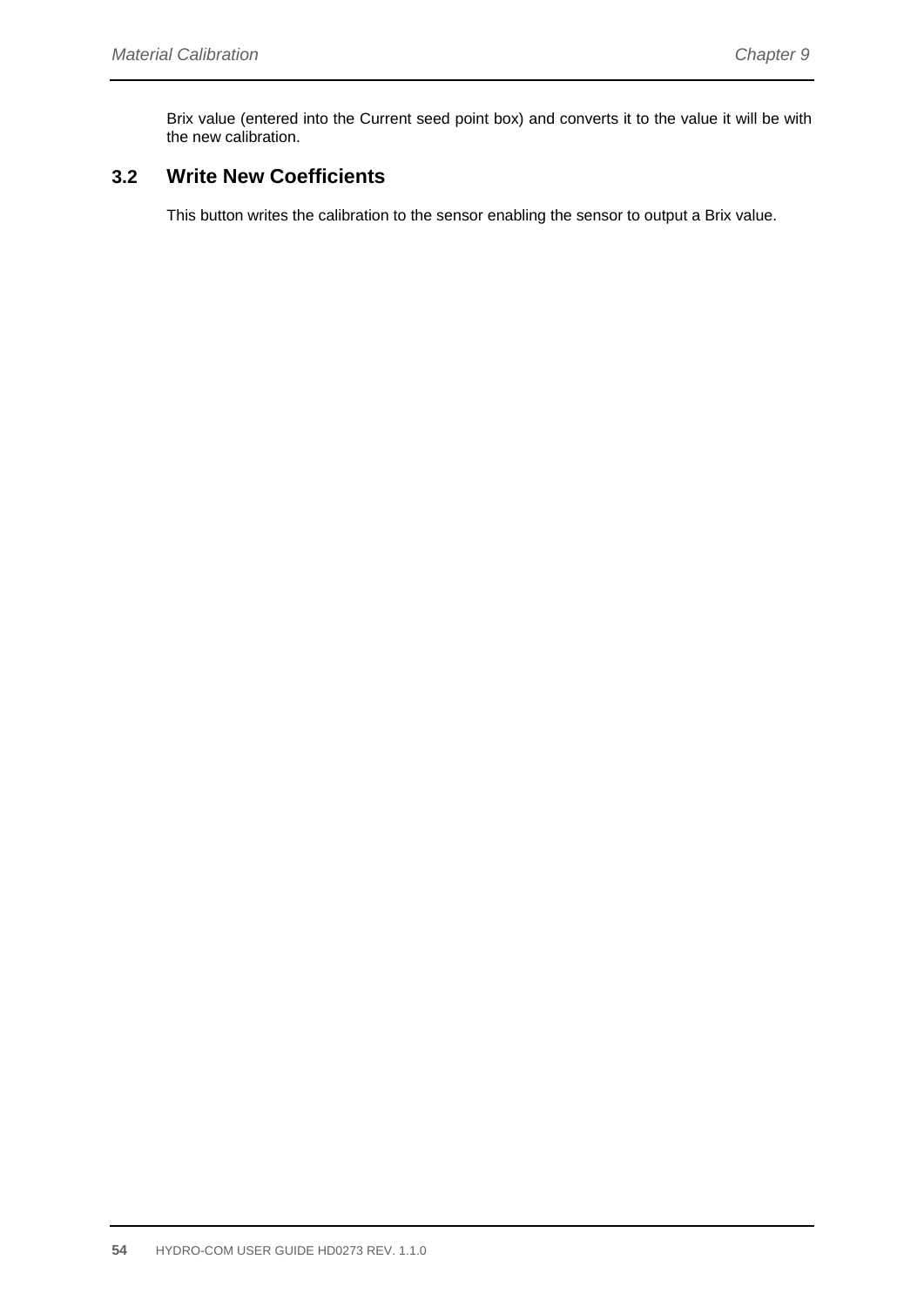Brix value (entered into the Current seed point box) and converts it to the value it will be with the new calibration.

### **3.2 Write New Coefficients**

This button writes the calibration to the sensor enabling the sensor to output a Brix value.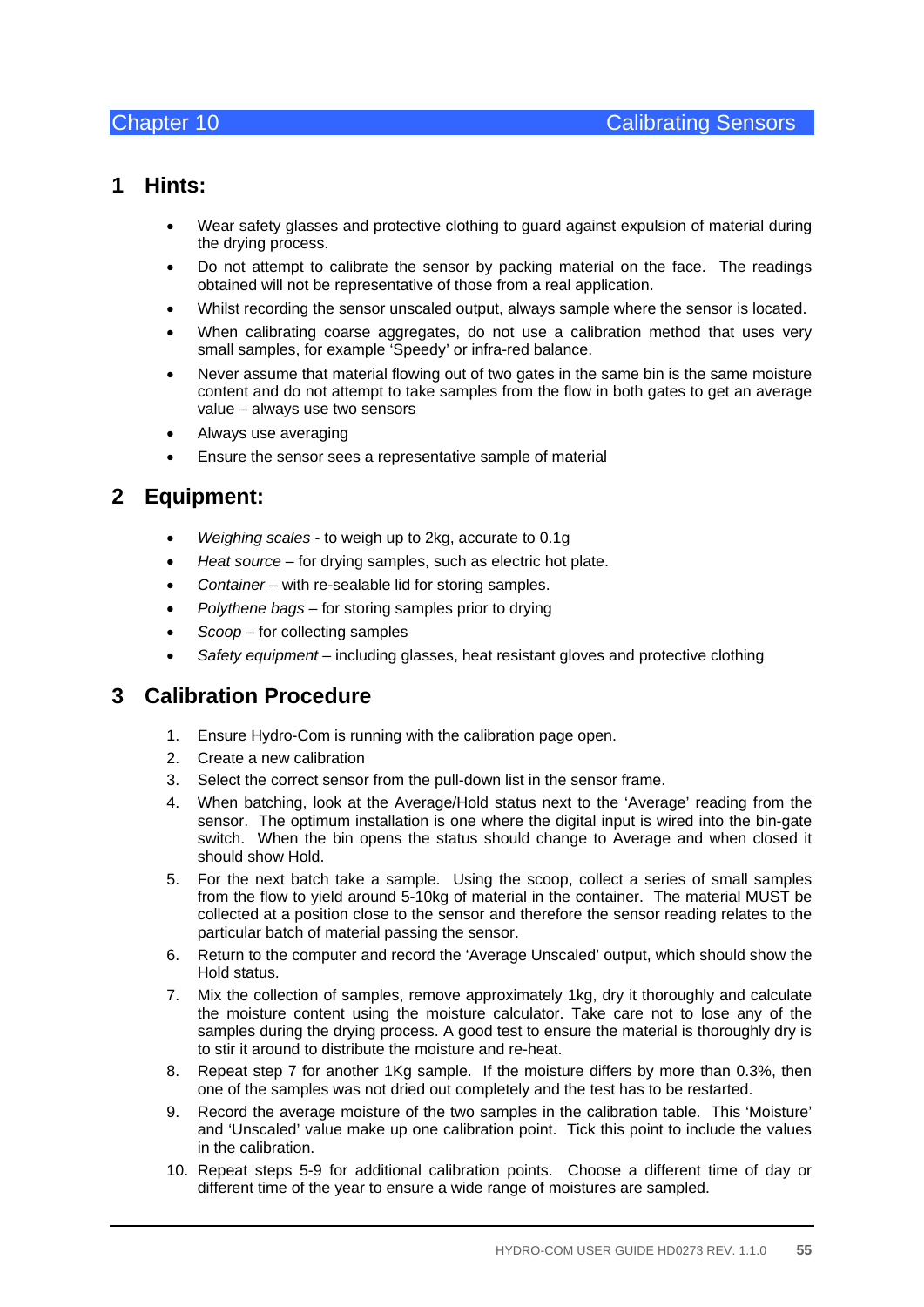### **1 Hints:**

- Wear safety glasses and protective clothing to guard against expulsion of material during the drying process.
- Do not attempt to calibrate the sensor by packing material on the face. The readings obtained will not be representative of those from a real application.
- Whilst recording the sensor unscaled output, always sample where the sensor is located.
- When calibrating coarse aggregates, do not use a calibration method that uses very small samples, for example 'Speedy' or infra-red balance.
- Never assume that material flowing out of two gates in the same bin is the same moisture content and do not attempt to take samples from the flow in both gates to get an average value – always use two sensors
- Always use averaging
- Ensure the sensor sees a representative sample of material

### **2 Equipment:**

- *Weighing scales* to weigh up to 2kg, accurate to 0.1g
- *Heat source* for drying samples, such as electric hot plate.
- *Container* with re-sealable lid for storing samples.
- *Polythene bags* for storing samples prior to drying
- *Scoop* for collecting samples
- *Safety equipment*  including glasses, heat resistant gloves and protective clothing

### **3 Calibration Procedure**

- 1. Ensure Hydro-Com is running with the calibration page open.
- 2. Create a new calibration
- 3. Select the correct sensor from the pull-down list in the sensor frame.
- 4. When batching, look at the Average/Hold status next to the 'Average' reading from the sensor. The optimum installation is one where the digital input is wired into the bin-gate switch. When the bin opens the status should change to Average and when closed it should show Hold.
- 5. For the next batch take a sample. Using the scoop, collect a series of small samples from the flow to yield around 5-10kg of material in the container. The material MUST be collected at a position close to the sensor and therefore the sensor reading relates to the particular batch of material passing the sensor.
- 6. Return to the computer and record the 'Average Unscaled' output, which should show the Hold status.
- 7. Mix the collection of samples, remove approximately 1kg, dry it thoroughly and calculate the moisture content using the moisture calculator. Take care not to lose any of the samples during the drying process. A good test to ensure the material is thoroughly dry is to stir it around to distribute the moisture and re-heat.
- 8. Repeat step 7 for another 1Kg sample. If the moisture differs by more than 0.3%, then one of the samples was not dried out completely and the test has to be restarted.
- 9. Record the average moisture of the two samples in the calibration table. This 'Moisture' and 'Unscaled' value make up one calibration point. Tick this point to include the values in the calibration.
- 10. Repeat steps 5-9 for additional calibration points. Choose a different time of day or different time of the year to ensure a wide range of moistures are sampled.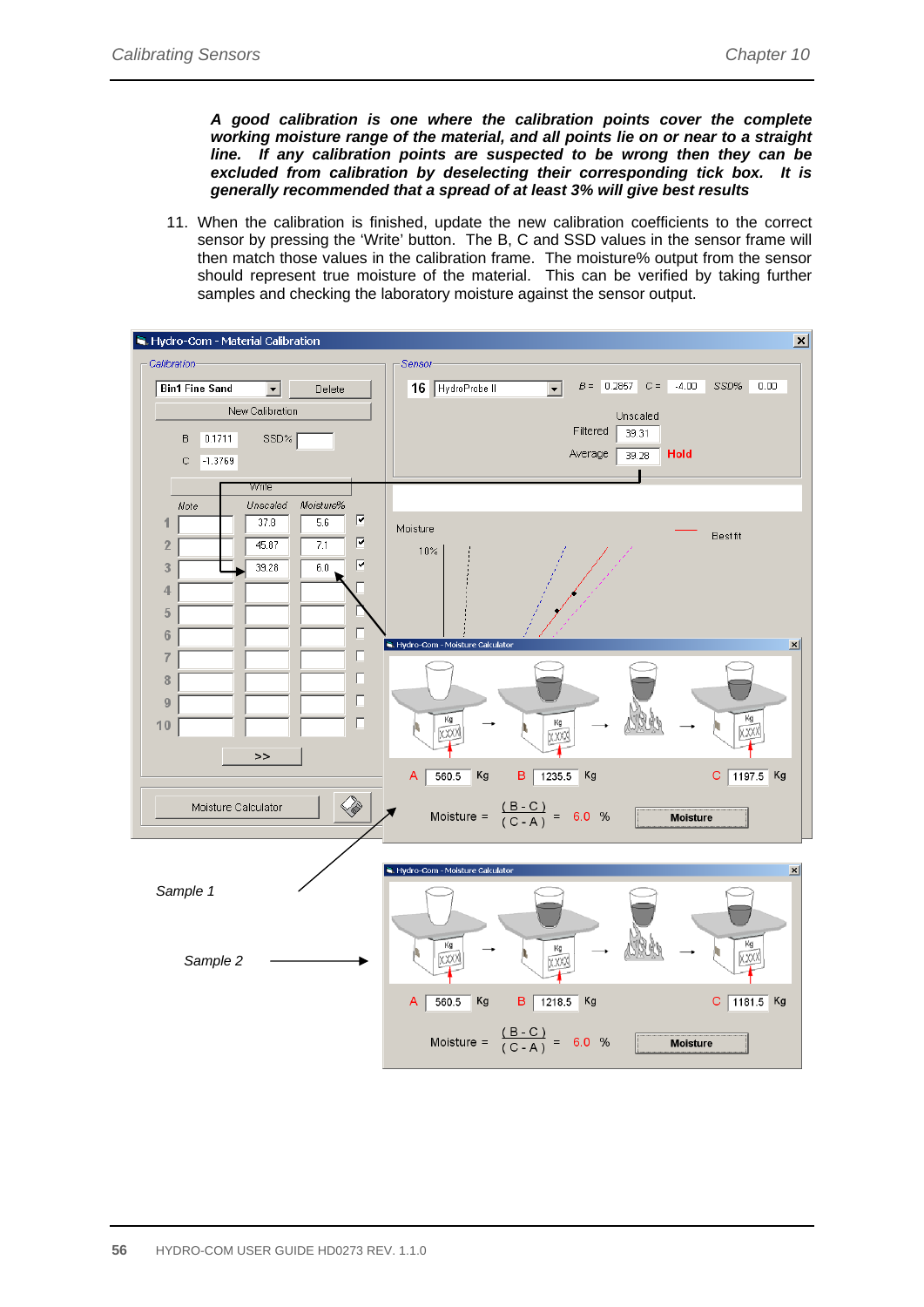*A good calibration is one where the calibration points cover the complete working moisture range of the material, and all points lie on or near to a straight line. If any calibration points are suspected to be wrong then they can be excluded from calibration by deselecting their corresponding tick box. It is generally recommended that a spread of at least 3% will give best results* 

11. When the calibration is finished, update the new calibration coefficients to the correct sensor by pressing the 'Write' button. The B, C and SSD values in the sensor frame will then match those values in the calibration frame. The moisture% output from the sensor should represent true moisture of the material. This can be verified by taking further samples and checking the laboratory moisture against the sensor output.

| Sensor-<br>$B = 0.2857$ $C = -4.00$<br>SSD%<br>0.00<br>16 HydroProbe II<br>$\overline{\mathbf{v}}$<br><b>Bin1 Fine Sand</b><br>$\vert \cdot \vert$<br>Delete<br>New Calibration<br>Unscaled<br>Filtered<br>39.31<br>0.1711<br>SSD%<br>B<br>Average<br>Hold<br>39.28<br>$-1.3769$<br>С<br>Write<br>Unscaled<br>Moisture%<br>Note<br>₽<br>5.6<br>1<br>37.8<br>Moisture<br><b>Bestfit</b><br>$\overline{\mathbf{v}}$<br>$\overline{2}$<br>45.87<br>7.1<br>10%<br>$\overline{\mathsf{F}}$<br>3<br>39.28<br>6.0<br>$\overline{4}$<br>5<br>Л<br>$6\phantom{1}$<br>Hydro-Com - Moisture Calculator<br>$\vert x \vert$<br>П<br>7<br>$\Box$<br>8<br>$\Box$<br>9<br>Kg<br>Kg<br>$\Box$<br>Кg<br>10<br>XXXX<br>XXXX<br>XXXX<br>>><br>B<br>1235.5<br>Kg<br>Kg<br>C 1197.5 Kg<br>Α<br>560.5<br><b>SI</b><br>Moisture = $\frac{(B-C)}{(C-A)}$ = 6.0 %<br>Moisture Calculator<br><b>Moisture</b><br>R. Hydro-Com - Moisture Calculator<br>$\mathbf{x}$<br>Sample 1<br>Kg<br>Kg<br>Кg<br>xxxx<br>XXXX<br>Sample 2<br>XXXX<br>$\frac{1}{560.5}$<br>Kg<br>B 1218.5 Kg<br>$C$ 1181.5 Kg<br>A | Hydro-Com - Material Calibration | $\vert x \vert$                          |
|---------------------------------------------------------------------------------------------------------------------------------------------------------------------------------------------------------------------------------------------------------------------------------------------------------------------------------------------------------------------------------------------------------------------------------------------------------------------------------------------------------------------------------------------------------------------------------------------------------------------------------------------------------------------------------------------------------------------------------------------------------------------------------------------------------------------------------------------------------------------------------------------------------------------------------------------------------------------------------------------------------------------------------------------------------------------------|----------------------------------|------------------------------------------|
|                                                                                                                                                                                                                                                                                                                                                                                                                                                                                                                                                                                                                                                                                                                                                                                                                                                                                                                                                                                                                                                                           | Calibration-                     |                                          |
|                                                                                                                                                                                                                                                                                                                                                                                                                                                                                                                                                                                                                                                                                                                                                                                                                                                                                                                                                                                                                                                                           |                                  |                                          |
|                                                                                                                                                                                                                                                                                                                                                                                                                                                                                                                                                                                                                                                                                                                                                                                                                                                                                                                                                                                                                                                                           |                                  |                                          |
|                                                                                                                                                                                                                                                                                                                                                                                                                                                                                                                                                                                                                                                                                                                                                                                                                                                                                                                                                                                                                                                                           |                                  |                                          |
|                                                                                                                                                                                                                                                                                                                                                                                                                                                                                                                                                                                                                                                                                                                                                                                                                                                                                                                                                                                                                                                                           |                                  |                                          |
|                                                                                                                                                                                                                                                                                                                                                                                                                                                                                                                                                                                                                                                                                                                                                                                                                                                                                                                                                                                                                                                                           |                                  |                                          |
|                                                                                                                                                                                                                                                                                                                                                                                                                                                                                                                                                                                                                                                                                                                                                                                                                                                                                                                                                                                                                                                                           |                                  |                                          |
|                                                                                                                                                                                                                                                                                                                                                                                                                                                                                                                                                                                                                                                                                                                                                                                                                                                                                                                                                                                                                                                                           |                                  |                                          |
|                                                                                                                                                                                                                                                                                                                                                                                                                                                                                                                                                                                                                                                                                                                                                                                                                                                                                                                                                                                                                                                                           |                                  |                                          |
|                                                                                                                                                                                                                                                                                                                                                                                                                                                                                                                                                                                                                                                                                                                                                                                                                                                                                                                                                                                                                                                                           |                                  |                                          |
|                                                                                                                                                                                                                                                                                                                                                                                                                                                                                                                                                                                                                                                                                                                                                                                                                                                                                                                                                                                                                                                                           |                                  |                                          |
|                                                                                                                                                                                                                                                                                                                                                                                                                                                                                                                                                                                                                                                                                                                                                                                                                                                                                                                                                                                                                                                                           |                                  |                                          |
|                                                                                                                                                                                                                                                                                                                                                                                                                                                                                                                                                                                                                                                                                                                                                                                                                                                                                                                                                                                                                                                                           |                                  |                                          |
|                                                                                                                                                                                                                                                                                                                                                                                                                                                                                                                                                                                                                                                                                                                                                                                                                                                                                                                                                                                                                                                                           |                                  |                                          |
|                                                                                                                                                                                                                                                                                                                                                                                                                                                                                                                                                                                                                                                                                                                                                                                                                                                                                                                                                                                                                                                                           |                                  |                                          |
|                                                                                                                                                                                                                                                                                                                                                                                                                                                                                                                                                                                                                                                                                                                                                                                                                                                                                                                                                                                                                                                                           |                                  |                                          |
|                                                                                                                                                                                                                                                                                                                                                                                                                                                                                                                                                                                                                                                                                                                                                                                                                                                                                                                                                                                                                                                                           |                                  |                                          |
|                                                                                                                                                                                                                                                                                                                                                                                                                                                                                                                                                                                                                                                                                                                                                                                                                                                                                                                                                                                                                                                                           |                                  |                                          |
|                                                                                                                                                                                                                                                                                                                                                                                                                                                                                                                                                                                                                                                                                                                                                                                                                                                                                                                                                                                                                                                                           |                                  |                                          |
|                                                                                                                                                                                                                                                                                                                                                                                                                                                                                                                                                                                                                                                                                                                                                                                                                                                                                                                                                                                                                                                                           |                                  |                                          |
|                                                                                                                                                                                                                                                                                                                                                                                                                                                                                                                                                                                                                                                                                                                                                                                                                                                                                                                                                                                                                                                                           |                                  |                                          |
|                                                                                                                                                                                                                                                                                                                                                                                                                                                                                                                                                                                                                                                                                                                                                                                                                                                                                                                                                                                                                                                                           |                                  |                                          |
|                                                                                                                                                                                                                                                                                                                                                                                                                                                                                                                                                                                                                                                                                                                                                                                                                                                                                                                                                                                                                                                                           |                                  |                                          |
|                                                                                                                                                                                                                                                                                                                                                                                                                                                                                                                                                                                                                                                                                                                                                                                                                                                                                                                                                                                                                                                                           |                                  |                                          |
|                                                                                                                                                                                                                                                                                                                                                                                                                                                                                                                                                                                                                                                                                                                                                                                                                                                                                                                                                                                                                                                                           |                                  |                                          |
|                                                                                                                                                                                                                                                                                                                                                                                                                                                                                                                                                                                                                                                                                                                                                                                                                                                                                                                                                                                                                                                                           |                                  |                                          |
|                                                                                                                                                                                                                                                                                                                                                                                                                                                                                                                                                                                                                                                                                                                                                                                                                                                                                                                                                                                                                                                                           |                                  |                                          |
|                                                                                                                                                                                                                                                                                                                                                                                                                                                                                                                                                                                                                                                                                                                                                                                                                                                                                                                                                                                                                                                                           |                                  |                                          |
|                                                                                                                                                                                                                                                                                                                                                                                                                                                                                                                                                                                                                                                                                                                                                                                                                                                                                                                                                                                                                                                                           |                                  |                                          |
|                                                                                                                                                                                                                                                                                                                                                                                                                                                                                                                                                                                                                                                                                                                                                                                                                                                                                                                                                                                                                                                                           |                                  |                                          |
|                                                                                                                                                                                                                                                                                                                                                                                                                                                                                                                                                                                                                                                                                                                                                                                                                                                                                                                                                                                                                                                                           |                                  | Moisture = $\frac{(B-C)}{(C-A)}$ = 6.0 % |
| <b>Moisture</b>                                                                                                                                                                                                                                                                                                                                                                                                                                                                                                                                                                                                                                                                                                                                                                                                                                                                                                                                                                                                                                                           |                                  |                                          |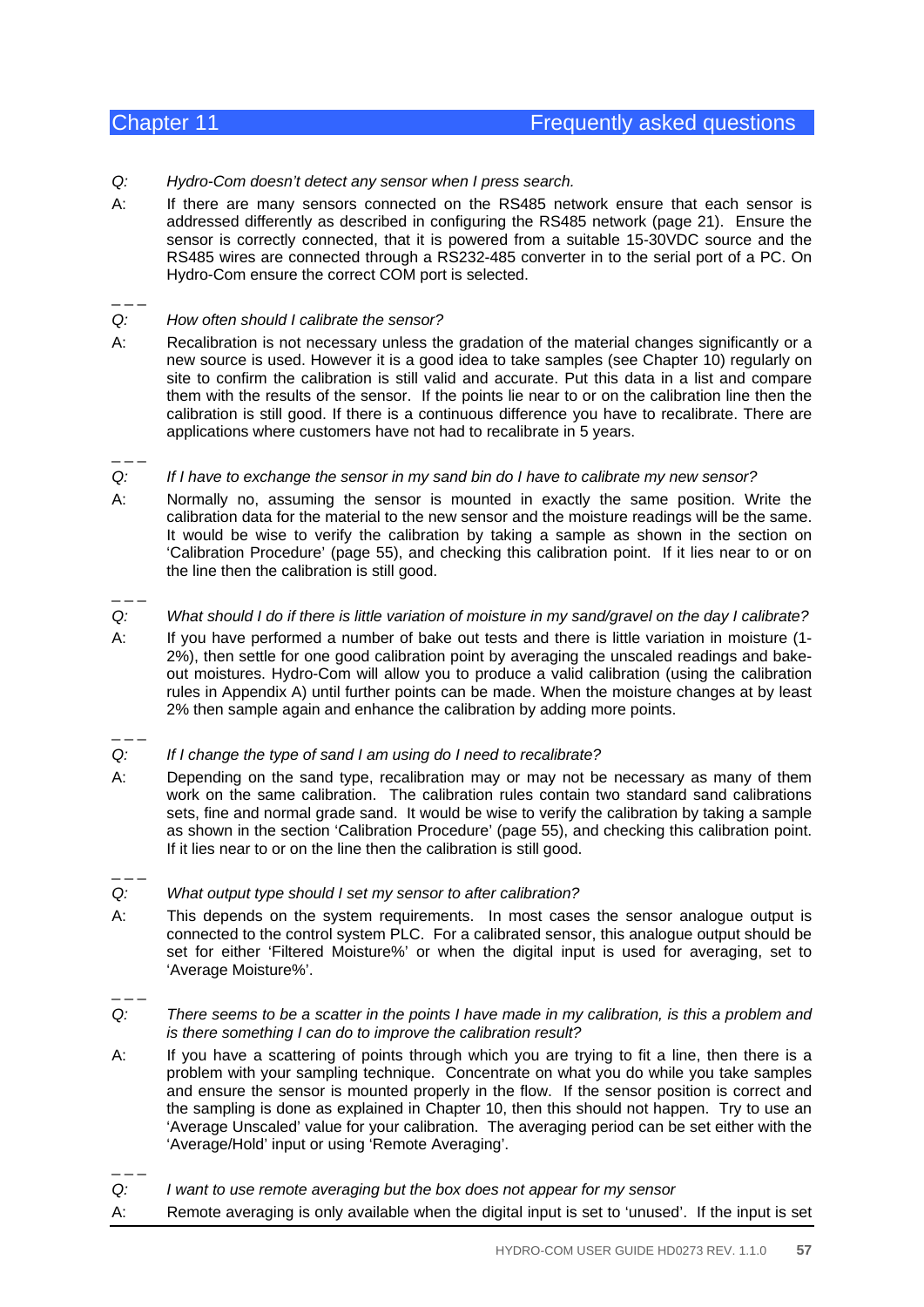- *Q: Hydro-Com doesn't detect any sensor when I press search.*
- A: If there are many sensors connected on the RS485 network ensure that each sensor is addressed differently as described in configuring the RS485 network (page 21). Ensure the sensor is correctly connected, that it is powered from a suitable 15-30VDC source and the RS485 wires are connected through a RS232-485 converter in to the serial port of a PC. On Hydro-Com ensure the correct COM port is selected.

 $-$ 

 $\overline{a}$   $\overline{a}$   $\overline{a}$ 

- *Q: How often should I calibrate the sensor?*
- A: Recalibration is not necessary unless the gradation of the material changes significantly or a new source is used. However it is a good idea to take samples (see Chapter 10) regularly on site to confirm the calibration is still valid and accurate. Put this data in a list and compare them with the results of the sensor. If the points lie near to or on the calibration line then the calibration is still good. If there is a continuous difference you have to recalibrate. There are applications where customers have not had to recalibrate in 5 years.
- *Q: If I have to exchange the sensor in my sand bin do I have to calibrate my new sensor?*
- A: Normally no, assuming the sensor is mounted in exactly the same position. Write the calibration data for the material to the new sensor and the moisture readings will be the same. It would be wise to verify the calibration by taking a sample as shown in the section on 'Calibration Procedure' (page 55), and checking this calibration point. If it lies near to or on the line then the calibration is still good.
- *Q: What should I do if there is little variation of moisture in my sand/gravel on the day I calibrate?*
- A: If you have performed a number of bake out tests and there is little variation in moisture (1- 2%), then settle for one good calibration point by averaging the unscaled readings and bakeout moistures. Hydro-Com will allow you to produce a valid calibration (using the calibration rules in Appendix A) until further points can be made. When the moisture changes at by least 2% then sample again and enhance the calibration by adding more points.
- $=-$

 $\mathcal{L}$ 

- *Q: If I change the type of sand I am using do I need to recalibrate?*
- A: Depending on the sand type, recalibration may or may not be necessary as many of them work on the same calibration. The calibration rules contain two standard sand calibrations sets, fine and normal grade sand. It would be wise to verify the calibration by taking a sample as shown in the section 'Calibration Procedure' (page 55), and checking this calibration point. If it lies near to or on the line then the calibration is still good.
- $\overline{a}$   $\overline{a}$   $\overline{a}$
- *Q: What output type should I set my sensor to after calibration?*
- A: This depends on the system requirements. In most cases the sensor analogue output is connected to the control system PLC. For a calibrated sensor, this analogue output should be set for either 'Filtered Moisture%' or when the digital input is used for averaging, set to 'Average Moisture%'.
- $\overline{a}$   $\overline{a}$   $\overline{a}$
- *Q: There seems to be a scatter in the points I have made in my calibration, is this a problem and is there something I can do to improve the calibration result?*
- A: If you have a scattering of points through which you are trying to fit a line, then there is a problem with your sampling technique. Concentrate on what you do while you take samples and ensure the sensor is mounted properly in the flow. If the sensor position is correct and the sampling is done as explained in Chapter 10, then this should not happen. Try to use an 'Average Unscaled' value for your calibration. The averaging period can be set either with the 'Average/Hold' input or using 'Remote Averaging'.
- $\overline{a}$   $\overline{a}$   $\overline{a}$

*Q: I want to use remote averaging but the box does not appear for my sensor* 

A: Remote averaging is only available when the digital input is set to 'unused'. If the input is set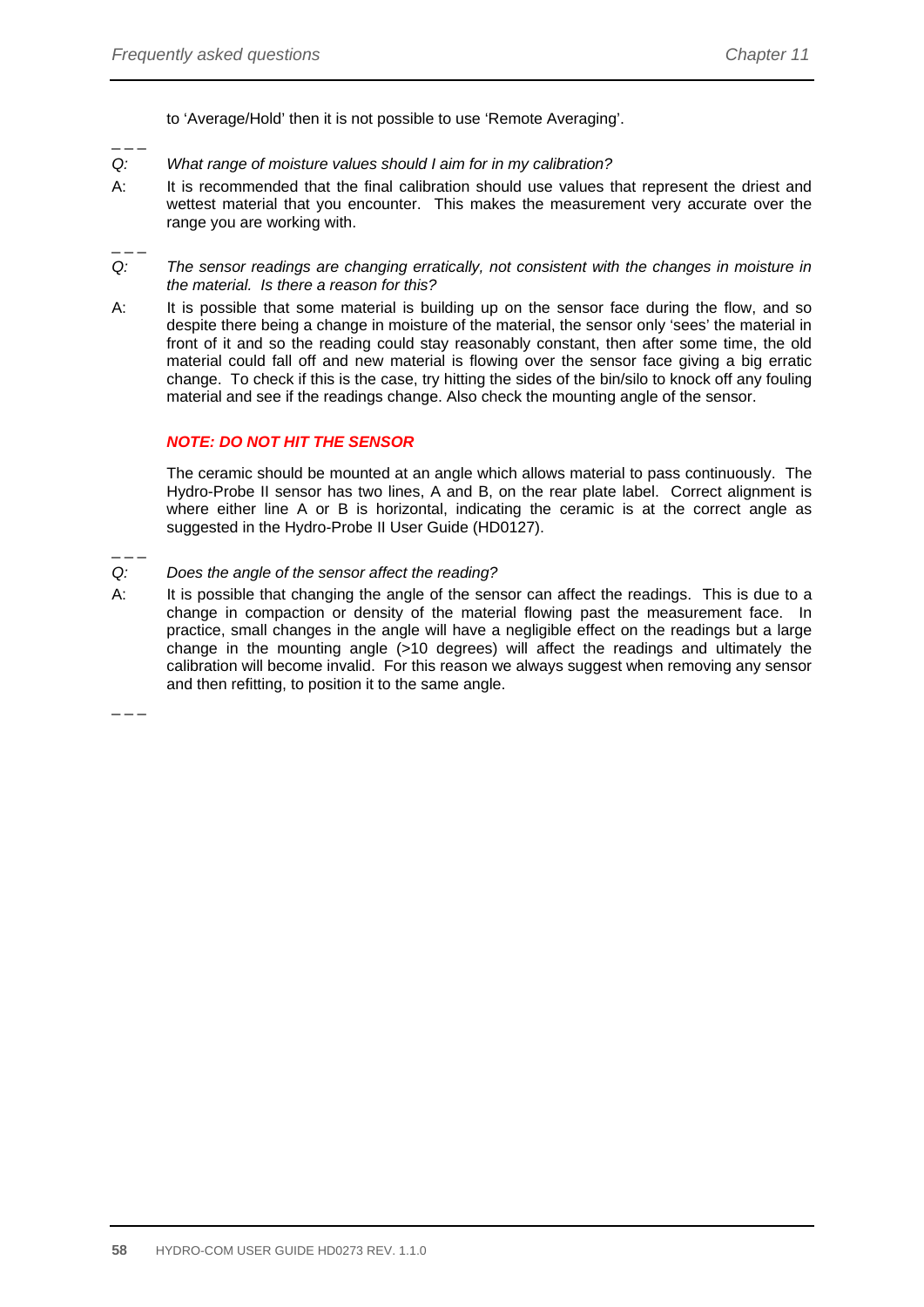to 'Average/Hold' then it is not possible to use 'Remote Averaging'.

- *Q: What range of moisture values should I aim for in my calibration?*
- A: It is recommended that the final calibration should use values that represent the driest and wettest material that you encounter. This makes the measurement very accurate over the range you are working with.
- $-$

 $\overline{a}$   $\overline{a}$   $\overline{a}$ 

- *Q: The sensor readings are changing erratically, not consistent with the changes in moisture in the material. Is there a reason for this?*
- A: It is possible that some material is building up on the sensor face during the flow, and so despite there being a change in moisture of the material, the sensor only 'sees' the material in front of it and so the reading could stay reasonably constant, then after some time, the old material could fall off and new material is flowing over the sensor face giving a big erratic change. To check if this is the case, try hitting the sides of the bin/silo to knock off any fouling material and see if the readings change. Also check the mounting angle of the sensor.

#### *NOTE: DO NOT HIT THE SENSOR*

 The ceramic should be mounted at an angle which allows material to pass continuously. The Hydro-Probe II sensor has two lines, A and B, on the rear plate label. Correct alignment is where either line A or B is horizontal, indicating the ceramic is at the correct angle as suggested in the Hydro-Probe II User Guide (HD0127).

- *Q: Does the angle of the sensor affect the reading?*
- A: It is possible that changing the angle of the sensor can affect the readings. This is due to a change in compaction or density of the material flowing past the measurement face. In practice, small changes in the angle will have a negligible effect on the readings but a large change in the mounting angle (>10 degrees) will affect the readings and ultimately the calibration will become invalid. For this reason we always suggest when removing any sensor and then refitting, to position it to the same angle.

 $\overline{a}$   $\overline{a}$   $\overline{a}$ 

 $-$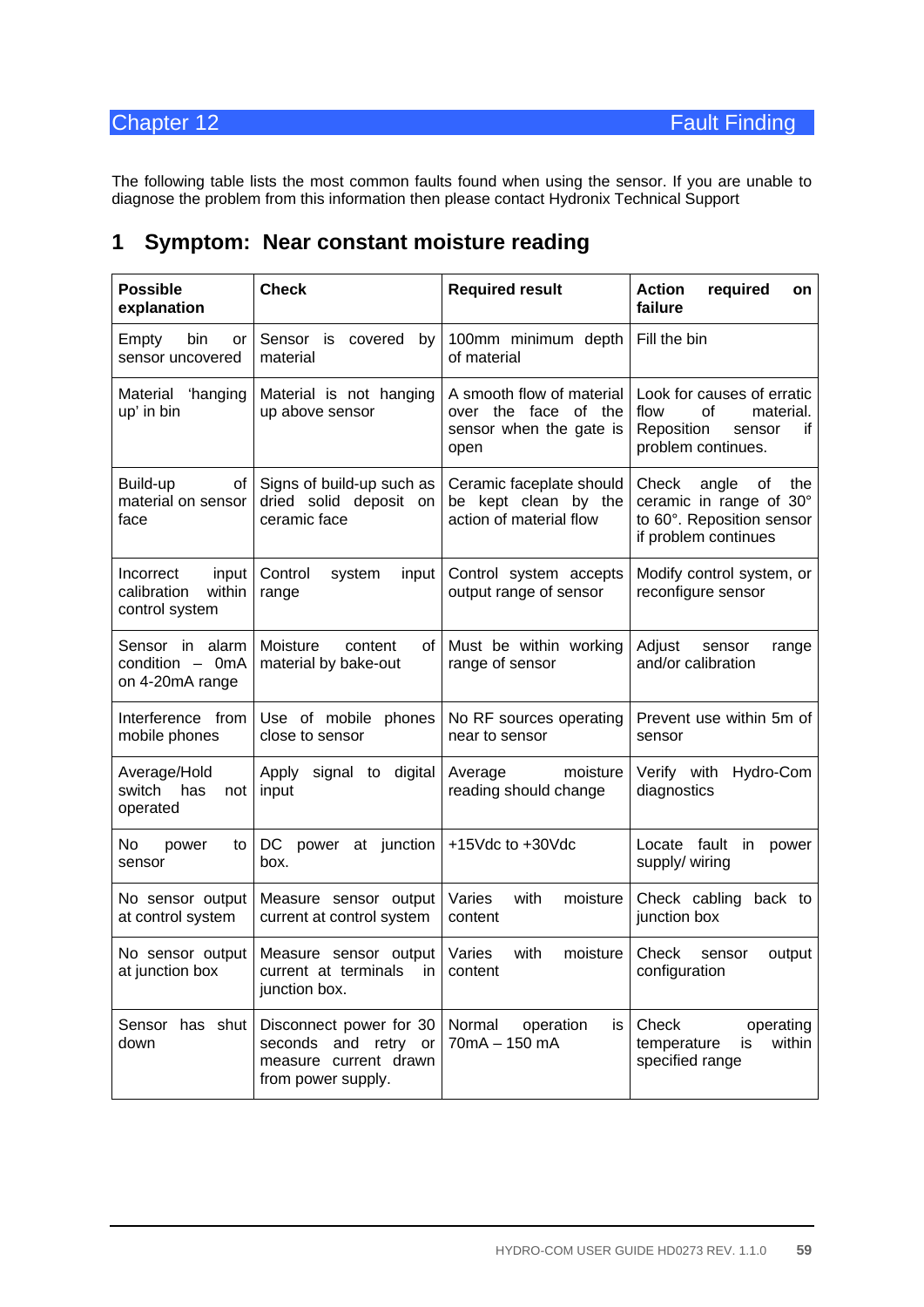The following table lists the most common faults found when using the sensor. If you are unable to diagnose the problem from this information then please contact Hydronix Technical Support

| <b>Possible</b><br>explanation                                | <b>Check</b>                                                                                   | <b>Required result</b>                                                               | <b>Action</b><br>required<br>on<br>failure                                                                  |  |
|---------------------------------------------------------------|------------------------------------------------------------------------------------------------|--------------------------------------------------------------------------------------|-------------------------------------------------------------------------------------------------------------|--|
| Empty<br>bin<br>or<br>sensor uncovered                        | Sensor is covered<br>by<br>material                                                            | 100mm minimum depth<br>of material                                                   | Fill the bin                                                                                                |  |
| Material 'hanging<br>up' in bin                               | Material is not hanging<br>up above sensor                                                     | A smooth flow of material<br>over the face of the<br>sensor when the gate is<br>open | Look for causes of erratic<br>of<br>flow<br>material.<br>Reposition<br>if<br>sensor<br>problem continues.   |  |
| Build-up<br>of<br>material on sensor<br>face                  | Signs of build-up such as<br>dried solid deposit on<br>ceramic face                            | Ceramic faceplate should<br>be kept clean by the<br>action of material flow          | Check<br>angle<br>of<br>the<br>ceramic in range of 30°<br>to 60°. Reposition sensor<br>if problem continues |  |
| input<br>Incorrect<br>calibration<br>within<br>control system | Control<br>system<br>input<br>range                                                            | Control system accepts<br>output range of sensor                                     | Modify control system, or<br>reconfigure sensor                                                             |  |
| Sensor in alarm<br>condition - 0mA<br>on 4-20mA range         | Moisture<br>content<br>of l<br>material by bake-out                                            | Must be within working<br>range of sensor                                            | Adjust<br>sensor<br>range<br>and/or calibration                                                             |  |
| Interference from<br>mobile phones                            | Use of mobile phones<br>close to sensor                                                        | No RF sources operating<br>near to sensor                                            | Prevent use within 5m of<br>sensor                                                                          |  |
| Average/Hold<br>switch<br>has<br>not<br>operated              | Apply<br>signal to digital<br>input                                                            | moisture<br>Average<br>reading should change                                         | Verify with<br>Hydro-Com<br>diagnostics                                                                     |  |
| No<br>power<br>to<br>sensor                                   | DC power at junction<br>box.                                                                   | +15Vdc to +30Vdc                                                                     | Locate fault<br>in<br>power<br>supply/ wiring                                                               |  |
| No sensor output<br>at control system                         | Measure sensor output<br>current at control system                                             | Varies<br>with<br>moisture<br>content                                                | Check cabling<br>back to<br>junction box                                                                    |  |
| No sensor output<br>at junction box                           | Measure sensor output<br>current at terminals in $\vert$ content<br>junction box.              | Varies<br>with<br>moisture                                                           | Check<br>output<br>sensor<br>configuration                                                                  |  |
| Sensor has shut<br>down                                       | Disconnect power for 30<br>seconds and retry or<br>measure current drawn<br>from power supply. | Normal<br>operation<br>is I<br>70mA - 150 mA                                         | Check<br>operating<br>within<br>temperature<br>is<br>specified range                                        |  |

### **1 Symptom: Near constant moisture reading**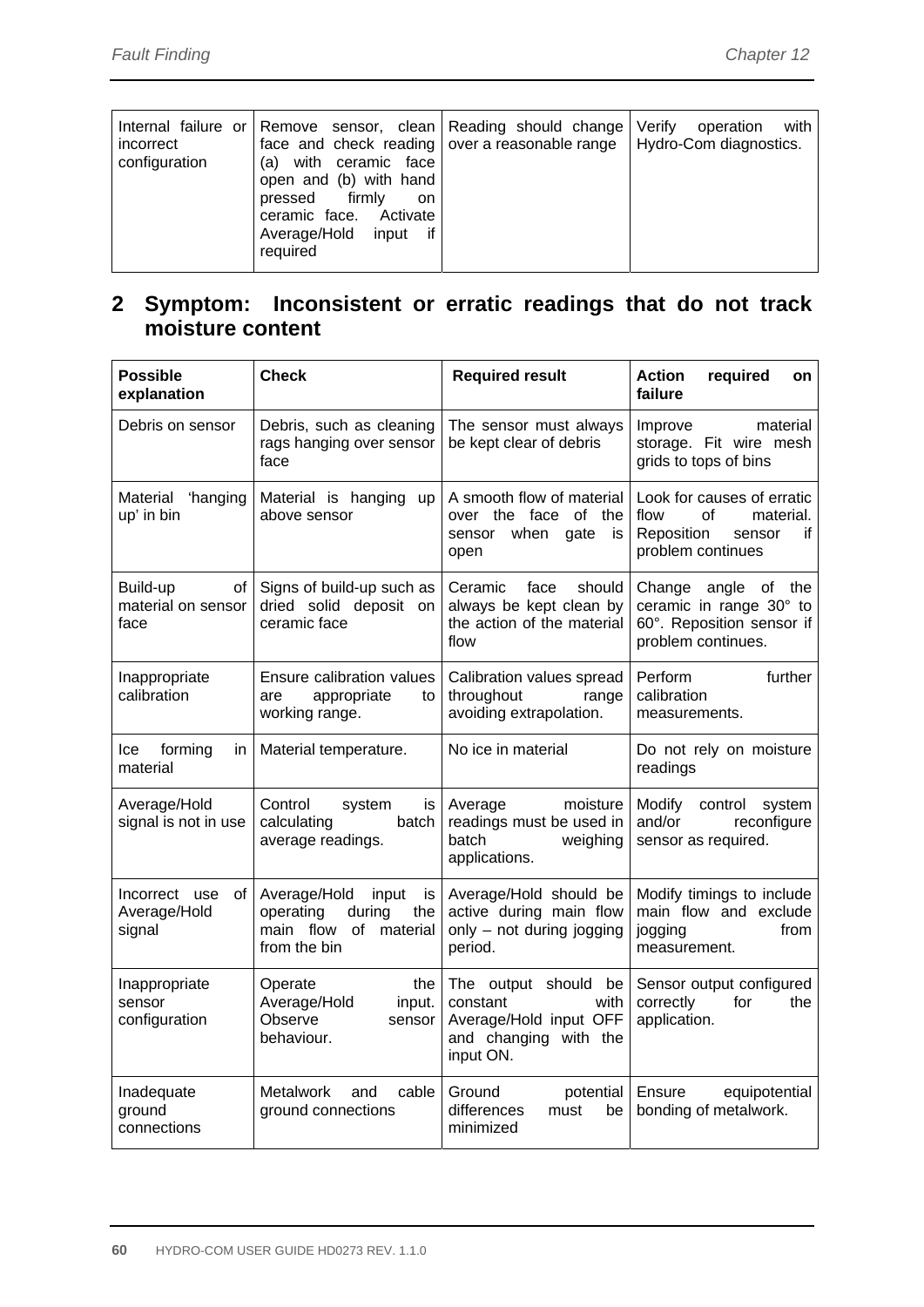| Internal failure or Remove sensor, clean Reading should change Verify<br>incorrect<br>configuration<br>(a) with ceramic face<br>open and (b) with hand<br>pressed firmly<br>on.<br>ceramic face. Activate<br>Average/Hold input if<br>required | face and check reading over a reasonable range   Hydro-Com diagnostics. | with<br>operation |
|------------------------------------------------------------------------------------------------------------------------------------------------------------------------------------------------------------------------------------------------|-------------------------------------------------------------------------|-------------------|
|------------------------------------------------------------------------------------------------------------------------------------------------------------------------------------------------------------------------------------------------|-------------------------------------------------------------------------|-------------------|

# **2 Symptom: Inconsistent or erratic readings that do not track moisture content**

| <b>Possible</b><br>explanation                | <b>Check</b><br><b>Required result</b>                                                                  |                                                                                                          | Action<br>required<br>on<br>failure                                                                      |  |
|-----------------------------------------------|---------------------------------------------------------------------------------------------------------|----------------------------------------------------------------------------------------------------------|----------------------------------------------------------------------------------------------------------|--|
| Debris on sensor                              | Debris, such as cleaning<br>rags hanging over sensor<br>face                                            | The sensor must always<br>be kept clear of debris                                                        | Improve<br>material<br>storage. Fit wire mesh<br>grids to tops of bins                                   |  |
| Material 'hanging<br>up' in bin               | Material is hanging<br><b>up</b><br>above sensor                                                        | A smooth flow of material<br>over the face of the<br>when<br>gate<br>is<br>sensor<br>open                | Look for causes of erratic<br>flow<br>0f<br>material.<br>Reposition<br>if<br>sensor<br>problem continues |  |
| of<br>Build-up<br>material on sensor<br>face  | Signs of build-up such as<br>dried solid deposit on<br>ceramic face                                     | Ceramic<br>should<br>face<br>always be kept clean by<br>the action of the material<br>flow               | Change angle of the<br>ceramic in range 30° to<br>60°. Reposition sensor if<br>problem continues.        |  |
| Inappropriate<br>calibration                  | Ensure calibration values<br>appropriate<br>to<br>are<br>working range.                                 | Calibration values spread<br>throughout<br>range<br>avoiding extrapolation.                              | further<br>Perform<br>calibration<br>measurements.                                                       |  |
| forming<br>lce<br>in.<br>material             | Material temperature.                                                                                   | No ice in material                                                                                       | Do not rely on moisture<br>readings                                                                      |  |
| Average/Hold<br>signal is not in use          | Control<br>system<br>is l<br>calculating<br>batch<br>average readings.                                  | Average<br>moisture<br>readings must be used in<br>batch<br>weighing<br>applications.                    | Modify<br>control<br>system<br>and/or<br>reconfigure<br>sensor as required.                              |  |
| Incorrect use<br>of<br>Average/Hold<br>signal | Average/Hold<br>input<br>is I<br>operating<br>during<br>the<br>main flow<br>of material<br>from the bin | Average/Hold should be<br>active during main flow<br>only - not during jogging<br>period.                | Modify timings to include<br>main flow and exclude<br>from<br>jogging<br>measurement.                    |  |
| Inappropriate<br>sensor<br>configuration      | Operate<br>the<br>Average/Hold<br>input.<br>Observe<br>sensor<br>behaviour.                             | The output should be<br>constant<br>with<br>Average/Hold input OFF<br>and changing with the<br>input ON. | Sensor output configured<br>correctly<br>for<br>the<br>application.                                      |  |
| Inadequate<br>ground<br>connections           | Metalwork<br>and<br>cable<br>ground connections                                                         | Ground<br>potential<br>differences<br>must<br>be<br>minimized                                            | Ensure<br>equipotential<br>bonding of metalwork.                                                         |  |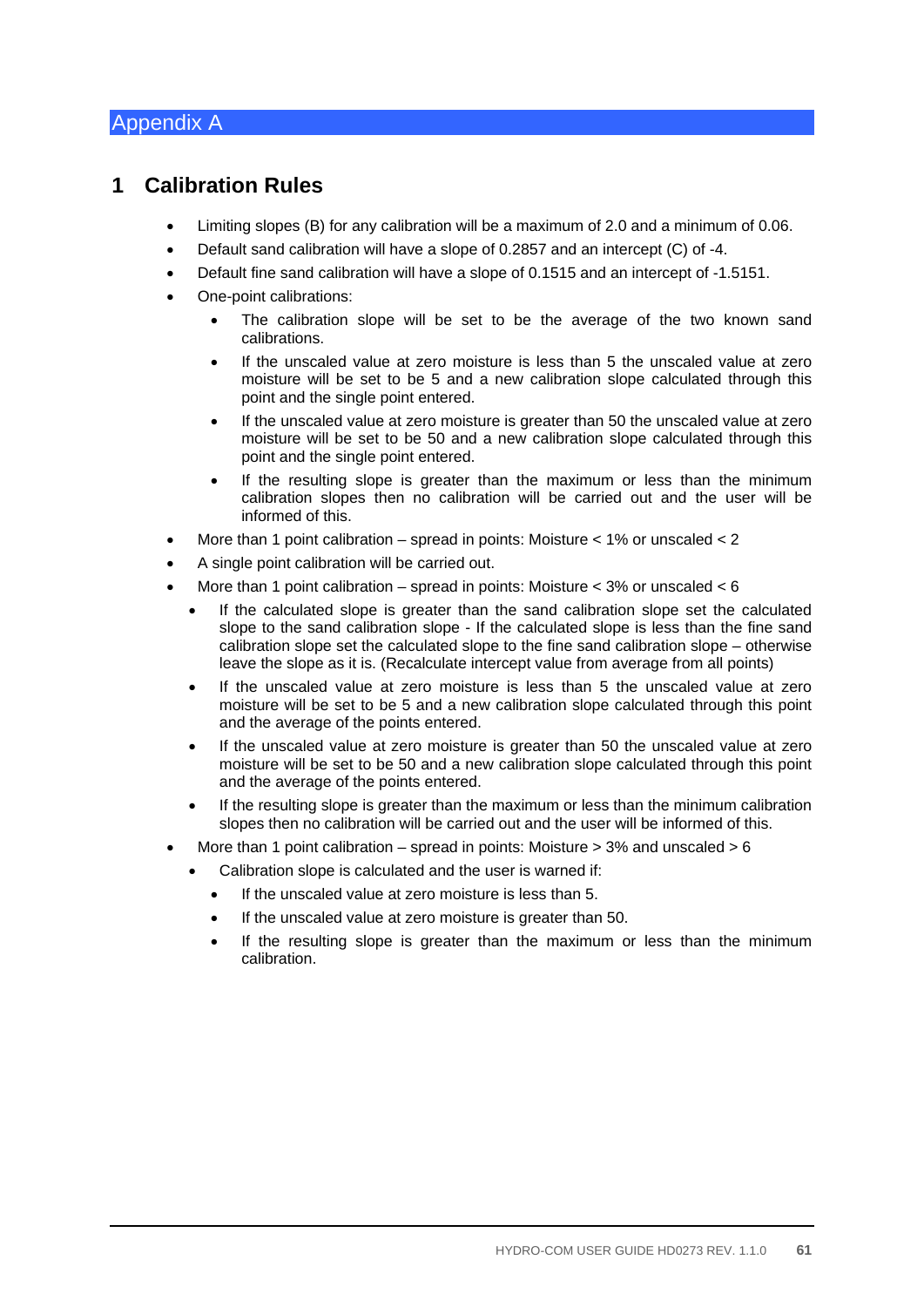### Appendix A

### **1 Calibration Rules**

- Limiting slopes (B) for any calibration will be a maximum of 2.0 and a minimum of 0.06.
- Default sand calibration will have a slope of 0.2857 and an intercept (C) of -4.
- Default fine sand calibration will have a slope of 0.1515 and an intercept of -1.5151.
- One-point calibrations:
	- The calibration slope will be set to be the average of the two known sand calibrations.
	- If the unscaled value at zero moisture is less than 5 the unscaled value at zero moisture will be set to be 5 and a new calibration slope calculated through this point and the single point entered.
	- If the unscaled value at zero moisture is greater than 50 the unscaled value at zero moisture will be set to be 50 and a new calibration slope calculated through this point and the single point entered.
	- If the resulting slope is greater than the maximum or less than the minimum calibration slopes then no calibration will be carried out and the user will be informed of this.
- More than 1 point calibration spread in points: Moisture < 1% or unscaled < 2
- A single point calibration will be carried out.
- More than 1 point calibration spread in points: Moisture < 3% or unscaled < 6
	- If the calculated slope is greater than the sand calibration slope set the calculated slope to the sand calibration slope - If the calculated slope is less than the fine sand calibration slope set the calculated slope to the fine sand calibration slope – otherwise leave the slope as it is. (Recalculate intercept value from average from all points)
	- If the unscaled value at zero moisture is less than 5 the unscaled value at zero moisture will be set to be 5 and a new calibration slope calculated through this point and the average of the points entered.
	- If the unscaled value at zero moisture is greater than 50 the unscaled value at zero moisture will be set to be 50 and a new calibration slope calculated through this point and the average of the points entered.
	- If the resulting slope is greater than the maximum or less than the minimum calibration slopes then no calibration will be carried out and the user will be informed of this.
- More than 1 point calibration spread in points: Moisture  $>$  3% and unscaled  $>$  6
	- Calibration slope is calculated and the user is warned if:
		- If the unscaled value at zero moisture is less than 5.
		- If the unscaled value at zero moisture is greater than 50.
		- If the resulting slope is greater than the maximum or less than the minimum calibration.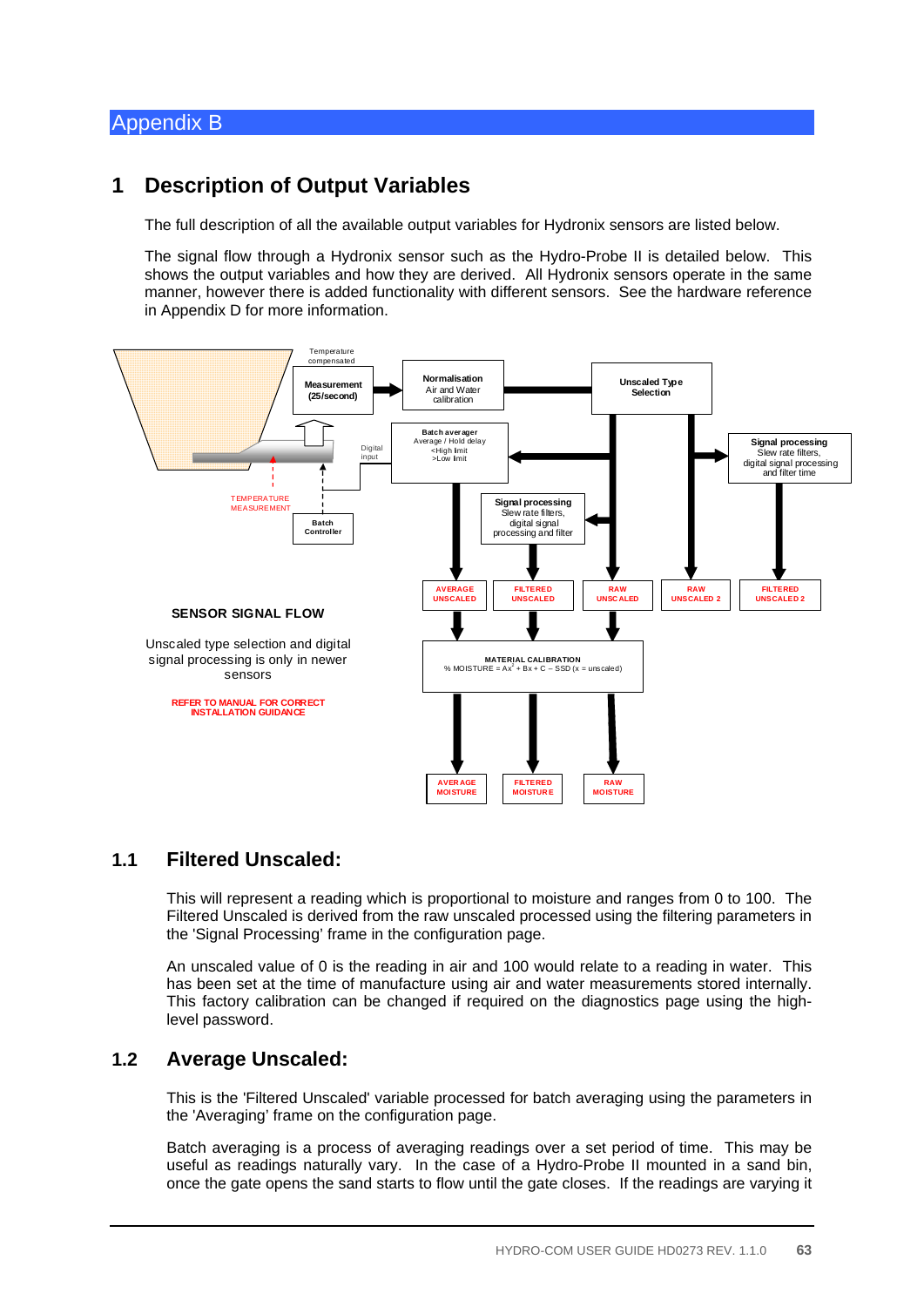### Appendix B

### **1 Description of Output Variables**

The full description of all the available output variables for Hydronix sensors are listed below.

The signal flow through a Hydronix sensor such as the Hydro-Probe II is detailed below. This shows the output variables and how they are derived. All Hydronix sensors operate in the same manner, however there is added functionality with different sensors. See the hardware reference in Appendix D for more information.



### **1.1 Filtered Unscaled:**

This will represent a reading which is proportional to moisture and ranges from 0 to 100. The Filtered Unscaled is derived from the raw unscaled processed using the filtering parameters in the 'Signal Processing' frame in the configuration page.

An unscaled value of 0 is the reading in air and 100 would relate to a reading in water. This has been set at the time of manufacture using air and water measurements stored internally. This factory calibration can be changed if required on the diagnostics page using the highlevel password.

### **1.2 Average Unscaled:**

This is the 'Filtered Unscaled' variable processed for batch averaging using the parameters in the 'Averaging' frame on the configuration page.

Batch averaging is a process of averaging readings over a set period of time. This may be useful as readings naturally vary. In the case of a Hydro-Probe II mounted in a sand bin, once the gate opens the sand starts to flow until the gate closes. If the readings are varying it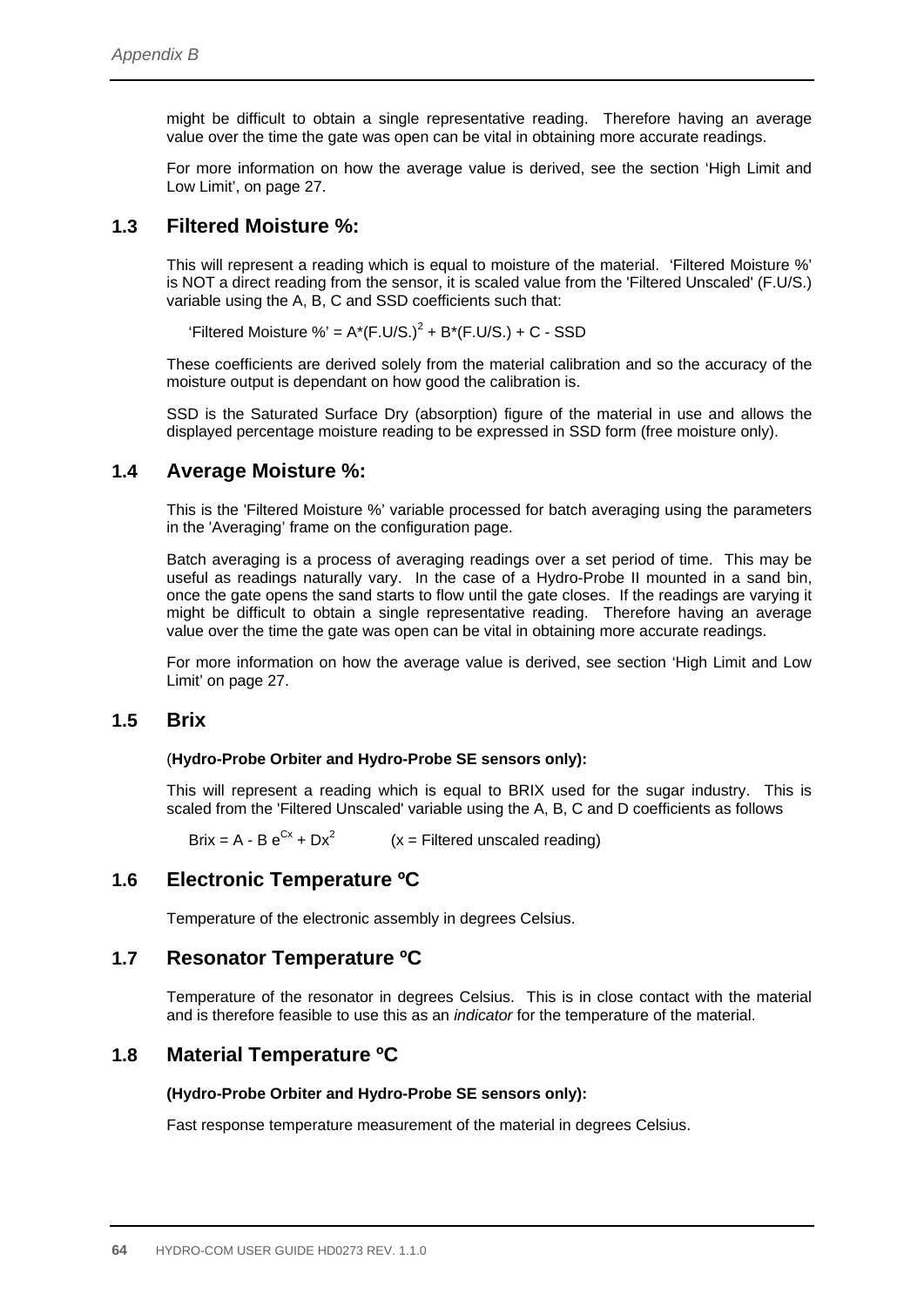might be difficult to obtain a single representative reading. Therefore having an average value over the time the gate was open can be vital in obtaining more accurate readings.

For more information on how the average value is derived, see the section 'High Limit and Low Limit', on page 27.

### **1.3 Filtered Moisture %:**

This will represent a reading which is equal to moisture of the material. 'Filtered Moisture %' is NOT a direct reading from the sensor, it is scaled value from the 'Filtered Unscaled' (F.U/S.) variable using the A, B, C and SSD coefficients such that:

'Filtered Moisture %' =  $A^*(F.U/S.)^2 + B^*(F.U/S.) + C - SSD$ 

These coefficients are derived solely from the material calibration and so the accuracy of the moisture output is dependant on how good the calibration is.

SSD is the Saturated Surface Dry (absorption) figure of the material in use and allows the displayed percentage moisture reading to be expressed in SSD form (free moisture only).

### **1.4 Average Moisture %:**

This is the 'Filtered Moisture %' variable processed for batch averaging using the parameters in the 'Averaging' frame on the configuration page.

Batch averaging is a process of averaging readings over a set period of time. This may be useful as readings naturally vary. In the case of a Hydro-Probe II mounted in a sand bin, once the gate opens the sand starts to flow until the gate closes. If the readings are varying it might be difficult to obtain a single representative reading. Therefore having an average value over the time the gate was open can be vital in obtaining more accurate readings.

For more information on how the average value is derived, see section 'High Limit and Low Limit' on page 27.

### **1.5 Brix**

#### (**Hydro-Probe Orbiter and Hydro-Probe SE sensors only):**

This will represent a reading which is equal to BRIX used for the sugar industry. This is scaled from the 'Filtered Unscaled' variable using the A, B, C and D coefficients as follows

Brix = A - B  $e^{Cx}$  + Dx<sup>2</sup> (x = Filtered unscaled reading)

### **1.6 Electronic Temperature ºC**

Temperature of the electronic assembly in degrees Celsius.

### **1.7 Resonator Temperature ºC**

Temperature of the resonator in degrees Celsius. This is in close contact with the material and is therefore feasible to use this as an *indicator* for the temperature of the material.

### **1.8 Material Temperature ºC**

#### **(Hydro-Probe Orbiter and Hydro-Probe SE sensors only):**

Fast response temperature measurement of the material in degrees Celsius.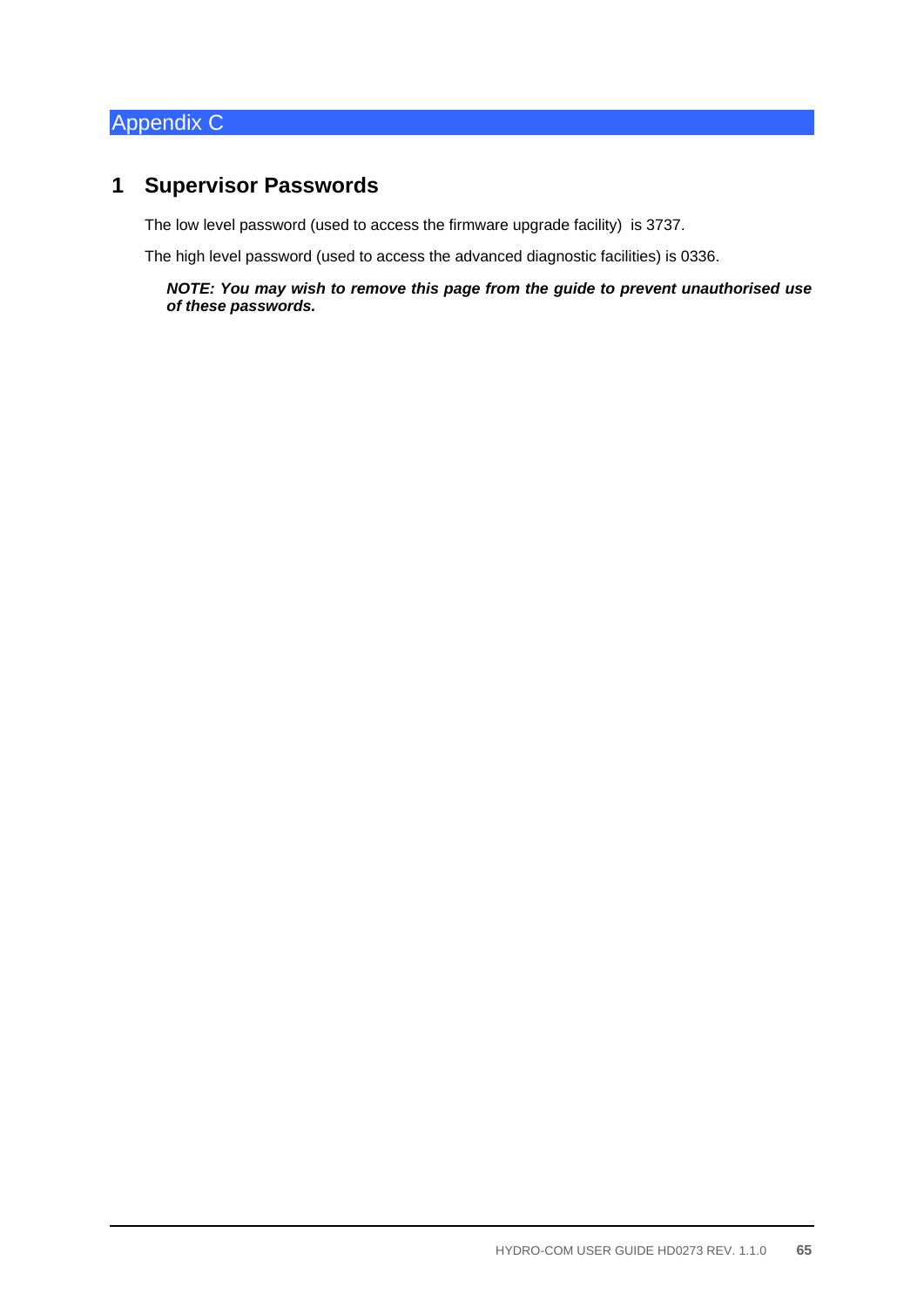# Appendix C

# **1 Supervisor Passwords**

The low level password (used to access the firmware upgrade facility) is 3737.

The high level password (used to access the advanced diagnostic facilities) is 0336.

*NOTE: You may wish to remove this page from the guide to prevent unauthorised use of these passwords.*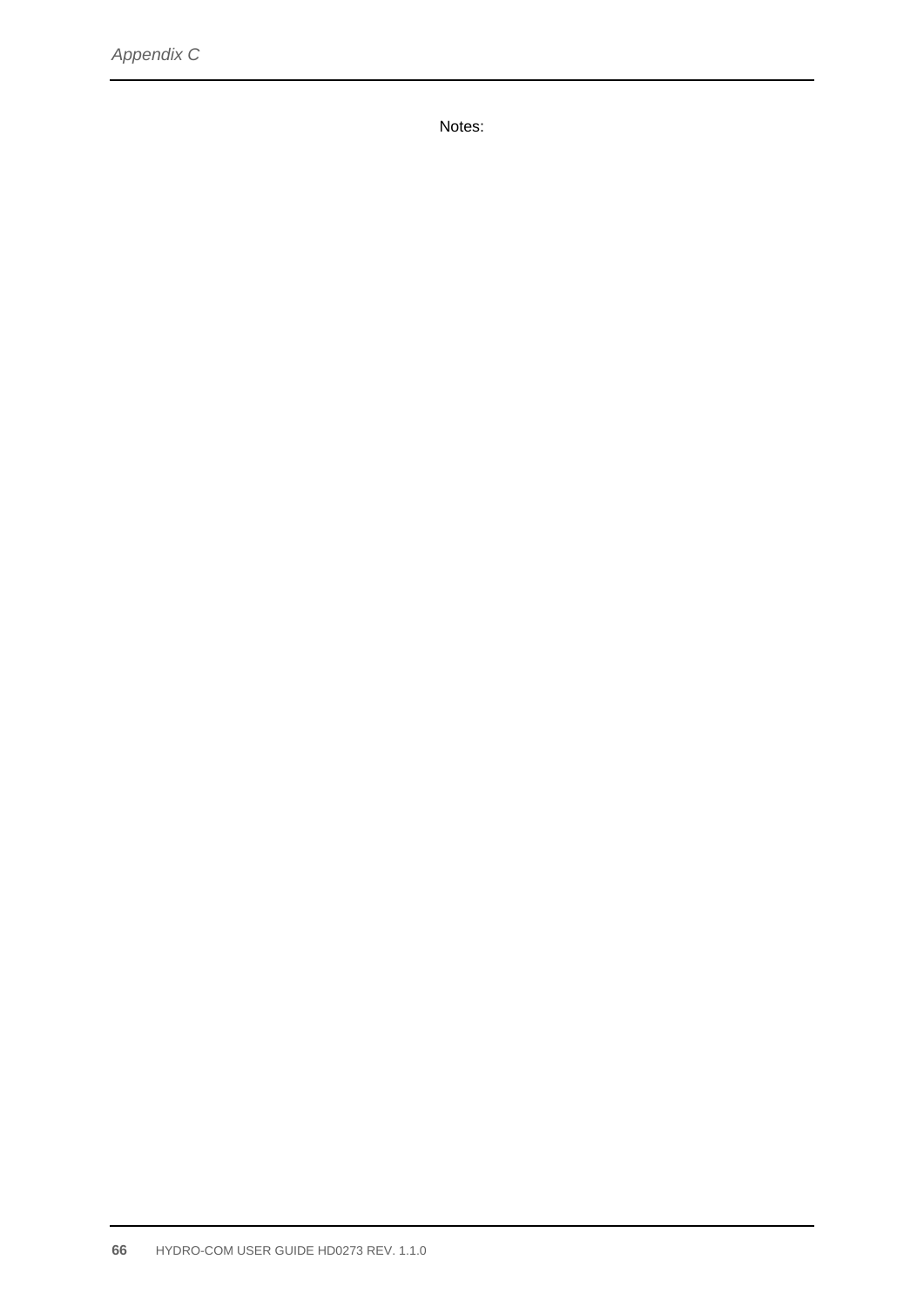Notes: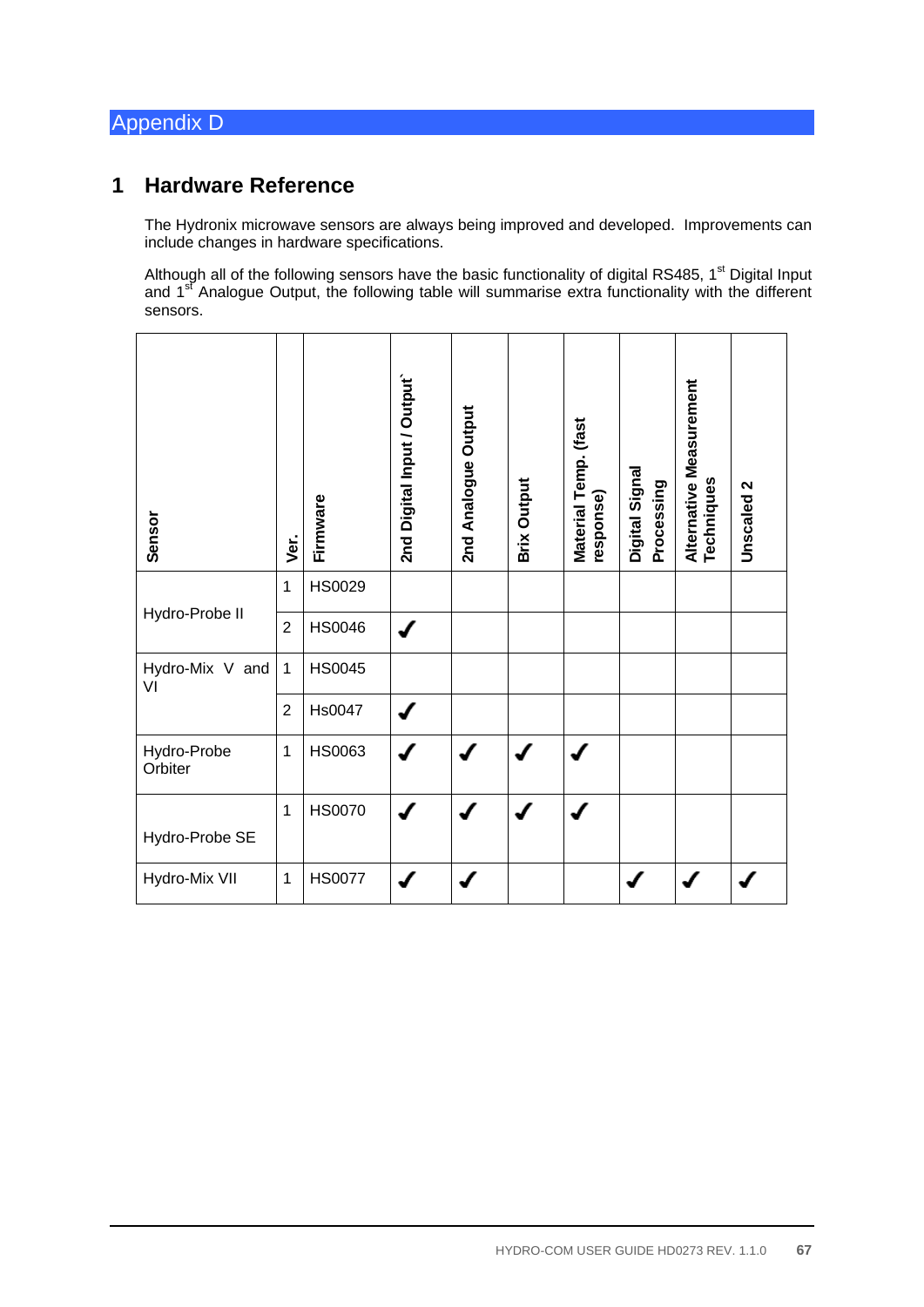# Appendix D

### **1 Hardware Reference**

The Hydronix microwave sensors are always being improved and developed. Improvements can include changes in hardware specifications.

Although all of the following sensors have the basic functionality of digital RS485, 1<sup>st</sup> Digital Input and 1<sup>st</sup> Analogue Output, the following table will summarise extra functionality with the different sensors.

| Sensor                 | Ver.           | Firmware      | 2nd Digital Input / Output | 2nd Analogue Output | <b>Brix Output</b> | Material Temp. (fast<br>response) | Digital Signal<br>Processing | Alternative Measurement<br>Techniques | Unscaled 2 |
|------------------------|----------------|---------------|----------------------------|---------------------|--------------------|-----------------------------------|------------------------------|---------------------------------------|------------|
| Hydro-Probe II         | $\mathbf{1}$   | HS0029        |                            |                     |                    |                                   |                              |                                       |            |
|                        | $\overline{2}$ | <b>HS0046</b> | ✔                          |                     |                    |                                   |                              |                                       |            |
| Hydro-Mix V and<br>VI  | 1              | <b>HS0045</b> |                            |                     |                    |                                   |                              |                                       |            |
|                        | $\overline{2}$ | <b>Hs0047</b> |                            |                     |                    |                                   |                              |                                       |            |
| Hydro-Probe<br>Orbiter | $\mathbf{1}$   | HS0063        |                            |                     |                    |                                   |                              |                                       |            |
| Hydro-Probe SE         | 1              | <b>HS0070</b> |                            |                     |                    |                                   |                              |                                       |            |
| Hydro-Mix VII          | 1              | <b>HS0077</b> |                            |                     |                    |                                   |                              |                                       |            |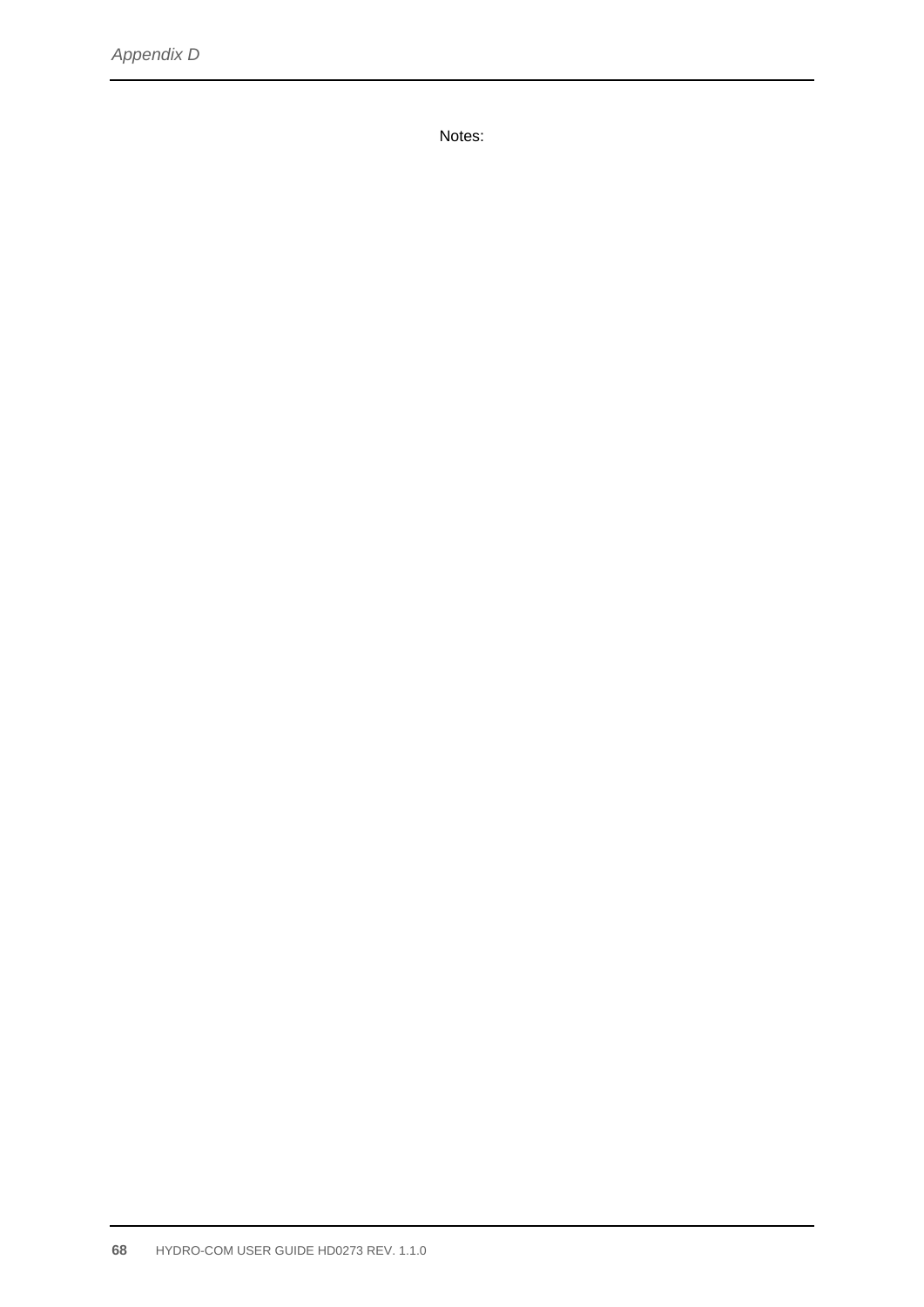Notes: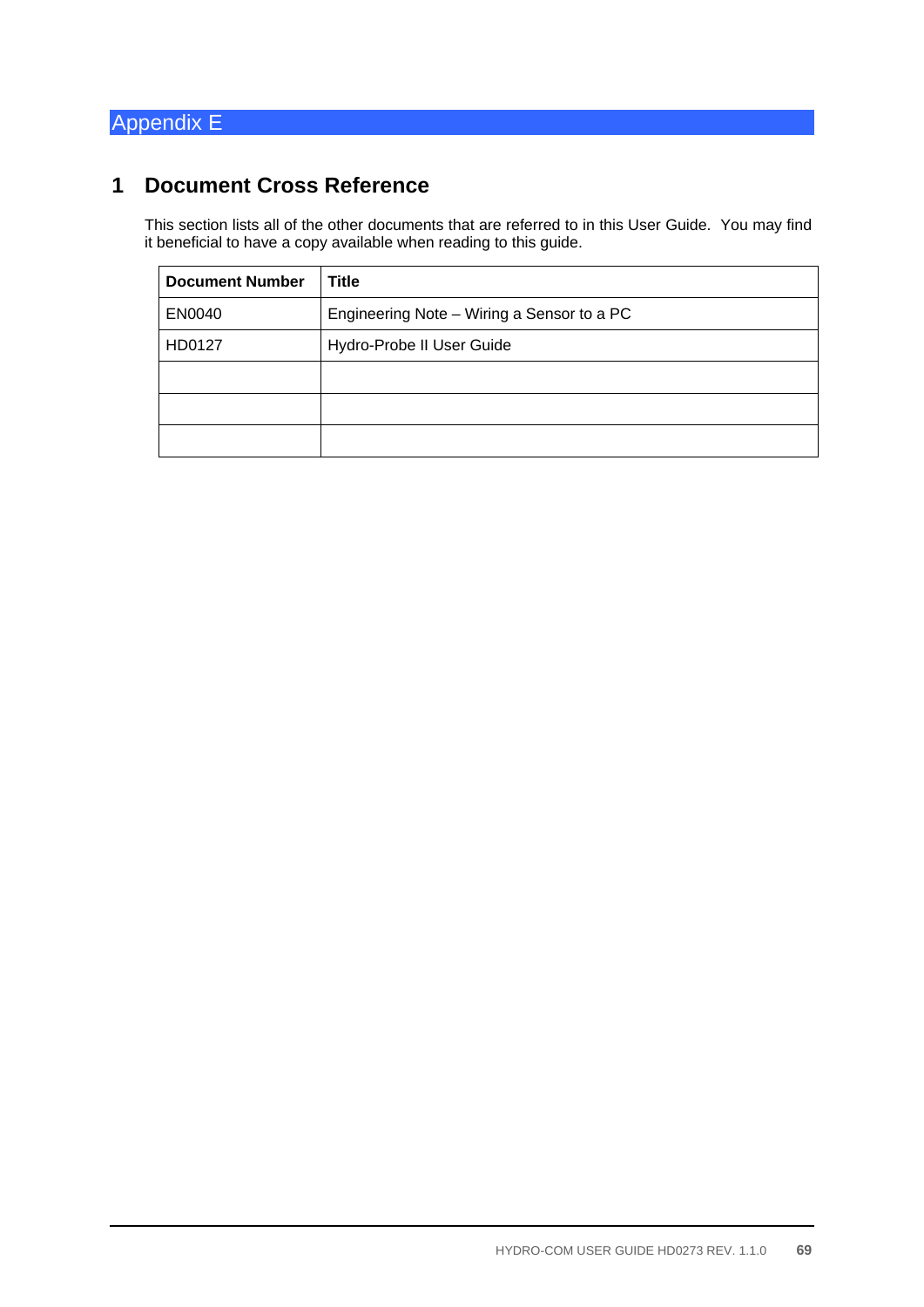# Appendix E

# **1 Document Cross Reference**

This section lists all of the other documents that are referred to in this User Guide. You may find it beneficial to have a copy available when reading to this guide.

| <b>Document Number</b> | <b>Title</b>                               |
|------------------------|--------------------------------------------|
| EN0040                 | Engineering Note - Wiring a Sensor to a PC |
| HD0127                 | Hydro-Probe II User Guide                  |
|                        |                                            |
|                        |                                            |
|                        |                                            |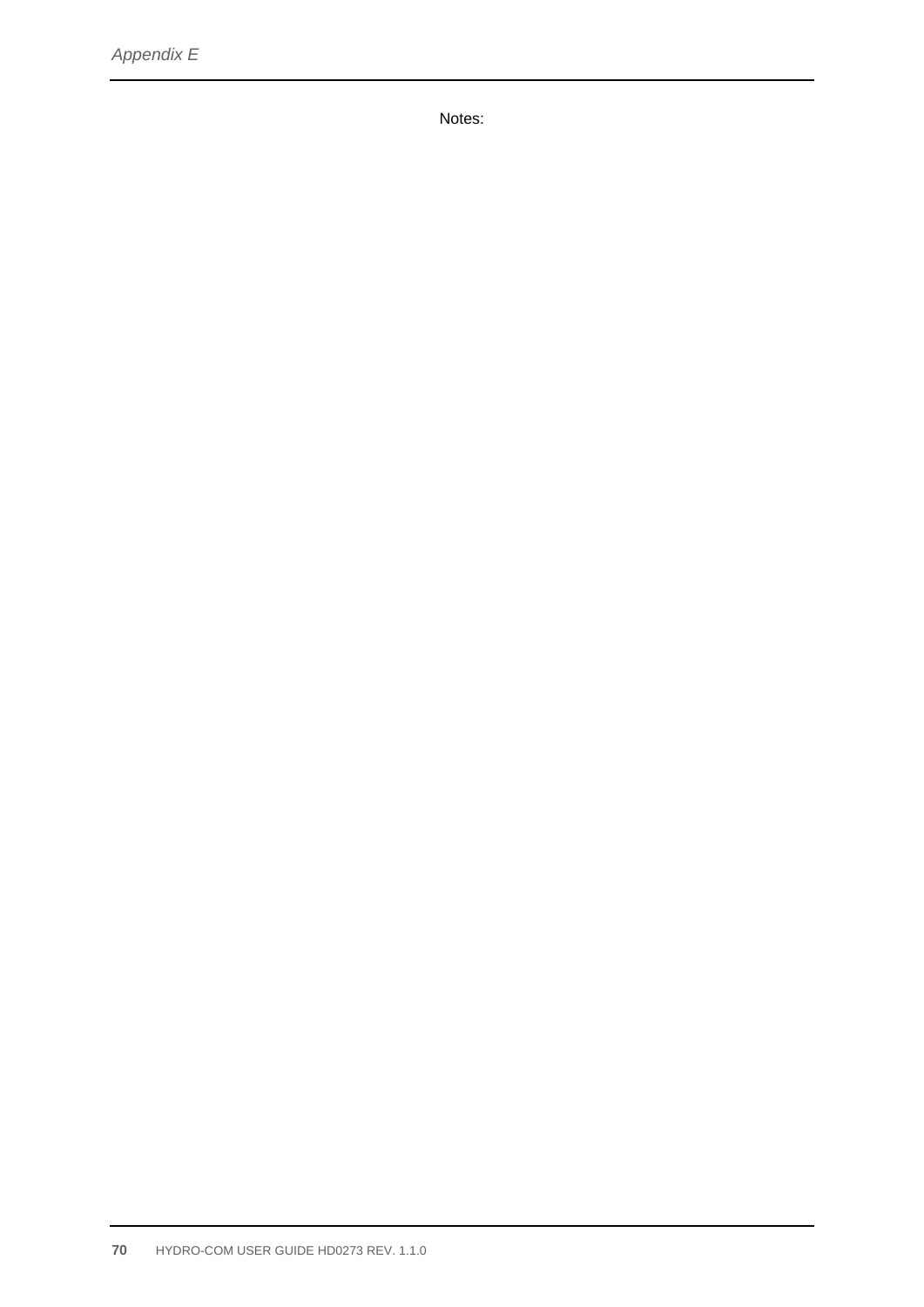Notes: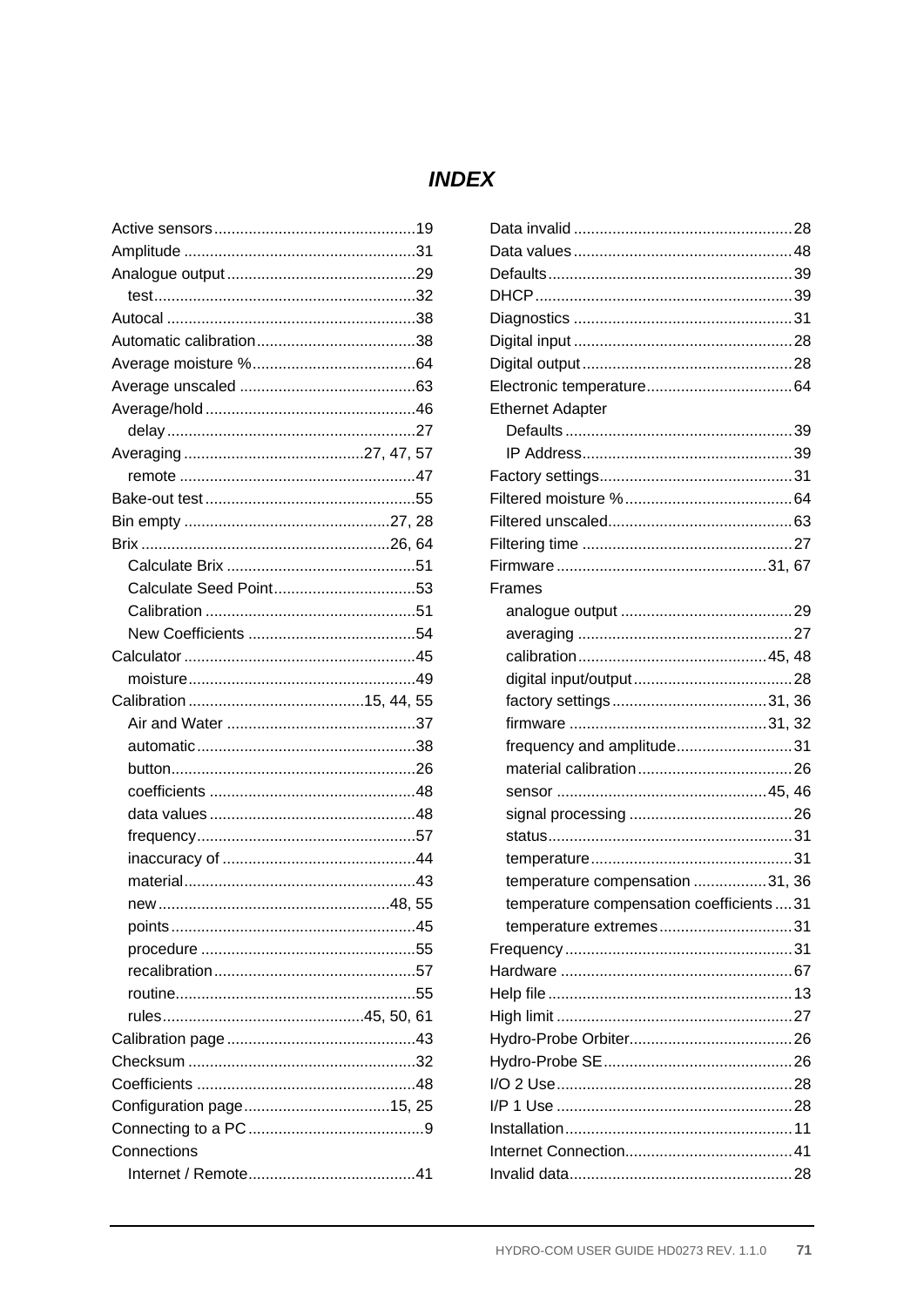## **INDEX**

| Connections |  |
|-------------|--|
|             |  |
|             |  |

| <b>Ethernet Adapter</b>                 |
|-----------------------------------------|
|                                         |
|                                         |
|                                         |
|                                         |
|                                         |
|                                         |
|                                         |
| Frames                                  |
|                                         |
|                                         |
|                                         |
|                                         |
|                                         |
|                                         |
| frequency and amplitude31               |
|                                         |
|                                         |
|                                         |
|                                         |
|                                         |
| temperature compensation 31, 36         |
| temperature compensation coefficients31 |
| temperature extremes31                  |
|                                         |
|                                         |
|                                         |
|                                         |
|                                         |
|                                         |
|                                         |
|                                         |
|                                         |
|                                         |
|                                         |